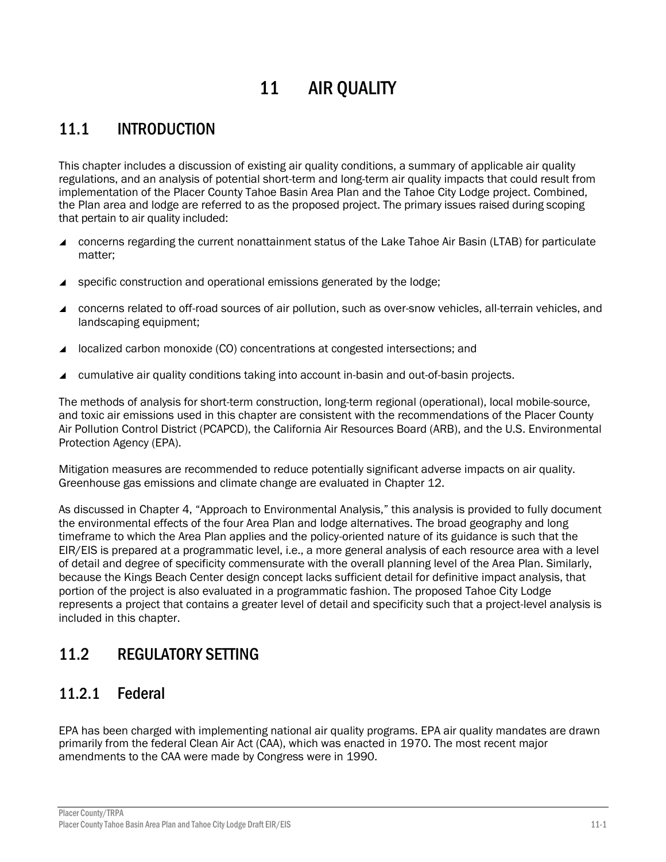# 11 AIR QUALITY

# 11.1 INTRODUCTION

This chapter includes a discussion of existing air quality conditions, a summary of applicable air quality regulations, and an analysis of potential short-term and long-term air quality impacts that could result from implementation of the Placer County Tahoe Basin Area Plan and the Tahoe City Lodge project. Combined, the Plan area and lodge are referred to as the proposed project. The primary issues raised during scoping that pertain to air quality included:

- concerns regarding the current nonattainment status of the Lake Tahoe Air Basin (LTAB) for particulate matter;
- specific construction and operational emissions generated by the lodge;
- concerns related to off-road sources of air pollution, such as over-snow vehicles, all-terrain vehicles, and landscaping equipment;
- localized carbon monoxide (CO) concentrations at congested intersections; and
- cumulative air quality conditions taking into account in-basin and out-of-basin projects.

The methods of analysis for short-term construction, long-term regional (operational), local mobile-source, and toxic air emissions used in this chapter are consistent with the recommendations of the Placer County Air Pollution Control District (PCAPCD), the California Air Resources Board (ARB), and the U.S. Environmental Protection Agency (EPA).

Mitigation measures are recommended to reduce potentially significant adverse impacts on air quality. Greenhouse gas emissions and climate change are evaluated in Chapter 12.

As discussed in Chapter 4, "Approach to Environmental Analysis," this analysis is provided to fully document the environmental effects of the four Area Plan and lodge alternatives. The broad geography and long timeframe to which the Area Plan applies and the policy-oriented nature of its guidance is such that the EIR/EIS is prepared at a programmatic level, i.e., a more general analysis of each resource area with a level of detail and degree of specificity commensurate with the overall planning level of the Area Plan. Similarly, because the Kings Beach Center design concept lacks sufficient detail for definitive impact analysis, that portion of the project is also evaluated in a programmatic fashion. The proposed Tahoe City Lodge represents a project that contains a greater level of detail and specificity such that a project-level analysis is included in this chapter.

# 11.2 REGULATORY SETTING

# 11.2.1 Federal

EPA has been charged with implementing national air quality programs. EPA air quality mandates are drawn primarily from the federal Clean Air Act (CAA), which was enacted in 1970. The most recent major amendments to the CAA were made by Congress were in 1990.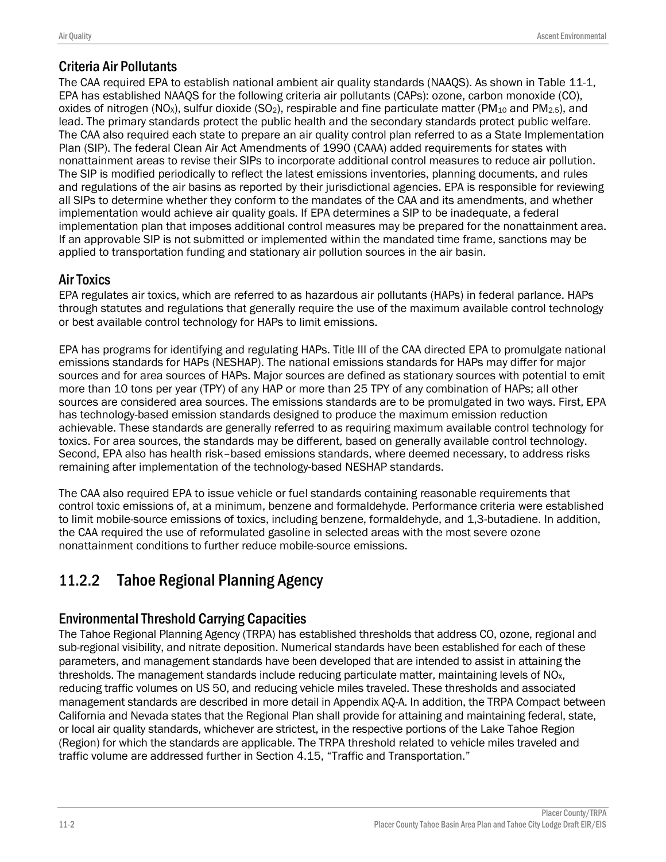# Criteria Air Pollutants

The CAA required EPA to establish national ambient air quality standards (NAAQS). As shown in Table 11-1, EPA has established NAAQS for the following criteria air pollutants (CAPs): ozone, carbon monoxide (CO), oxides of nitrogen (NO<sub>x</sub>), sulfur dioxide (SO<sub>2</sub>), respirable and fine particulate matter (PM<sub>10</sub> and PM<sub>2.5</sub>), and lead. The primary standards protect the public health and the secondary standards protect public welfare. The CAA also required each state to prepare an air quality control plan referred to as a State Implementation Plan (SIP). The federal Clean Air Act Amendments of 1990 (CAAA) added requirements for states with nonattainment areas to revise their SIPs to incorporate additional control measures to reduce air pollution. The SIP is modified periodically to reflect the latest emissions inventories, planning documents, and rules and regulations of the air basins as reported by their jurisdictional agencies. EPA is responsible for reviewing all SIPs to determine whether they conform to the mandates of the CAA and its amendments, and whether implementation would achieve air quality goals. If EPA determines a SIP to be inadequate, a federal implementation plan that imposes additional control measures may be prepared for the nonattainment area. If an approvable SIP is not submitted or implemented within the mandated time frame, sanctions may be applied to transportation funding and stationary air pollution sources in the air basin.

# Air Toxics

EPA regulates air toxics, which are referred to as hazardous air pollutants (HAPs) in federal parlance. HAPs through statutes and regulations that generally require the use of the maximum available control technology or best available control technology for HAPs to limit emissions.

EPA has programs for identifying and regulating HAPs. Title III of the CAA directed EPA to promulgate national emissions standards for HAPs (NESHAP). The national emissions standards for HAPs may differ for major sources and for area sources of HAPs. Major sources are defined as stationary sources with potential to emit more than 10 tons per year (TPY) of any HAP or more than 25 TPY of any combination of HAPs; all other sources are considered area sources. The emissions standards are to be promulgated in two ways. First, EPA has technology-based emission standards designed to produce the maximum emission reduction achievable. These standards are generally referred to as requiring maximum available control technology for toxics. For area sources, the standards may be different, based on generally available control technology. Second, EPA also has health risk–based emissions standards, where deemed necessary, to address risks remaining after implementation of the technology-based NESHAP standards.

The CAA also required EPA to issue vehicle or fuel standards containing reasonable requirements that control toxic emissions of, at a minimum, benzene and formaldehyde. Performance criteria were established to limit mobile-source emissions of toxics, including benzene, formaldehyde, and 1,3-butadiene. In addition, the CAA required the use of reformulated gasoline in selected areas with the most severe ozone nonattainment conditions to further reduce mobile-source emissions.

# 11.2.2 Tahoe Regional Planning Agency

# Environmental Threshold Carrying Capacities

The Tahoe Regional Planning Agency (TRPA) has established thresholds that address CO, ozone, regional and sub-regional visibility, and nitrate deposition. Numerical standards have been established for each of these parameters, and management standards have been developed that are intended to assist in attaining the thresholds. The management standards include reducing particulate matter, maintaining levels of  $NO<sub>x</sub>$ , reducing traffic volumes on US 50, and reducing vehicle miles traveled. These thresholds and associated management standards are described in more detail in Appendix AQ-A. In addition, the TRPA Compact between California and Nevada states that the Regional Plan shall provide for attaining and maintaining federal, state, or local air quality standards, whichever are strictest, in the respective portions of the Lake Tahoe Region (Region) for which the standards are applicable. The TRPA threshold related to vehicle miles traveled and traffic volume are addressed further in Section 4.15, "Traffic and Transportation."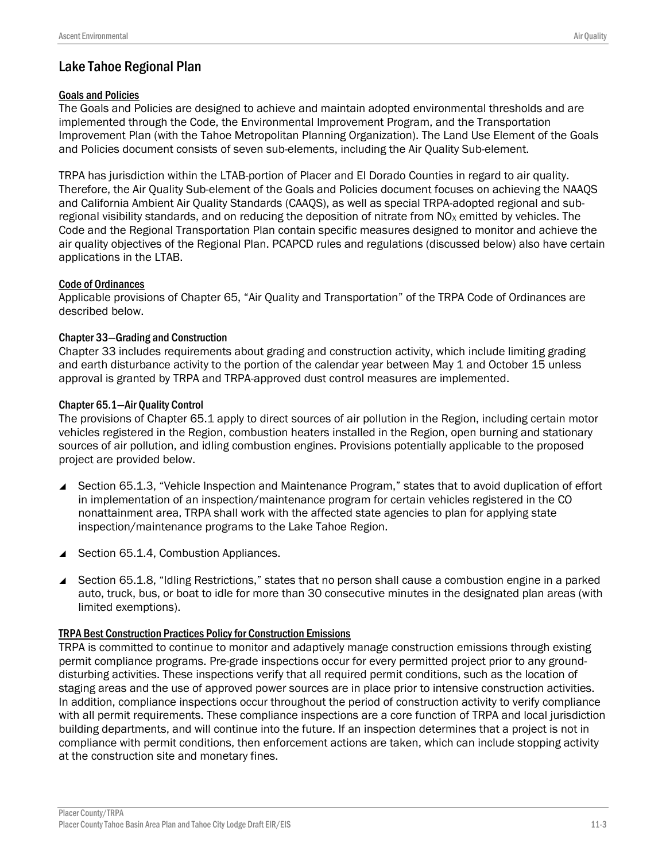# Lake Tahoe Regional Plan

### Goals and Policies

The Goals and Policies are designed to achieve and maintain adopted environmental thresholds and are implemented through the Code, the Environmental Improvement Program, and the Transportation Improvement Plan (with the Tahoe Metropolitan Planning Organization). The Land Use Element of the Goals and Policies document consists of seven sub-elements, including the Air Quality Sub-element.

TRPA has jurisdiction within the LTAB-portion of Placer and El Dorado Counties in regard to air quality. Therefore, the Air Quality Sub-element of the Goals and Policies document focuses on achieving the NAAQS and California Ambient Air Quality Standards (CAAQS), as well as special TRPA-adopted regional and subregional visibility standards, and on reducing the deposition of nitrate from  $NO<sub>X</sub>$  emitted by vehicles. The Code and the Regional Transportation Plan contain specific measures designed to monitor and achieve the air quality objectives of the Regional Plan. PCAPCD rules and regulations (discussed below) also have certain applications in the LTAB.

### Code of Ordinances

Applicable provisions of Chapter 65, "Air Quality and Transportation" of the TRPA Code of Ordinances are described below.

### Chapter 33—Grading and Construction

Chapter 33 includes requirements about grading and construction activity, which include limiting grading and earth disturbance activity to the portion of the calendar year between May 1 and October 15 unless approval is granted by TRPA and TRPA-approved dust control measures are implemented.

### Chapter 65.1—Air Quality Control

The provisions of Chapter 65.1 apply to direct sources of air pollution in the Region, including certain motor vehicles registered in the Region, combustion heaters installed in the Region, open burning and stationary sources of air pollution, and idling combustion engines. Provisions potentially applicable to the proposed project are provided below.

- Section 65.1.3, "Vehicle Inspection and Maintenance Program," states that to avoid duplication of effort in implementation of an inspection/maintenance program for certain vehicles registered in the CO nonattainment area, TRPA shall work with the affected state agencies to plan for applying state inspection/maintenance programs to the Lake Tahoe Region.
- Section 65.1.4, Combustion Appliances.
- Section 65.1.8, "Idling Restrictions," states that no person shall cause a combustion engine in a parked auto, truck, bus, or boat to idle for more than 30 consecutive minutes in the designated plan areas (with limited exemptions).

#### TRPA Best Construction Practices Policy for Construction Emissions

TRPA is committed to continue to monitor and adaptively manage construction emissions through existing permit compliance programs. Pre-grade inspections occur for every permitted project prior to any grounddisturbing activities. These inspections verify that all required permit conditions, such as the location of staging areas and the use of approved power sources are in place prior to intensive construction activities. In addition, compliance inspections occur throughout the period of construction activity to verify compliance with all permit requirements. These compliance inspections are a core function of TRPA and local jurisdiction building departments, and will continue into the future. If an inspection determines that a project is not in compliance with permit conditions, then enforcement actions are taken, which can include stopping activity at the construction site and monetary fines.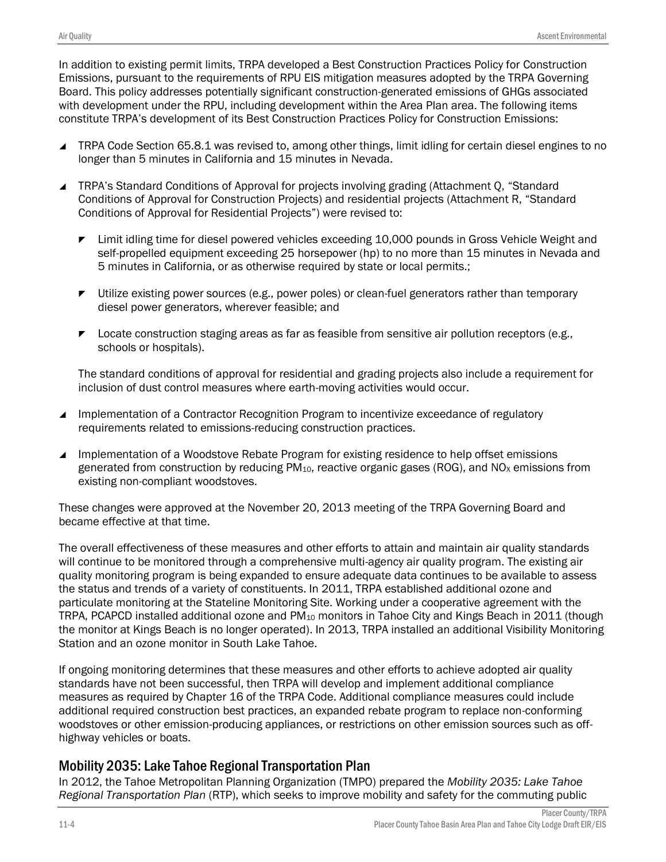In addition to existing permit limits, TRPA developed a Best Construction Practices Policy for Construction Emissions, pursuant to the requirements of RPU EIS mitigation measures adopted by the TRPA Governing Board. This policy addresses potentially significant construction-generated emissions of GHGs associated with development under the RPU, including development within the Area Plan area. The following items constitute TRPA's development of its Best Construction Practices Policy for Construction Emissions:

- TRPA Code Section 65.8.1 was revised to, among other things, limit idling for certain diesel engines to no longer than 5 minutes in California and 15 minutes in Nevada.
- TRPA's Standard Conditions of Approval for projects involving grading (Attachment Q, "Standard Conditions of Approval for Construction Projects) and residential projects (Attachment R, "Standard Conditions of Approval for Residential Projects") were revised to:
	- ► Limit idling time for diesel powered vehicles exceeding 10,000 pounds in Gross Vehicle Weight and self-propelled equipment exceeding 25 horsepower (hp) to no more than 15 minutes in Nevada and 5 minutes in California, or as otherwise required by state or local permits.;
	- $\blacktriangleright$  Utilize existing power sources (e.g., power poles) or clean-fuel generators rather than temporary diesel power generators, wherever feasible; and
	- $\blacktriangleright$  Locate construction staging areas as far as feasible from sensitive air pollution receptors (e.g., schools or hospitals).

The standard conditions of approval for residential and grading projects also include a requirement for inclusion of dust control measures where earth-moving activities would occur.

- Implementation of a Contractor Recognition Program to incentivize exceedance of regulatory requirements related to emissions-reducing construction practices.
- Implementation of a Woodstove Rebate Program for existing residence to help offset emissions generated from construction by reducing  $PM_{10}$ , reactive organic gases (ROG), and NO<sub>x</sub> emissions from existing non-compliant woodstoves.

These changes were approved at the November 20, 2013 meeting of the TRPA Governing Board and became effective at that time.

The overall effectiveness of these measures and other efforts to attain and maintain air quality standards will continue to be monitored through a comprehensive multi-agency air quality program. The existing air quality monitoring program is being expanded to ensure adequate data continues to be available to assess the status and trends of a variety of constituents. In 2011, TRPA established additional ozone and particulate monitoring at the Stateline Monitoring Site. Working under a cooperative agreement with the TRPA, PCAPCD installed additional ozone and  $PM_{10}$  monitors in Tahoe City and Kings Beach in 2011 (though the monitor at Kings Beach is no longer operated). In 2013, TRPA installed an additional Visibility Monitoring Station and an ozone monitor in South Lake Tahoe.

If ongoing monitoring determines that these measures and other efforts to achieve adopted air quality standards have not been successful, then TRPA will develop and implement additional compliance measures as required by Chapter 16 of the TRPA Code. Additional compliance measures could include additional required construction best practices, an expanded rebate program to replace non-conforming woodstoves or other emission-producing appliances, or restrictions on other emission sources such as offhighway vehicles or boats.

# Mobility 2035: Lake Tahoe Regional Transportation Plan

In 2012, the Tahoe Metropolitan Planning Organization (TMPO) prepared the *Mobility 2035: Lake Tahoe Regional Transportation Plan* (RTP), which seeks to improve mobility and safety for the commuting public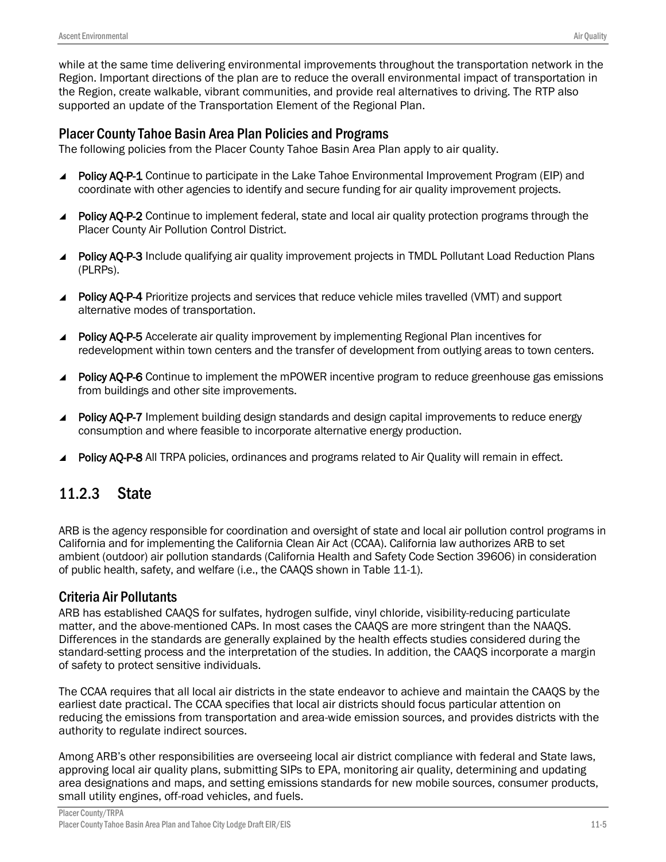while at the same time delivering environmental improvements throughout the transportation network in the Region. Important directions of the plan are to reduce the overall environmental impact of transportation in the Region, create walkable, vibrant communities, and provide real alternatives to driving. The RTP also supported an update of the Transportation Element of the Regional Plan.

### Placer County Tahoe Basin Area Plan Policies and Programs

The following policies from the Placer County Tahoe Basin Area Plan apply to air quality.

- Policy AO-P-1 Continue to participate in the Lake Tahoe Environmental Improvement Program (EIP) and coordinate with other agencies to identify and secure funding for air quality improvement projects.
- **Policy AQ-P-2** Continue to implement federal, state and local air quality protection programs through the Placer County Air Pollution Control District.
- Policy AQ-P-3 Include qualifying air quality improvement projects in TMDL Pollutant Load Reduction Plans (PLRPs).
- Policy AQ-P-4 Prioritize projects and services that reduce vehicle miles travelled (VMT) and support alternative modes of transportation.
- Policy AO-P-5 Accelerate air quality improvement by implementing Regional Plan incentives for redevelopment within town centers and the transfer of development from outlying areas to town centers.
- Policy AQ-P-6 Continue to implement the mPOWER incentive program to reduce greenhouse gas emissions from buildings and other site improvements.
- **Policy AQ-P-7** Implement building design standards and design capital improvements to reduce energy consumption and where feasible to incorporate alternative energy production.
- Policy AQ-P-8 All TRPA policies, ordinances and programs related to Air Quality will remain in effect.

# 11.2.3 State

ARB is the agency responsible for coordination and oversight of state and local air pollution control programs in California and for implementing the California Clean Air Act (CCAA). California law authorizes ARB to set ambient (outdoor) air pollution standards (California Health and Safety Code Section 39606) in consideration of public health, safety, and welfare (i.e., the CAAQS shown in Table 11-1).

# Criteria Air Pollutants

ARB has established CAAQS for sulfates, hydrogen sulfide, vinyl chloride, visibility-reducing particulate matter, and the above-mentioned CAPs. In most cases the CAAQS are more stringent than the NAAQS. Differences in the standards are generally explained by the health effects studies considered during the standard-setting process and the interpretation of the studies. In addition, the CAAQS incorporate a margin of safety to protect sensitive individuals.

The CCAA requires that all local air districts in the state endeavor to achieve and maintain the CAAQS by the earliest date practical. The CCAA specifies that local air districts should focus particular attention on reducing the emissions from transportation and area-wide emission sources, and provides districts with the authority to regulate indirect sources.

Among ARB's other responsibilities are overseeing local air district compliance with federal and State laws, approving local air quality plans, submitting SIPs to EPA, monitoring air quality, determining and updating area designations and maps, and setting emissions standards for new mobile sources, consumer products, small utility engines, off-road vehicles, and fuels.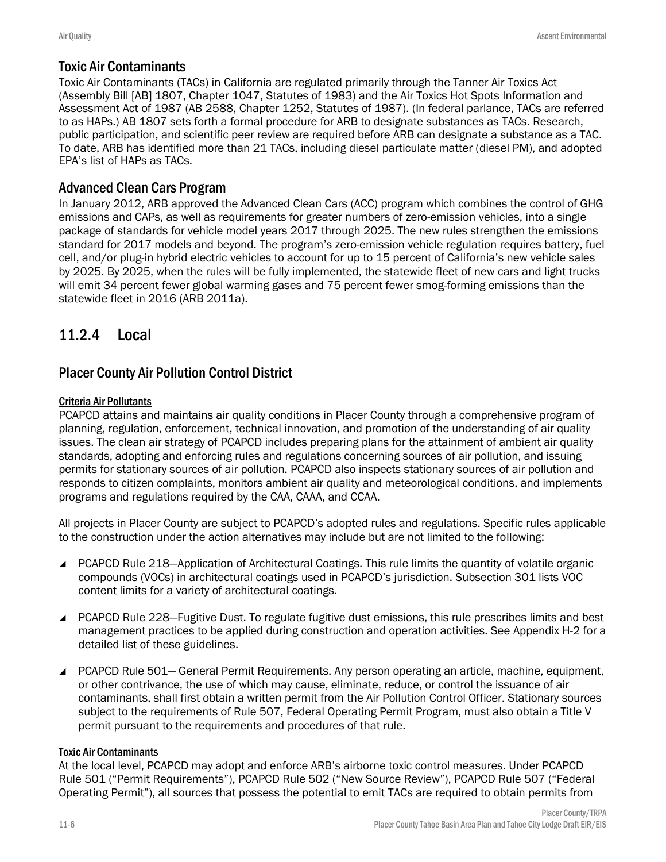# Toxic Air Contaminants

Toxic Air Contaminants (TACs) in California are regulated primarily through the Tanner Air Toxics Act (Assembly Bill [AB] 1807, Chapter 1047, Statutes of 1983) and the Air Toxics Hot Spots Information and Assessment Act of 1987 (AB 2588, Chapter 1252, Statutes of 1987). (In federal parlance, TACs are referred to as HAPs.) AB 1807 sets forth a formal procedure for ARB to designate substances as TACs. Research, public participation, and scientific peer review are required before ARB can designate a substance as a TAC. To date, ARB has identified more than 21 TACs, including diesel particulate matter (diesel PM), and adopted EPA's list of HAPs as TACs.

# Advanced Clean Cars Program

In January 2012, ARB approved the Advanced Clean Cars (ACC) program which combines the control of GHG emissions and CAPs, as well as requirements for greater numbers of zero-emission vehicles, into a single package of standards for vehicle model years 2017 through 2025. The new rules strengthen the emissions standard for 2017 models and beyond. The program's zero-emission vehicle regulation requires battery, fuel cell, and/or plug-in hybrid electric vehicles to account for up to 15 percent of California's new vehicle sales by 2025. By 2025, when the rules will be fully implemented, the statewide fleet of new cars and light trucks will emit 34 percent fewer global warming gases and 75 percent fewer smog-forming emissions than the statewide fleet in 2016 (ARB 2011a).

# 11.2.4 Local

# Placer County Air Pollution Control District

### Criteria Air Pollutants

PCAPCD attains and maintains air quality conditions in Placer County through a comprehensive program of planning, regulation, enforcement, technical innovation, and promotion of the understanding of air quality issues. The clean air strategy of PCAPCD includes preparing plans for the attainment of ambient air quality standards, adopting and enforcing rules and regulations concerning sources of air pollution, and issuing permits for stationary sources of air pollution. PCAPCD also inspects stationary sources of air pollution and responds to citizen complaints, monitors ambient air quality and meteorological conditions, and implements programs and regulations required by the CAA, CAAA, and CCAA.

All projects in Placer County are subject to PCAPCD's adopted rules and regulations. Specific rules applicable to the construction under the action alternatives may include but are not limited to the following:

- PCAPCD Rule 218–Application of Architectural Coatings. This rule limits the quantity of volatile organic compounds (VOCs) in architectural coatings used in PCAPCD's jurisdiction. Subsection 301 lists VOC content limits for a variety of architectural coatings.
- PCAPCD Rule 228–Fugitive Dust. To regulate fugitive dust emissions, this rule prescribes limits and best management practices to be applied during construction and operation activities. See Appendix H-2 for a detailed list of these guidelines.
- PCAPCD Rule 501— General Permit Requirements. Any person operating an article, machine, equipment, or other contrivance, the use of which may cause, eliminate, reduce, or control the issuance of air contaminants, shall first obtain a written permit from the Air Pollution Control Officer. Stationary sources subject to the requirements of Rule 507, Federal Operating Permit Program, must also obtain a Title V permit pursuant to the requirements and procedures of that rule.

### Toxic Air Contaminants

At the local level, PCAPCD may adopt and enforce ARB's airborne toxic control measures. Under PCAPCD Rule 501 ("Permit Requirements"), PCAPCD Rule 502 ("New Source Review"), PCAPCD Rule 507 ("Federal Operating Permit"), all sources that possess the potential to emit TACs are required to obtain permits from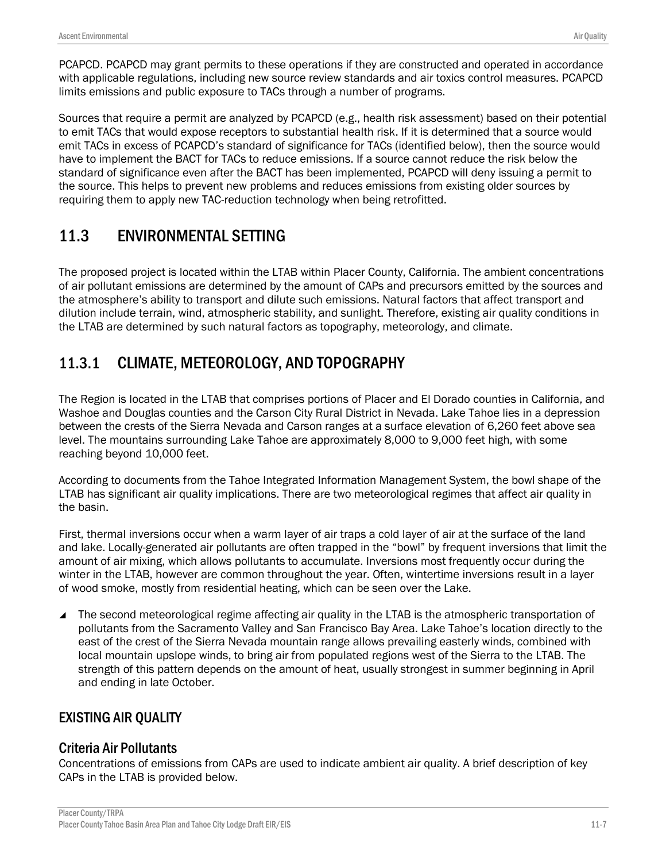PCAPCD. PCAPCD may grant permits to these operations if they are constructed and operated in accordance with applicable regulations, including new source review standards and air toxics control measures. PCAPCD limits emissions and public exposure to TACs through a number of programs.

Sources that require a permit are analyzed by PCAPCD (e.g., health risk assessment) based on their potential to emit TACs that would expose receptors to substantial health risk. If it is determined that a source would emit TACs in excess of PCAPCD's standard of significance for TACs (identified below), then the source would have to implement the BACT for TACs to reduce emissions. If a source cannot reduce the risk below the standard of significance even after the BACT has been implemented, PCAPCD will deny issuing a permit to the source. This helps to prevent new problems and reduces emissions from existing older sources by requiring them to apply new TAC-reduction technology when being retrofitted.

# 11.3 ENVIRONMENTAL SETTING

The proposed project is located within the LTAB within Placer County, California. The ambient concentrations of air pollutant emissions are determined by the amount of CAPs and precursors emitted by the sources and the atmosphere's ability to transport and dilute such emissions. Natural factors that affect transport and dilution include terrain, wind, atmospheric stability, and sunlight. Therefore, existing air quality conditions in the LTAB are determined by such natural factors as topography, meteorology, and climate.

# 11.3.1 CLIMATE, METEOROLOGY, AND TOPOGRAPHY

The Region is located in the LTAB that comprises portions of Placer and El Dorado counties in California, and Washoe and Douglas counties and the Carson City Rural District in Nevada. Lake Tahoe lies in a depression between the crests of the Sierra Nevada and Carson ranges at a surface elevation of 6,260 feet above sea level. The mountains surrounding Lake Tahoe are approximately 8,000 to 9,000 feet high, with some reaching beyond 10,000 feet.

According to documents from the Tahoe Integrated Information Management System, the bowl shape of the LTAB has significant air quality implications. There are two meteorological regimes that affect air quality in the basin.

First, thermal inversions occur when a warm layer of air traps a cold layer of air at the surface of the land and lake. Locally-generated air pollutants are often trapped in the "bowl" by frequent inversions that limit the amount of air mixing, which allows pollutants to accumulate. Inversions most frequently occur during the winter in the LTAB, however are common throughout the year. Often, wintertime inversions result in a layer of wood smoke, mostly from residential heating, which can be seen over the Lake.

■ The second meteorological regime affecting air quality in the LTAB is the atmospheric transportation of pollutants from the Sacramento Valley and San Francisco Bay Area. Lake Tahoe's location directly to the east of the crest of the Sierra Nevada mountain range allows prevailing easterly winds, combined with local mountain upslope winds, to bring air from populated regions west of the Sierra to the LTAB. The strength of this pattern depends on the amount of heat, usually strongest in summer beginning in April and ending in late October.

# EXISTING AIR QUALITY

# Criteria Air Pollutants

Concentrations of emissions from CAPs are used to indicate ambient air quality. A brief description of key CAPs in the LTAB is provided below.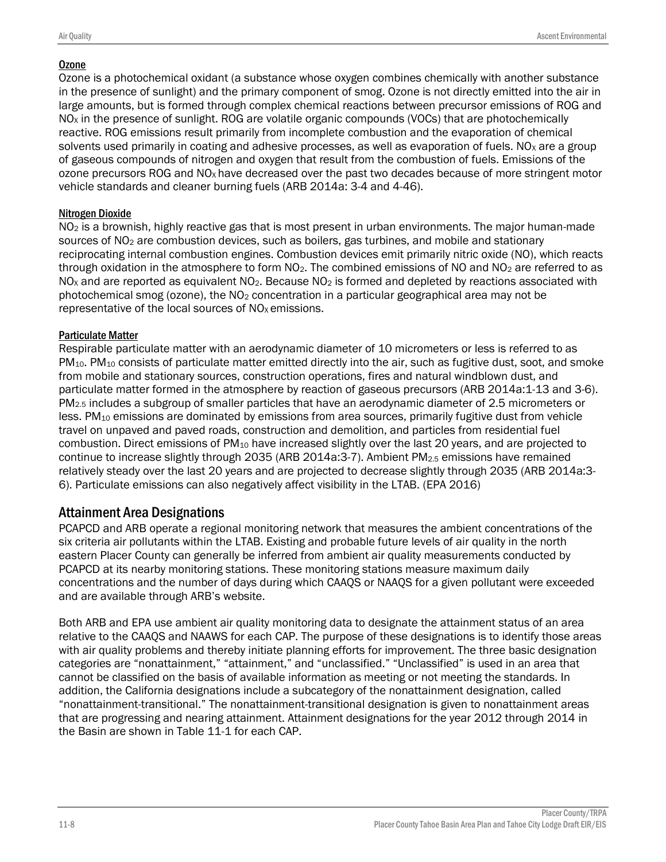### Ozone

Ozone is a photochemical oxidant (a substance whose oxygen combines chemically with another substance in the presence of sunlight) and the primary component of smog. Ozone is not directly emitted into the air in large amounts, but is formed through complex chemical reactions between precursor emissions of ROG and  $NO<sub>x</sub>$  in the presence of sunlight. ROG are volatile organic compounds (VOCs) that are photochemically reactive. ROG emissions result primarily from incomplete combustion and the evaporation of chemical solvents used primarily in coating and adhesive processes, as well as evaporation of fuels. NO<sub>x</sub> are a group of gaseous compounds of nitrogen and oxygen that result from the combustion of fuels. Emissions of the ozone precursors ROG and NO<sub>x</sub> have decreased over the past two decades because of more stringent motor vehicle standards and cleaner burning fuels (ARB 2014a: 3-4 and 4-46).

### Nitrogen Dioxide

NO<sub>2</sub> is a brownish, highly reactive gas that is most present in urban environments. The major human-made sources of NO<sub>2</sub> are combustion devices, such as boilers, gas turbines, and mobile and stationary reciprocating internal combustion engines. Combustion devices emit primarily nitric oxide (NO), which reacts through oxidation in the atmosphere to form  $NO<sub>2</sub>$ . The combined emissions of NO and  $NO<sub>2</sub>$  are referred to as  $NO<sub>x</sub>$  and are reported as equivalent  $NO<sub>2</sub>$ . Because  $NO<sub>2</sub>$  is formed and depleted by reactions associated with photochemical smog (ozone), the  $NO<sub>2</sub>$  concentration in a particular geographical area may not be representative of the local sources of  $NO<sub>x</sub>$  emissions.

### Particulate Matter

Respirable particulate matter with an aerodynamic diameter of 10 micrometers or less is referred to as  $PM_{10}$ . PM<sub>10</sub> consists of particulate matter emitted directly into the air, such as fugitive dust, soot, and smoke from mobile and stationary sources, construction operations, fires and natural windblown dust, and particulate matter formed in the atmosphere by reaction of gaseous precursors (ARB 2014a:1-13 and 3-6). PM2.5 includes a subgroup of smaller particles that have an aerodynamic diameter of 2.5 micrometers or less. PM<sup>10</sup> emissions are dominated by emissions from area sources, primarily fugitive dust from vehicle travel on unpaved and paved roads, construction and demolition, and particles from residential fuel combustion. Direct emissions of PM<sup>10</sup> have increased slightly over the last 20 years, and are projected to continue to increase slightly through 2035 (ARB 2014a:3-7). Ambient PM2.5 emissions have remained relatively steady over the last 20 years and are projected to decrease slightly through 2035 (ARB 2014a:3- 6). Particulate emissions can also negatively affect visibility in the LTAB. (EPA 2016)

# Attainment Area Designations

PCAPCD and ARB operate a regional monitoring network that measures the ambient concentrations of the six criteria air pollutants within the LTAB. Existing and probable future levels of air quality in the north eastern Placer County can generally be inferred from ambient air quality measurements conducted by PCAPCD at its nearby monitoring stations. These monitoring stations measure maximum daily concentrations and the number of days during which CAAQS or NAAQS for a given pollutant were exceeded and are available through ARB's website.

Both ARB and EPA use ambient air quality monitoring data to designate the attainment status of an area relative to the CAAQS and NAAWS for each CAP. The purpose of these designations is to identify those areas with air quality problems and thereby initiate planning efforts for improvement. The three basic designation categories are "nonattainment," "attainment," and "unclassified." "Unclassified" is used in an area that cannot be classified on the basis of available information as meeting or not meeting the standards. In addition, the California designations include a subcategory of the nonattainment designation, called "nonattainment-transitional." The nonattainment-transitional designation is given to nonattainment areas that are progressing and nearing attainment. Attainment designations for the year 2012 through 2014 in the Basin are shown in Table 11-1 for each CAP.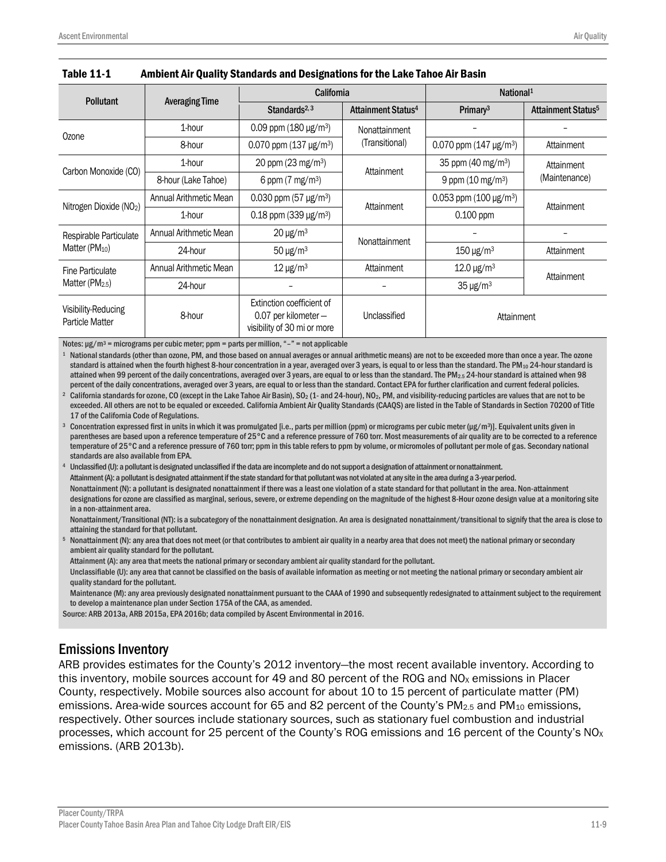|                                               | <b>Pollutant</b>       |                                                                                    | California                     | National <sup>1</sup>          |                                |  |
|-----------------------------------------------|------------------------|------------------------------------------------------------------------------------|--------------------------------|--------------------------------|--------------------------------|--|
|                                               | <b>Averaging Time</b>  | Standards $2,3$                                                                    | Attainment Status <sup>4</sup> | Primary <sup>3</sup>           | Attainment Status <sup>5</sup> |  |
| Ozone                                         | 1-hour                 | 0.09 ppm $(180 \,\mu g/m^3)$                                                       | Nonattainment                  |                                |                                |  |
|                                               | 8-hour                 | 0.070 ppm $(137 \text{ µg/m}^3)$                                                   | (Transitional)                 | 0.070 ppm $(147 \,\mu g/m^3)$  | Attainment                     |  |
|                                               | 1-hour                 | 20 ppm (23 mg/m <sup>3</sup> )                                                     | Attainment                     | 35 ppm (40 mg/m <sup>3</sup> ) | Attainment                     |  |
| Carbon Monoxide (CO)                          | 8-hour (Lake Tahoe)    | 6 ppm $(7 \text{ mg/m}^3)$                                                         |                                | 9 ppm $(10 \text{ mg/m}^3)$    | (Maintenance)                  |  |
| Nitrogen Dioxide (NO <sub>2</sub> )           | Annual Arithmetic Mean | 0.030 ppm (57 $\mu$ g/m <sup>3</sup> )                                             | Attainment                     | 0.053 ppm $(100 \,\mu g/m^3)$  | Attainment                     |  |
|                                               | 1-hour                 | $0.18$ ppm (339 µg/m <sup>3</sup> )                                                |                                | $0.100$ ppm                    |                                |  |
| Respirable Particulate                        | Annual Arithmetic Mean | $20 \mu g/m3$                                                                      | Nonattainment                  |                                |                                |  |
| Matter (PM <sub>10</sub> )                    | 24-hour                | $50 \mu g/m3$                                                                      |                                | $150 \,\mathrm{\upmu g/m^3}$   | Attainment                     |  |
| <b>Fine Particulate</b>                       | Annual Arithmetic Mean | $12 \mu g/m^3$                                                                     | Attainment                     | $12.0 \,\mathrm{\upmu g/m^3}$  | Attainment                     |  |
| Matter (PM <sub>2.5</sub> )                   | 24-hour                |                                                                                    |                                | $35 \mu g/m3$                  |                                |  |
| Visibility-Reducing<br><b>Particle Matter</b> | 8-hour                 | Extinction coefficient of<br>0.07 per kilometer $-$<br>visibility of 30 mi or more | Unclassified                   | Attainment                     |                                |  |

| Table 11-1 | Ambient Air Quality Standards and Designations for the Lake Tahoe Air Basin |
|------------|-----------------------------------------------------------------------------|
|------------|-----------------------------------------------------------------------------|

Notes:  $\mu$ g/m<sup>3</sup> = micrograms per cubic meter; ppm = parts per million, "-" = not applicable

<sup>1</sup> National standards (other than ozone, PM, and those based on annual averages or annual arithmetic means) are not to be exceeded more than once a year. The ozone standard is attained when the fourth highest 8-hour concentration in a year, averaged over 3 years, is equal to or less than the standard. The PM<sub>10</sub> 24-hour standard is attained when 99 percent of the daily concentrations, averaged over 3 years, are equal to or less than the standard. The PM2.5 24-hour standard is attained when 98 percent of the daily concentrations, averaged over 3 years, are equal to or less than the standard. Contact EPA for further clarification and current federal policies.

<sup>2</sup> California standards for ozone, CO (except in the Lake Tahoe Air Basin), SO<sub>2</sub> (1- and 24-hour), NO<sub>2</sub>, PM, and visibility-reducing particles are values that are not to be exceeded. All others are not to be equaled or exceeded. California Ambient Air Quality Standards (CAAQS) are listed in the Table of Standards in Section 70200 of Title 17 of the California Code of Regulations.

 $3$  Concentration expressed first in units in which it was promulgated [i.e., parts per million (ppm) or micrograms per cubic meter (µg/m3)]. Equivalent units given in parentheses are based upon a reference temperature of 25°C and a reference pressure of 760 torr. Most measurements of air quality are to be corrected to a reference temperature of 25°C and a reference pressure of 760 torr; ppm in this table refers to ppm by volume, or micromoles of pollutant per mole of gas. Secondary national standards are also available from EPA.

Unclassified (U): a pollutant is designated unclassified if the data are incomplete and do not support a designation of attainment or nonattainment. Attainment (A): a pollutant is designated attainment if the state standard for that pollutant was not violated at any site in the area during a 3-year period. Nonattainment (N): a pollutant is designated nonattainment if there was a least one violation of a state standard for that pollutant in the area. Non-attainment designations for ozone are classified as marginal, serious, severe, or extreme depending on the magnitude of the highest 8-Hour ozone design value at a monitoring site in a non-attainment area.

Nonattainment/Transitional (NT): is a subcategory of the nonattainment designation. An area is designated nonattainment/transitional to signify that the area is close to attaining the standard for that pollutant.

Nonattainment (N): any area that does not meet (or that contributes to ambient air quality in a nearby area that does not meet) the national primary or secondary ambient air quality standard for the pollutant.

Attainment (A): any area that meets the national primary or secondary ambient air quality standard for the pollutant.

Unclassifiable (U): any area that cannot be classified on the basis of available information as meeting or not meeting the national primary or secondary ambient air quality standard for the pollutant.

Maintenance (M): any area previously designated nonattainment pursuant to the CAAA of 1990 and subsequently redesignated to attainment subject to the requirement to develop a maintenance plan under Section 175A of the CAA, as amended.

Source: ARB 2013a, ARB 2015a, EPA 2016b; data compiled by Ascent Environmental in 2016.

### Emissions Inventory

ARB provides estimates for the County's 2012 inventory—the most recent available inventory. According to this inventory, mobile sources account for 49 and 80 percent of the ROG and  $NO<sub>x</sub>$  emissions in Placer County, respectively. Mobile sources also account for about 10 to 15 percent of particulate matter (PM) emissions. Area-wide sources account for 65 and 82 percent of the County's PM<sub>2.5</sub> and PM<sub>10</sub> emissions, respectively. Other sources include stationary sources, such as stationary fuel combustion and industrial processes, which account for 25 percent of the County's ROG emissions and 16 percent of the County's  $NO<sub>X</sub>$ emissions. (ARB 2013b).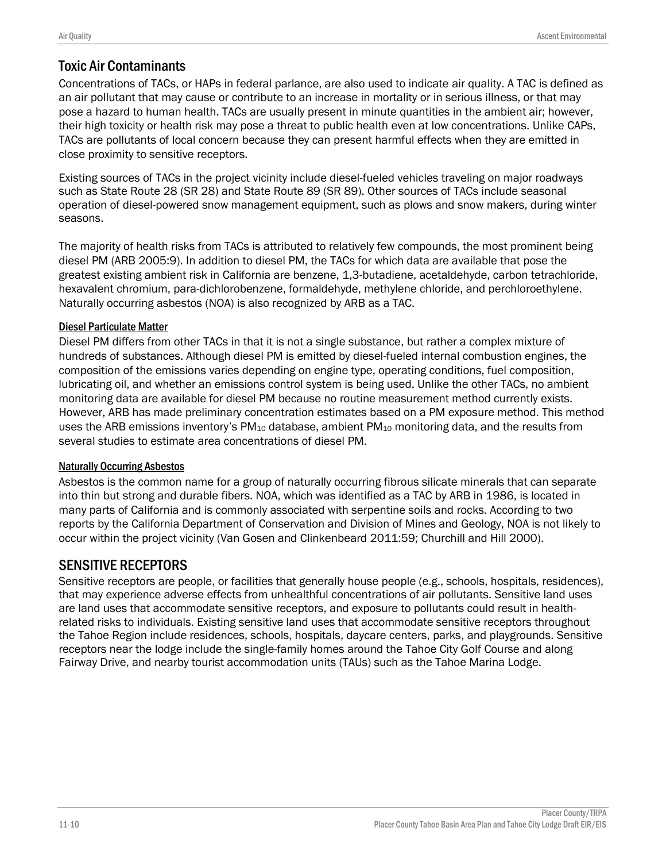# Toxic Air Contaminants

Concentrations of TACs, or HAPs in federal parlance, are also used to indicate air quality. A TAC is defined as an air pollutant that may cause or contribute to an increase in mortality or in serious illness, or that may pose a hazard to human health. TACs are usually present in minute quantities in the ambient air; however, their high toxicity or health risk may pose a threat to public health even at low concentrations. Unlike CAPs, TACs are pollutants of local concern because they can present harmful effects when they are emitted in close proximity to sensitive receptors.

Existing sources of TACs in the project vicinity include diesel-fueled vehicles traveling on major roadways such as State Route 28 (SR 28) and State Route 89 (SR 89). Other sources of TACs include seasonal operation of diesel-powered snow management equipment, such as plows and snow makers, during winter seasons.

The majority of health risks from TACs is attributed to relatively few compounds, the most prominent being diesel PM (ARB 2005:9). In addition to diesel PM, the TACs for which data are available that pose the greatest existing ambient risk in California are benzene, 1,3-butadiene, acetaldehyde, carbon tetrachloride, hexavalent chromium, para-dichlorobenzene, formaldehyde, methylene chloride, and perchloroethylene. Naturally occurring asbestos (NOA) is also recognized by ARB as a TAC.

### Diesel Particulate Matter

Diesel PM differs from other TACs in that it is not a single substance, but rather a complex mixture of hundreds of substances. Although diesel PM is emitted by diesel-fueled internal combustion engines, the composition of the emissions varies depending on engine type, operating conditions, fuel composition, lubricating oil, and whether an emissions control system is being used. Unlike the other TACs, no ambient monitoring data are available for diesel PM because no routine measurement method currently exists. However, ARB has made preliminary concentration estimates based on a PM exposure method. This method uses the ARB emissions inventory's PM<sub>10</sub> database, ambient PM<sub>10</sub> monitoring data, and the results from several studies to estimate area concentrations of diesel PM.

### Naturally Occurring Asbestos

Asbestos is the common name for a group of naturally occurring fibrous silicate minerals that can separate into thin but strong and durable fibers. NOA, which was identified as a TAC by ARB in 1986, is located in many parts of California and is commonly associated with serpentine soils and rocks. According to two reports by the California Department of Conservation and Division of Mines and Geology, NOA is not likely to occur within the project vicinity (Van Gosen and Clinkenbeard 2011:59; Churchill and Hill 2000).

# SENSITIVE RECEPTORS

Sensitive receptors are people, or facilities that generally house people (e.g., schools, hospitals, residences), that may experience adverse effects from unhealthful concentrations of air pollutants. Sensitive land uses are land uses that accommodate sensitive receptors, and exposure to pollutants could result in healthrelated risks to individuals. Existing sensitive land uses that accommodate sensitive receptors throughout the Tahoe Region include residences, schools, hospitals, daycare centers, parks, and playgrounds. Sensitive receptors near the lodge include the single-family homes around the Tahoe City Golf Course and along Fairway Drive, and nearby tourist accommodation units (TAUs) such as the Tahoe Marina Lodge.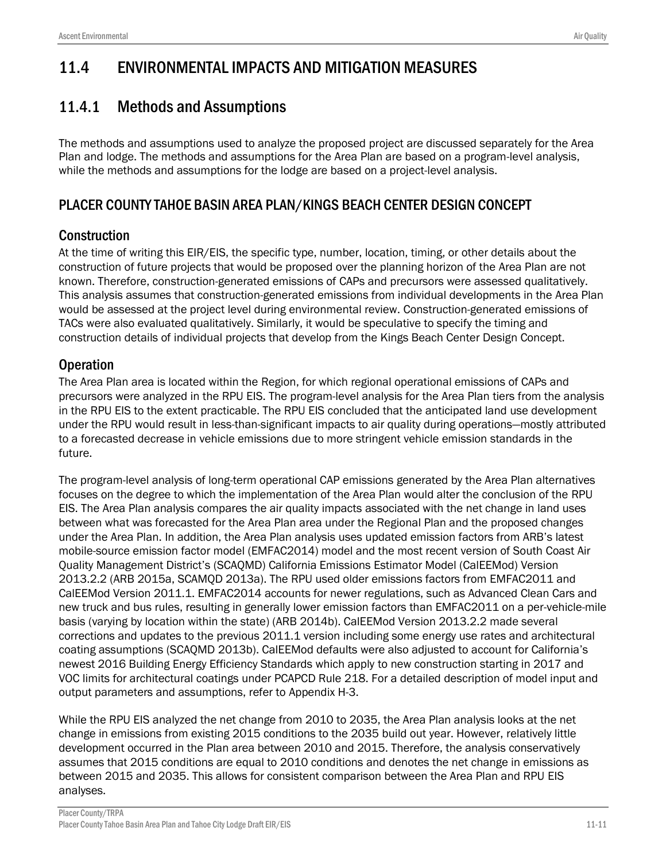# 11.4 ENVIRONMENTAL IMPACTS AND MITIGATION MEASURES

# 11.4.1 Methods and Assumptions

The methods and assumptions used to analyze the proposed project are discussed separately for the Area Plan and lodge. The methods and assumptions for the Area Plan are based on a program-level analysis, while the methods and assumptions for the lodge are based on a project-level analysis.

# PLACER COUNTY TAHOE BASIN AREA PLAN/KINGS BEACH CENTER DESIGN CONCEPT

# **Construction**

At the time of writing this EIR/EIS, the specific type, number, location, timing, or other details about the construction of future projects that would be proposed over the planning horizon of the Area Plan are not known. Therefore, construction-generated emissions of CAPs and precursors were assessed qualitatively. This analysis assumes that construction-generated emissions from individual developments in the Area Plan would be assessed at the project level during environmental review. Construction-generated emissions of TACs were also evaluated qualitatively. Similarly, it would be speculative to specify the timing and construction details of individual projects that develop from the Kings Beach Center Design Concept.

# **Operation**

The Area Plan area is located within the Region, for which regional operational emissions of CAPs and precursors were analyzed in the RPU EIS. The program-level analysis for the Area Plan tiers from the analysis in the RPU EIS to the extent practicable. The RPU EIS concluded that the anticipated land use development under the RPU would result in less-than-significant impacts to air quality during operations—mostly attributed to a forecasted decrease in vehicle emissions due to more stringent vehicle emission standards in the future.

The program-level analysis of long-term operational CAP emissions generated by the Area Plan alternatives focuses on the degree to which the implementation of the Area Plan would alter the conclusion of the RPU EIS. The Area Plan analysis compares the air quality impacts associated with the net change in land uses between what was forecasted for the Area Plan area under the Regional Plan and the proposed changes under the Area Plan. In addition, the Area Plan analysis uses updated emission factors from ARB's latest mobile-source emission factor model (EMFAC2014) model and the most recent version of South Coast Air Quality Management District's (SCAQMD) California Emissions Estimator Model (CalEEMod) Version 2013.2.2 (ARB 2015a, SCAMQD 2013a). The RPU used older emissions factors from EMFAC2011 and CalEEMod Version 2011.1. EMFAC2014 accounts for newer regulations, such as Advanced Clean Cars and new truck and bus rules, resulting in generally lower emission factors than EMFAC2011 on a per-vehicle-mile basis (varying by location within the state) (ARB 2014b). CalEEMod Version 2013.2.2 made several corrections and updates to the previous 2011.1 version including some energy use rates and architectural coating assumptions (SCAQMD 2013b). CalEEMod defaults were also adjusted to account for California's newest 2016 Building Energy Efficiency Standards which apply to new construction starting in 2017 and VOC limits for architectural coatings under PCAPCD Rule 218. For a detailed description of model input and output parameters and assumptions, refer to Appendix H-3.

While the RPU EIS analyzed the net change from 2010 to 2035, the Area Plan analysis looks at the net change in emissions from existing 2015 conditions to the 2035 build out year. However, relatively little development occurred in the Plan area between 2010 and 2015. Therefore, the analysis conservatively assumes that 2015 conditions are equal to 2010 conditions and denotes the net change in emissions as between 2015 and 2035. This allows for consistent comparison between the Area Plan and RPU EIS analyses.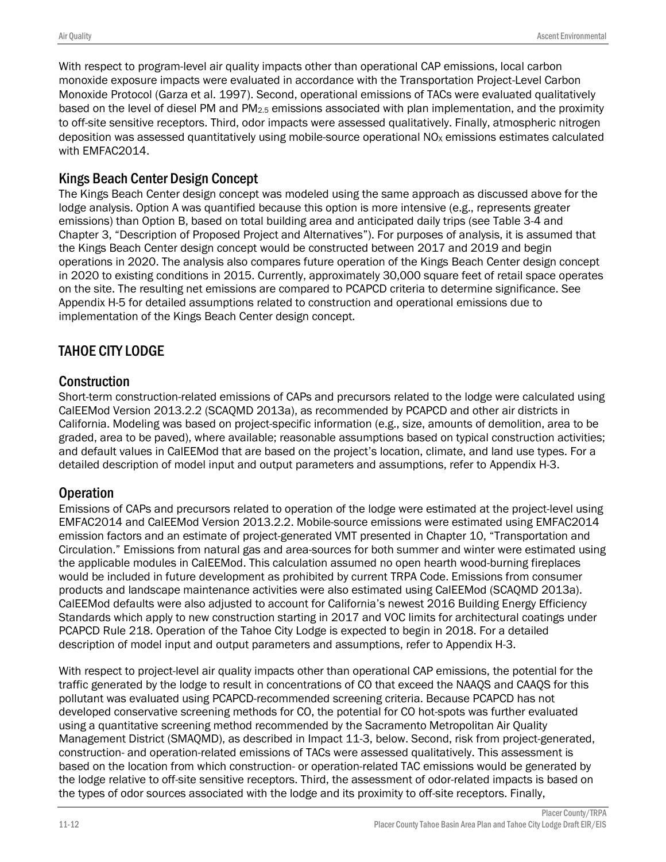With respect to program-level air quality impacts other than operational CAP emissions, local carbon monoxide exposure impacts were evaluated in accordance with the Transportation Project-Level Carbon Monoxide Protocol (Garza et al. 1997). Second, operational emissions of TACs were evaluated qualitatively based on the level of diesel PM and PM2.5 emissions associated with plan implementation, and the proximity to off-site sensitive receptors. Third, odor impacts were assessed qualitatively. Finally, atmospheric nitrogen deposition was assessed quantitatively using mobile-source operational  $NO<sub>X</sub>$  emissions estimates calculated with EMFAC2014.

# Kings Beach Center Design Concept

The Kings Beach Center design concept was modeled using the same approach as discussed above for the lodge analysis. Option A was quantified because this option is more intensive (e.g., represents greater emissions) than Option B, based on total building area and anticipated daily trips (see Table 3-4 and Chapter 3, "Description of Proposed Project and Alternatives"). For purposes of analysis, it is assumed that the Kings Beach Center design concept would be constructed between 2017 and 2019 and begin operations in 2020. The analysis also compares future operation of the Kings Beach Center design concept in 2020 to existing conditions in 2015. Currently, approximately 30,000 square feet of retail space operates on the site. The resulting net emissions are compared to PCAPCD criteria to determine significance. See Appendix H-5 for detailed assumptions related to construction and operational emissions due to implementation of the Kings Beach Center design concept.

# TAHOE CITY LODGE

# **Construction**

Short-term construction-related emissions of CAPs and precursors related to the lodge were calculated using CalEEMod Version 2013.2.2 (SCAQMD 2013a), as recommended by PCAPCD and other air districts in California. Modeling was based on project-specific information (e.g., size, amounts of demolition, area to be graded, area to be paved), where available; reasonable assumptions based on typical construction activities; and default values in CalEEMod that are based on the project's location, climate, and land use types. For a detailed description of model input and output parameters and assumptions, refer to Appendix H-3.

# **Operation**

Emissions of CAPs and precursors related to operation of the lodge were estimated at the project-level using EMFAC2014 and CalEEMod Version 2013.2.2. Mobile-source emissions were estimated using EMFAC2014 emission factors and an estimate of project-generated VMT presented in Chapter 10, "Transportation and Circulation." Emissions from natural gas and area-sources for both summer and winter were estimated using the applicable modules in CalEEMod. This calculation assumed no open hearth wood-burning fireplaces would be included in future development as prohibited by current TRPA Code. Emissions from consumer products and landscape maintenance activities were also estimated using CalEEMod (SCAQMD 2013a). CalEEMod defaults were also adjusted to account for California's newest 2016 Building Energy Efficiency Standards which apply to new construction starting in 2017 and VOC limits for architectural coatings under PCAPCD Rule 218. Operation of the Tahoe City Lodge is expected to begin in 2018. For a detailed description of model input and output parameters and assumptions, refer to Appendix H-3.

With respect to project-level air quality impacts other than operational CAP emissions, the potential for the traffic generated by the lodge to result in concentrations of CO that exceed the NAAQS and CAAQS for this pollutant was evaluated using PCAPCD-recommended screening criteria. Because PCAPCD has not developed conservative screening methods for CO, the potential for CO hot-spots was further evaluated using a quantitative screening method recommended by the Sacramento Metropolitan Air Quality Management District (SMAQMD), as described in Impact 11-3, below. Second, risk from project-generated, construction- and operation-related emissions of TACs were assessed qualitatively. This assessment is based on the location from which construction- or operation-related TAC emissions would be generated by the lodge relative to off-site sensitive receptors. Third, the assessment of odor-related impacts is based on the types of odor sources associated with the lodge and its proximity to off-site receptors. Finally,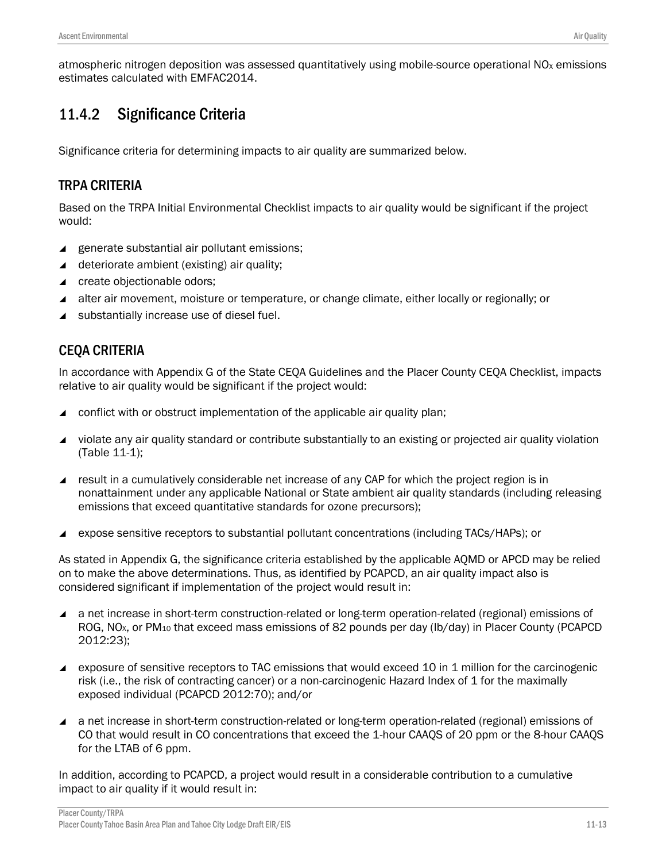atmospheric nitrogen deposition was assessed quantitatively using mobile-source operational NO<sub>x</sub> emissions estimates calculated with EMFAC2014.

# 11.4.2 Significance Criteria

Significance criteria for determining impacts to air quality are summarized below.

# TRPA CRITERIA

Based on the TRPA Initial Environmental Checklist impacts to air quality would be significant if the project would:

- ▲ generate substantial air pollutant emissions;
- $\triangleleft$  deteriorate ambient (existing) air quality;
- ▲ create objectionable odors;
- alter air movement, moisture or temperature, or change climate, either locally or regionally; or
- ▲ substantially increase use of diesel fuel.

# CEQA CRITERIA

In accordance with Appendix G of the State CEQA Guidelines and the Placer County CEQA Checklist, impacts relative to air quality would be significant if the project would:

- conflict with or obstruct implementation of the applicable air quality plan;
- violate any air quality standard or contribute substantially to an existing or projected air quality violation (Table 11-1);
- result in a cumulatively considerable net increase of any CAP for which the project region is in nonattainment under any applicable National or State ambient air quality standards (including releasing emissions that exceed quantitative standards for ozone precursors);
- expose sensitive receptors to substantial pollutant concentrations (including TACs/HAPs); or

As stated in Appendix G, the significance criteria established by the applicable AQMD or APCD may be relied on to make the above determinations. Thus, as identified by PCAPCD, an air quality impact also is considered significant if implementation of the project would result in:

- a net increase in short-term construction-related or long-term operation-related (regional) emissions of ROG, NO<sub>x</sub>, or PM<sub>10</sub> that exceed mass emissions of 82 pounds per day (lb/day) in Placer County (PCAPCD 2012:23);
- ▲ exposure of sensitive receptors to TAC emissions that would exceed 10 in 1 million for the carcinogenic risk (i.e., the risk of contracting cancer) or a non-carcinogenic Hazard Index of 1 for the maximally exposed individual (PCAPCD 2012:70); and/or
- a net increase in short-term construction-related or long-term operation-related (regional) emissions of CO that would result in CO concentrations that exceed the 1-hour CAAQS of 20 ppm or the 8-hour CAAQS for the LTAB of 6 ppm.

In addition, according to PCAPCD, a project would result in a considerable contribution to a cumulative impact to air quality if it would result in: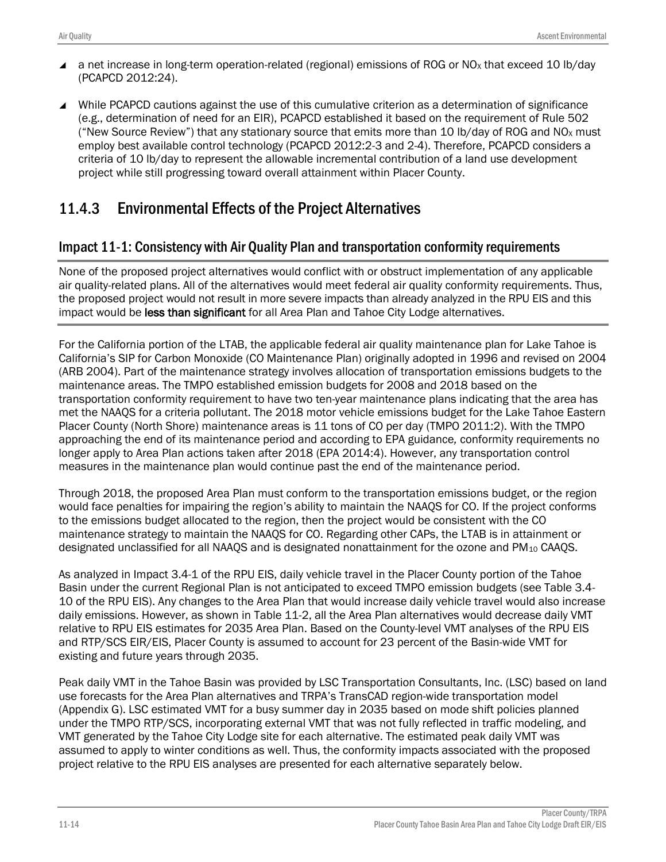- a net increase in long-term operation-related (regional) emissions of ROG or NO<sub>x</sub> that exceed 10 lb/day (PCAPCD 2012:24).
- While PCAPCD cautions against the use of this cumulative criterion as a determination of significance (e.g., determination of need for an EIR), PCAPCD established it based on the requirement of Rule 502 ("New Source Review") that any stationary source that emits more than 10 lb/day of ROG and NO<sub>x</sub> must employ best available control technology (PCAPCD 2012:2-3 and 2-4). Therefore, PCAPCD considers a criteria of 10 lb/day to represent the allowable incremental contribution of a land use development project while still progressing toward overall attainment within Placer County.

# 11.4.3 Environmental Effects of the Project Alternatives

# Impact 11-1: Consistency with Air Quality Plan and transportation conformity requirements

None of the proposed project alternatives would conflict with or obstruct implementation of any applicable air quality-related plans. All of the alternatives would meet federal air quality conformity requirements. Thus, the proposed project would not result in more severe impacts than already analyzed in the RPU EIS and this impact would be less than significant for all Area Plan and Tahoe City Lodge alternatives.

For the California portion of the LTAB, the applicable federal air quality maintenance plan for Lake Tahoe is California's SIP for Carbon Monoxide (CO Maintenance Plan) originally adopted in 1996 and revised on 2004 (ARB 2004). Part of the maintenance strategy involves allocation of transportation emissions budgets to the maintenance areas. The TMPO established emission budgets for 2008 and 2018 based on the transportation conformity requirement to have two ten-year maintenance plans indicating that the area has met the NAAQS for a criteria pollutant. The 2018 motor vehicle emissions budget for the Lake Tahoe Eastern Placer County (North Shore) maintenance areas is 11 tons of CO per day (TMPO 2011:2). With the TMPO approaching the end of its maintenance period and according to EPA guidance*,* conformity requirements no longer apply to Area Plan actions taken after 2018 (EPA 2014:4). However, any transportation control measures in the maintenance plan would continue past the end of the maintenance period.

Through 2018, the proposed Area Plan must conform to the transportation emissions budget, or the region would face penalties for impairing the region's ability to maintain the NAAQS for CO. If the project conforms to the emissions budget allocated to the region, then the project would be consistent with the CO maintenance strategy to maintain the NAAQS for CO. Regarding other CAPs, the LTAB is in attainment or designated unclassified for all NAAQS and is designated nonattainment for the ozone and PM<sub>10</sub> CAAQS.

As analyzed in Impact 3.4-1 of the RPU EIS, daily vehicle travel in the Placer County portion of the Tahoe Basin under the current Regional Plan is not anticipated to exceed TMPO emission budgets (see Table 3.4- 10 of the RPU EIS). Any changes to the Area Plan that would increase daily vehicle travel would also increase daily emissions. However, as shown in Table 11-2, all the Area Plan alternatives would decrease daily VMT relative to RPU EIS estimates for 2035 Area Plan. Based on the County-level VMT analyses of the RPU EIS and RTP/SCS EIR/EIS, Placer County is assumed to account for 23 percent of the Basin-wide VMT for existing and future years through 2035.

Peak daily VMT in the Tahoe Basin was provided by LSC Transportation Consultants, Inc. (LSC) based on land use forecasts for the Area Plan alternatives and TRPA's TransCAD region-wide transportation model (Appendix G). LSC estimated VMT for a busy summer day in 2035 based on mode shift policies planned under the TMPO RTP/SCS, incorporating external VMT that was not fully reflected in traffic modeling, and VMT generated by the Tahoe City Lodge site for each alternative. The estimated peak daily VMT was assumed to apply to winter conditions as well. Thus, the conformity impacts associated with the proposed project relative to the RPU EIS analyses are presented for each alternative separately below.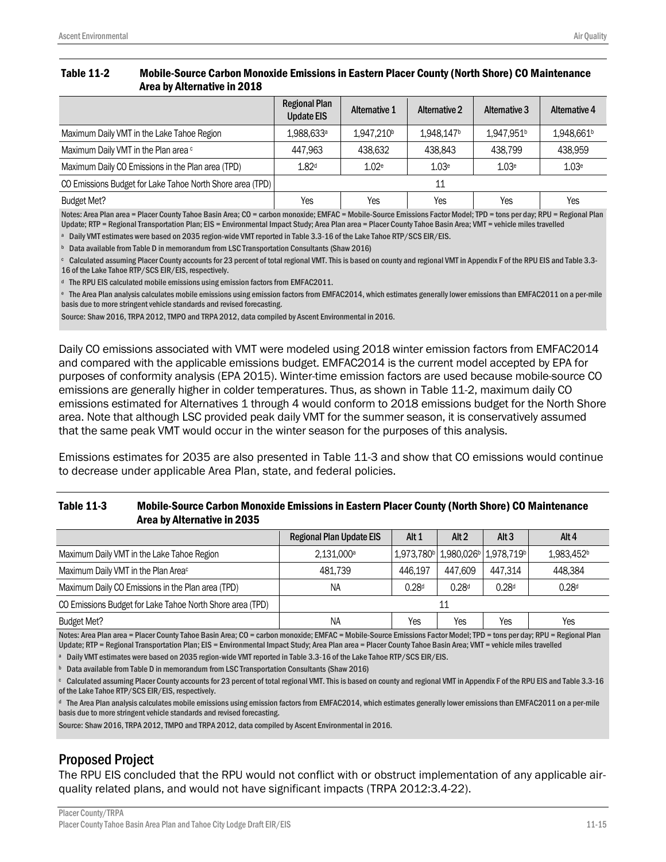#### Table 11-2 Mobile-Source Carbon Monoxide Emissions in Eastern Placer County (North Shore) CO Maintenance Area by Alternative in 2018

|                                                           | <b>Regional Plan</b><br><b>Update EIS</b> | <b>Alternative 1</b>   | <b>Alternative 2</b> | Alternative 3          | Alternative 4          |
|-----------------------------------------------------------|-------------------------------------------|------------------------|----------------------|------------------------|------------------------|
| Maximum Daily VMT in the Lake Tahoe Region                | 1.988.633 <sup>a</sup>                    | 1.947.210 <sup>b</sup> | 1.948.147b           | 1.947.951 <sup>b</sup> | 1,948,661 <sup>b</sup> |
| Maximum Daily VMT in the Plan area c                      | 447.963                                   | 438.632                | 438.843              | 438.799                | 438.959                |
| Maximum Daily CO Emissions in the Plan area (TPD)         | 1.82 <sup>d</sup>                         | 1.02 <sup>e</sup>      | 1.03 <sup>e</sup>    | 1.03 <sup>e</sup>      | 1.03 <sup>e</sup>      |
| CO Emissions Budget for Lake Tahoe North Shore area (TPD) |                                           |                        | 11                   |                        |                        |
| <b>Budget Met?</b>                                        | Yes                                       | Yes                    | Yes                  | Yes                    | Yes                    |

Notes: Area Plan area = Placer County Tahoe Basin Area; CO = carbon monoxide; EMFAC = Mobile-Source Emissions Factor Model; TPD = tons per day; RPU = Regional Plan Update; RTP = Regional Transportation Plan; EIS = Environmental Impact Study; Area Plan area = Placer County Tahoe Basin Area; VMT = vehicle miles travelled

<sup>a</sup> Daily VMT estimates were based on 2035 region-wide VMT reported in Table 3.3-16 of the Lake Tahoe RTP/SCS EIR/EIS.

**b** Data available from Table D in memorandum from LSC Transportation Consultants (Shaw 2016)

<sup>c</sup> Calculated assuming Placer County accounts for 23 percent of total regional VMT. This is based on county and regional VMT in Appendix F of the RPU EIS and Table 3.3- 16 of the Lake Tahoe RTP/SCS EIR/EIS, respectively.

<sup>d</sup> The RPU EIS calculated mobile emissions using emission factors from EMFAC2011.

<sup>e</sup> The Area Plan analysis calculates mobile emissions using emission factors from EMFAC2014, which estimates generally lower emissions than EMFAC2011 on a per-mile basis due to more stringent vehicle standards and revised forecasting.

Source: Shaw 2016, TRPA 2012, TMPO and TRPA 2012, data compiled by Ascent Environmental in 2016.

Daily CO emissions associated with VMT were modeled using 2018 winter emission factors from EMFAC2014 and compared with the applicable emissions budget. EMFAC2014 is the current model accepted by EPA for purposes of conformity analysis (EPA 2015). Winter-time emission factors are used because mobile-source CO emissions are generally higher in colder temperatures. Thus, as shown in Table 11-2, maximum daily CO emissions estimated for Alternatives 1 through 4 would conform to 2018 emissions budget for the North Shore area. Note that although LSC provided peak daily VMT for the summer season, it is conservatively assumed that the same peak VMT would occur in the winter season for the purposes of this analysis.

Emissions estimates for 2035 are also presented in Table 11-3 and show that CO emissions would continue to decrease under applicable Area Plan, state, and federal policies.

#### Table 11-3 Mobile-Source Carbon Monoxide Emissions in Eastern Placer County (North Shore) CO Maintenance Area by Alternative in 2035

|                                                           | <b>Regional Plan Update EIS</b> | Alt 1             | Alt <sub>2</sub>  | Alt $3$                            | Alt 4                  |
|-----------------------------------------------------------|---------------------------------|-------------------|-------------------|------------------------------------|------------------------|
| Maximum Daily VMT in the Lake Tahoe Region                | 2.131.000a                      |                   |                   | 1,973,780♭ 1,980,026♭   1,978,719♭ | 1.983.452 <sup>b</sup> |
| Maximum Daily VMT in the Plan Areac                       | 481.739                         | 446.197           | 447.609           | 447.314                            | 448.384                |
| Maximum Daily CO Emissions in the Plan area (TPD)         | NA                              | 0.28 <sup>d</sup> | 0.28 <sup>d</sup> | 0.28 <sup>d</sup>                  | 0.28 <sup>d</sup>      |
| CO Emissions Budget for Lake Tahoe North Shore area (TPD) |                                 |                   | 11                |                                    |                        |
| <b>Budget Met?</b>                                        | NA                              | Yes               | Yes               | Yes                                | Yes                    |

Notes: Area Plan area = Placer County Tahoe Basin Area; CO = carbon monoxide; EMFAC = Mobile-Source Emissions Factor Model; TPD = tons per day; RPU = Regional Plan Update; RTP = Regional Transportation Plan; EIS = Environmental Impact Study; Area Plan area = Placer County Tahoe Basin Area; VMT = vehicle miles travelled

<sup>a</sup> Daily VMT estimates were based on 2035 region-wide VMTreported in Table 3.3-16 of the Lake Tahoe RTP/SCS EIR/EIS.

**b** Data available from Table D in memorandum from LSC Transportation Consultants (Shaw 2016)

 $\cdot$  Calculated assuming Placer County accounts for 23 percent of total regional VMT. This is based on county and regional VMT in Appendix F of the RPU EIS and Table 3.3-16 of the Lake Tahoe RTP/SCS EIR/EIS, respectively.

<sup>d</sup> The Area Plan analysis calculates mobile emissions using emission factors from EMFAC2014, which estimates generally lower emissions than EMFAC2011 on a per-mile basis due to more stringent vehicle standards and revised forecasting.

Source: Shaw 2016, TRPA 2012, TMPO and TRPA 2012, data compiled by Ascent Environmental in 2016.

## Proposed Project

The RPU EIS concluded that the RPU would not conflict with or obstruct implementation of any applicable airquality related plans, and would not have significant impacts (TRPA 2012:3.4-22).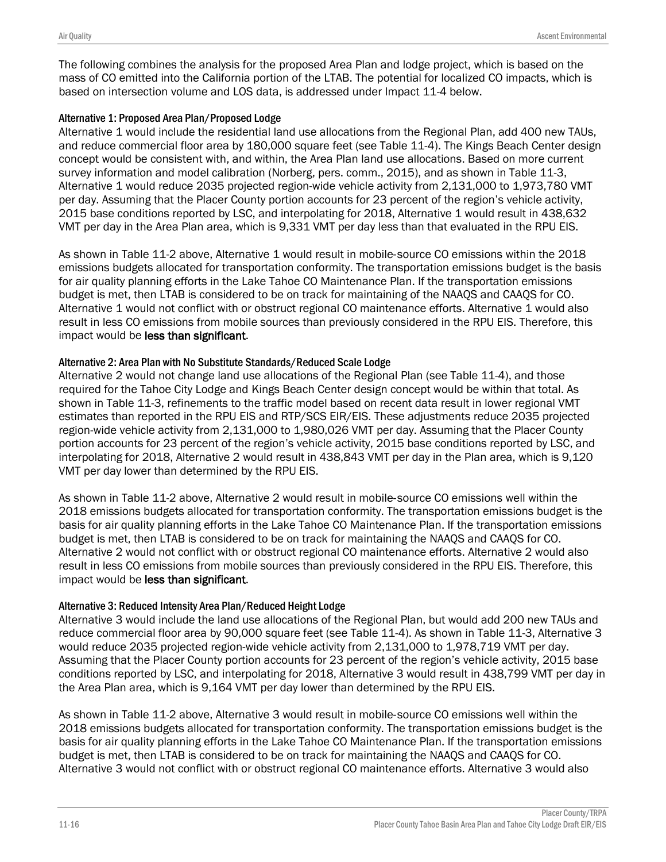The following combines the analysis for the proposed Area Plan and lodge project, which is based on the mass of CO emitted into the California portion of the LTAB. The potential for localized CO impacts, which is based on intersection volume and LOS data, is addressed under Impact 11-4 below.

#### Alternative 1: Proposed Area Plan/Proposed Lodge

Alternative 1 would include the residential land use allocations from the Regional Plan, add 400 new TAUs, and reduce commercial floor area by 180,000 square feet (see Table 11-4). The Kings Beach Center design concept would be consistent with, and within, the Area Plan land use allocations. Based on more current survey information and model calibration (Norberg, pers. comm., 2015), and as shown in Table 11-3, Alternative 1 would reduce 2035 projected region-wide vehicle activity from 2,131,000 to 1,973,780 VMT per day. Assuming that the Placer County portion accounts for 23 percent of the region's vehicle activity, 2015 base conditions reported by LSC, and interpolating for 2018, Alternative 1 would result in 438,632 VMT per day in the Area Plan area, which is 9,331 VMT per day less than that evaluated in the RPU EIS.

As shown in Table 11-2 above, Alternative 1 would result in mobile‐source CO emissions within the 2018 emissions budgets allocated for transportation conformity. The transportation emissions budget is the basis for air quality planning efforts in the Lake Tahoe CO Maintenance Plan. If the transportation emissions budget is met, then LTAB is considered to be on track for maintaining of the NAAQS and CAAQS for CO. Alternative 1 would not conflict with or obstruct regional CO maintenance efforts. Alternative 1 would also result in less CO emissions from mobile sources than previously considered in the RPU EIS. Therefore, this impact would be less than significant.

### Alternative 2: Area Plan with No Substitute Standards/Reduced Scale Lodge

Alternative 2 would not change land use allocations of the Regional Plan (see Table 11-4), and those required for the Tahoe City Lodge and Kings Beach Center design concept would be within that total. As shown in Table 11-3, refinements to the traffic model based on recent data result in lower regional VMT estimates than reported in the RPU EIS and RTP/SCS EIR/EIS. These adjustments reduce 2035 projected region-wide vehicle activity from 2,131,000 to 1,980,026 VMT per day. Assuming that the Placer County portion accounts for 23 percent of the region's vehicle activity, 2015 base conditions reported by LSC, and interpolating for 2018, Alternative 2 would result in 438,843 VMT per day in the Plan area, which is 9,120 VMT per day lower than determined by the RPU EIS.

As shown in Table 11-2 above, Alternative 2 would result in mobile‐source CO emissions well within the 2018 emissions budgets allocated for transportation conformity. The transportation emissions budget is the basis for air quality planning efforts in the Lake Tahoe CO Maintenance Plan. If the transportation emissions budget is met, then LTAB is considered to be on track for maintaining the NAAQS and CAAQS for CO. Alternative 2 would not conflict with or obstruct regional CO maintenance efforts. Alternative 2 would also result in less CO emissions from mobile sources than previously considered in the RPU EIS. Therefore, this impact would be less than significant.

### Alternative 3: Reduced Intensity Area Plan/Reduced Height Lodge

Alternative 3 would include the land use allocations of the Regional Plan, but would add 200 new TAUs and reduce commercial floor area by 90,000 square feet (see Table 11-4). As shown in Table 11-3, Alternative 3 would reduce 2035 projected region-wide vehicle activity from 2,131,000 to 1,978,719 VMT per day. Assuming that the Placer County portion accounts for 23 percent of the region's vehicle activity, 2015 base conditions reported by LSC, and interpolating for 2018, Alternative 3 would result in 438,799 VMT per day in the Area Plan area, which is 9,164 VMT per day lower than determined by the RPU EIS.

As shown in Table 11-2 above, Alternative 3 would result in mobile‐source CO emissions well within the 2018 emissions budgets allocated for transportation conformity. The transportation emissions budget is the basis for air quality planning efforts in the Lake Tahoe CO Maintenance Plan. If the transportation emissions budget is met, then LTAB is considered to be on track for maintaining the NAAQS and CAAQS for CO. Alternative 3 would not conflict with or obstruct regional CO maintenance efforts. Alternative 3 would also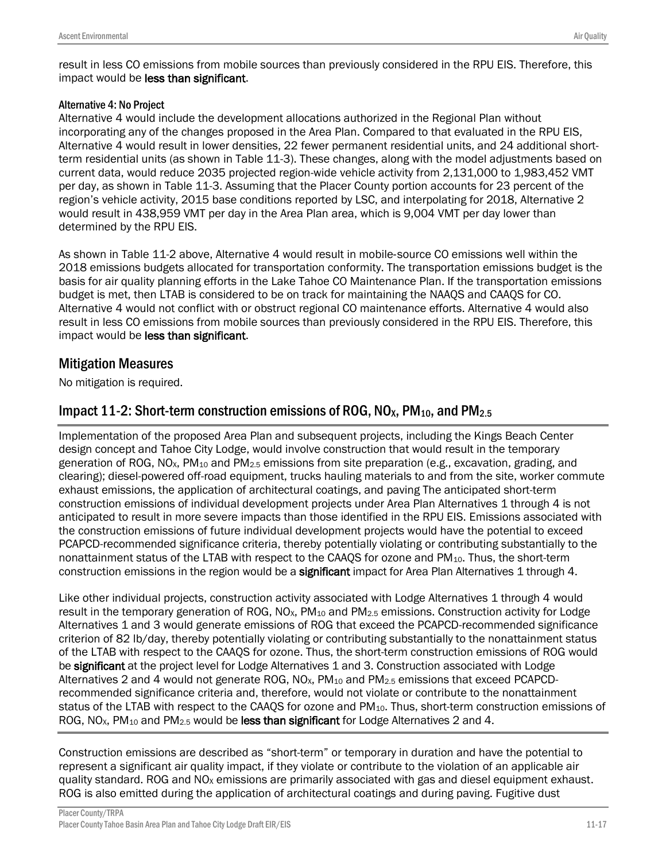result in less CO emissions from mobile sources than previously considered in the RPU EIS. Therefore, this impact would be less than significant.

### Alternative 4: No Project

Alternative 4 would include the development allocations authorized in the Regional Plan without incorporating any of the changes proposed in the Area Plan. Compared to that evaluated in the RPU EIS, Alternative 4 would result in lower densities, 22 fewer permanent residential units, and 24 additional shortterm residential units (as shown in Table 11-3). These changes, along with the model adjustments based on current data, would reduce 2035 projected region-wide vehicle activity from 2,131,000 to 1,983,452 VMT per day, as shown in Table 11-3. Assuming that the Placer County portion accounts for 23 percent of the region's vehicle activity, 2015 base conditions reported by LSC, and interpolating for 2018, Alternative 2 would result in 438,959 VMT per day in the Area Plan area, which is 9,004 VMT per day lower than determined by the RPU EIS.

As shown in Table 11-2 above, Alternative 4 would result in mobile‐source CO emissions well within the 2018 emissions budgets allocated for transportation conformity. The transportation emissions budget is the basis for air quality planning efforts in the Lake Tahoe CO Maintenance Plan. If the transportation emissions budget is met, then LTAB is considered to be on track for maintaining the NAAQS and CAAQS for CO. Alternative 4 would not conflict with or obstruct regional CO maintenance efforts. Alternative 4 would also result in less CO emissions from mobile sources than previously considered in the RPU EIS. Therefore, this impact would be less than significant.

# Mitigation Measures

No mitigation is required.

# Impact 11-2: Short-term construction emissions of ROG,  $NO<sub>X</sub>$ ,  $PM<sub>10</sub>$ , and  $PM<sub>2.5</sub>$

Implementation of the proposed Area Plan and subsequent projects, including the Kings Beach Center design concept and Tahoe City Lodge, would involve construction that would result in the temporary generation of ROG, NO<sub>x</sub>, PM<sub>10</sub> and PM<sub>2.5</sub> emissions from site preparation (e.g., excavation, grading, and clearing); diesel-powered off-road equipment, trucks hauling materials to and from the site, worker commute exhaust emissions, the application of architectural coatings, and paving The anticipated short-term construction emissions of individual development projects under Area Plan Alternatives 1 through 4 is not anticipated to result in more severe impacts than those identified in the RPU EIS. Emissions associated with the construction emissions of future individual development projects would have the potential to exceed PCAPCD-recommended significance criteria, thereby potentially violating or contributing substantially to the nonattainment status of the LTAB with respect to the CAAOS for ozone and PM<sub>10</sub>. Thus, the short-term construction emissions in the region would be a significant impact for Area Plan Alternatives 1 through 4.

Like other individual projects, construction activity associated with Lodge Alternatives 1 through 4 would result in the temporary generation of ROG,  $NO<sub>X</sub>$ , PM<sub>10</sub> and PM<sub>2.5</sub> emissions. Construction activity for Lodge Alternatives 1 and 3 would generate emissions of ROG that exceed the PCAPCD-recommended significance criterion of 82 lb/day, thereby potentially violating or contributing substantially to the nonattainment status of the LTAB with respect to the CAAQS for ozone. Thus, the short-term construction emissions of ROG would be significant at the project level for Lodge Alternatives 1 and 3. Construction associated with Lodge Alternatives 2 and 4 would not generate ROG, NO<sub>x</sub>, PM<sub>10</sub> and PM<sub>2.5</sub> emissions that exceed PCAPCDrecommended significance criteria and, therefore, would not violate or contribute to the nonattainment status of the LTAB with respect to the CAAQS for ozone and PM<sub>10</sub>. Thus, short-term construction emissions of ROG, NO<sub>x</sub>, PM<sub>10</sub> and PM<sub>2.5</sub> would be less than significant for Lodge Alternatives 2 and 4.

Construction emissions are described as "short-term" or temporary in duration and have the potential to represent a significant air quality impact, if they violate or contribute to the violation of an applicable air quality standard. ROG and  $NO<sub>X</sub>$  emissions are primarily associated with gas and diesel equipment exhaust. ROG is also emitted during the application of architectural coatings and during paving. Fugitive dust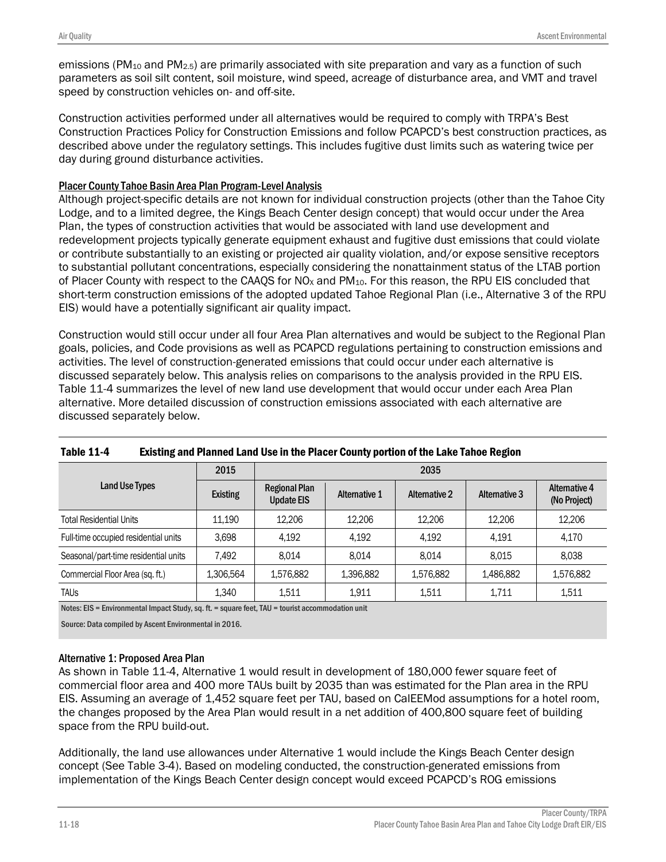emissions (PM<sub>10</sub> and PM<sub>2.5</sub>) are primarily associated with site preparation and vary as a function of such parameters as soil silt content, soil moisture, wind speed, acreage of disturbance area, and VMT and travel speed by construction vehicles on- and off-site.

Construction activities performed under all alternatives would be required to comply with TRPA's Best Construction Practices Policy for Construction Emissions and follow PCAPCD's best construction practices, as described above under the regulatory settings. This includes fugitive dust limits such as watering twice per day during ground disturbance activities.

### Placer County Tahoe Basin Area Plan Program-Level Analysis

Although project-specific details are not known for individual construction projects (other than the Tahoe City Lodge, and to a limited degree, the Kings Beach Center design concept) that would occur under the Area Plan, the types of construction activities that would be associated with land use development and redevelopment projects typically generate equipment exhaust and fugitive dust emissions that could violate or contribute substantially to an existing or projected air quality violation, and/or expose sensitive receptors to substantial pollutant concentrations, especially considering the nonattainment status of the LTAB portion of Placer County with respect to the CAAQS for NO<sub>x</sub> and PM<sub>10</sub>. For this reason, the RPU EIS concluded that short-term construction emissions of the adopted updated Tahoe Regional Plan (i.e., Alternative 3 of the RPU EIS) would have a potentially significant air quality impact.

Construction would still occur under all four Area Plan alternatives and would be subject to the Regional Plan goals, policies, and Code provisions as well as PCAPCD regulations pertaining to construction emissions and activities. The level of construction-generated emissions that could occur under each alternative is discussed separately below. This analysis relies on comparisons to the analysis provided in the RPU EIS. Table 11-4 summarizes the level of new land use development that would occur under each Area Plan alternative. More detailed discussion of construction emissions associated with each alternative are discussed separately below.

|                                      | 2015            |                                           |                      | 2035                 |               |                               |
|--------------------------------------|-----------------|-------------------------------------------|----------------------|----------------------|---------------|-------------------------------|
| <b>Land Use Types</b>                | <b>Existing</b> | <b>Regional Plan</b><br><b>Update EIS</b> | <b>Alternative 1</b> | <b>Alternative 2</b> | Alternative 3 | Alternative 4<br>(No Project) |
| <b>Total Residential Units</b>       | 11.190          | 12,206                                    | 12.206               | 12.206               | 12,206        | 12,206                        |
| Full-time occupied residential units | 3.698           | 4,192                                     | 4,192                | 4.192                | 4.191         | 4.170                         |
| Seasonal/part-time residential units | 7.492           | 8.014                                     | 8.014                | 8.014                | 8.015         | 8,038                         |
| Commercial Floor Area (sq. ft.)      | 1,306,564       | 1,576,882                                 | 1,396,882            | 1,576,882            | 1,486,882     | 1,576,882                     |
| <b>TAUS</b>                          | 1.340           | 1.511                                     | 1.911                | 1.511                | 1.711         | 1,511                         |

### Table 11-4 Existing and Planned Land Use in the Placer County portion of the Lake Tahoe Region

Notes: EIS = Environmental Impact Study, sq. ft. = square feet, TAU = tourist accommodation unit

Source: Data compiled by Ascent Environmental in 2016.

### Alternative 1: Proposed Area Plan

As shown in Table 11-4, Alternative 1 would result in development of 180,000 fewer square feet of commercial floor area and 400 more TAUs built by 2035 than was estimated for the Plan area in the RPU EIS. Assuming an average of 1,452 square feet per TAU, based on CalEEMod assumptions for a hotel room, the changes proposed by the Area Plan would result in a net addition of 400,800 square feet of building space from the RPU build-out.

Additionally, the land use allowances under Alternative 1 would include the Kings Beach Center design concept (See Table 3-4). Based on modeling conducted, the construction-generated emissions from implementation of the Kings Beach Center design concept would exceed PCAPCD's ROG emissions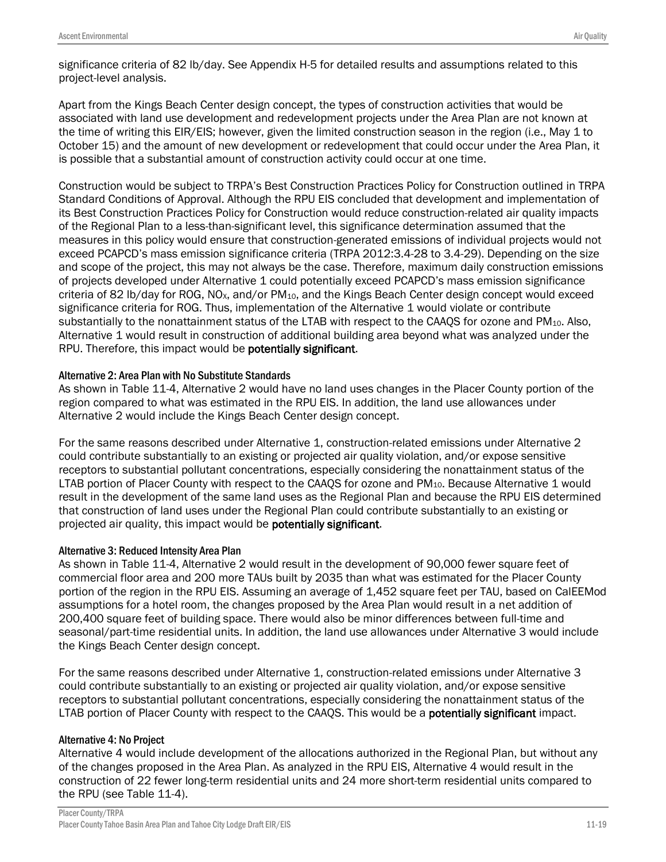significance criteria of 82 lb/day. See Appendix H-5 for detailed results and assumptions related to this project-level analysis.

Apart from the Kings Beach Center design concept, the types of construction activities that would be associated with land use development and redevelopment projects under the Area Plan are not known at the time of writing this EIR/EIS; however, given the limited construction season in the region (i.e., May 1 to October 15) and the amount of new development or redevelopment that could occur under the Area Plan, it is possible that a substantial amount of construction activity could occur at one time.

Construction would be subject to TRPA's Best Construction Practices Policy for Construction outlined in TRPA Standard Conditions of Approval. Although the RPU EIS concluded that development and implementation of its Best Construction Practices Policy for Construction would reduce construction-related air quality impacts of the Regional Plan to a less-than-significant level, this significance determination assumed that the measures in this policy would ensure that construction-generated emissions of individual projects would not exceed PCAPCD's mass emission significance criteria (TRPA 2012:3.4-28 to 3.4-29). Depending on the size and scope of the project, this may not always be the case. Therefore, maximum daily construction emissions of projects developed under Alternative 1 could potentially exceed PCAPCD's mass emission significance criteria of 82 lb/day for ROG, NO<sub>x</sub>, and/or  $PM_{10}$ , and the Kings Beach Center design concept would exceed significance criteria for ROG. Thus, implementation of the Alternative 1 would violate or contribute substantially to the nonattainment status of the LTAB with respect to the CAAOS for ozone and PM<sub>10</sub>. Also, Alternative 1 would result in construction of additional building area beyond what was analyzed under the RPU. Therefore, this impact would be potentially significant.

### Alternative 2: Area Plan with No Substitute Standards

As shown in Table 11-4, Alternative 2 would have no land uses changes in the Placer County portion of the region compared to what was estimated in the RPU EIS. In addition, the land use allowances under Alternative 2 would include the Kings Beach Center design concept.

For the same reasons described under Alternative 1, construction-related emissions under Alternative 2 could contribute substantially to an existing or projected air quality violation, and/or expose sensitive receptors to substantial pollutant concentrations, especially considering the nonattainment status of the LTAB portion of Placer County with respect to the CAAQS for ozone and PM<sub>10</sub>. Because Alternative 1 would result in the development of the same land uses as the Regional Plan and because the RPU EIS determined that construction of land uses under the Regional Plan could contribute substantially to an existing or projected air quality, this impact would be potentially significant.

### Alternative 3: Reduced Intensity Area Plan

As shown in Table 11-4, Alternative 2 would result in the development of 90,000 fewer square feet of commercial floor area and 200 more TAUs built by 2035 than what was estimated for the Placer County portion of the region in the RPU EIS. Assuming an average of 1,452 square feet per TAU, based on CalEEMod assumptions for a hotel room, the changes proposed by the Area Plan would result in a net addition of 200,400 square feet of building space. There would also be minor differences between full-time and seasonal/part-time residential units. In addition, the land use allowances under Alternative 3 would include the Kings Beach Center design concept.

For the same reasons described under Alternative 1, construction-related emissions under Alternative 3 could contribute substantially to an existing or projected air quality violation, and/or expose sensitive receptors to substantial pollutant concentrations, especially considering the nonattainment status of the LTAB portion of Placer County with respect to the CAAQS. This would be a **potentially significant** impact.

#### Alternative 4: No Project

Alternative 4 would include development of the allocations authorized in the Regional Plan, but without any of the changes proposed in the Area Plan. As analyzed in the RPU EIS, Alternative 4 would result in the construction of 22 fewer long-term residential units and 24 more short-term residential units compared to the RPU (see Table 11-4).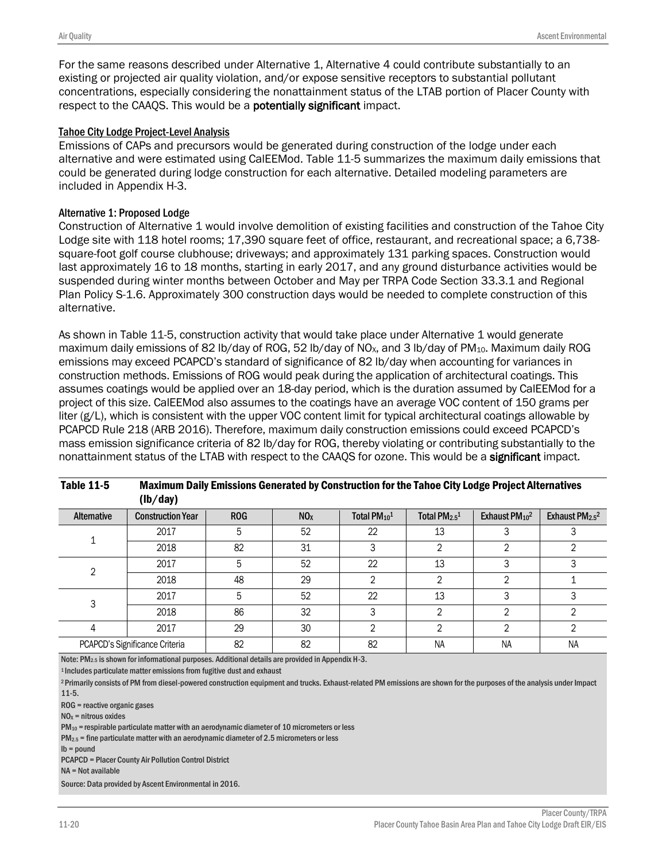For the same reasons described under Alternative 1, Alternative 4 could contribute substantially to an existing or projected air quality violation, and/or expose sensitive receptors to substantial pollutant concentrations, especially considering the nonattainment status of the LTAB portion of Placer County with respect to the CAAQS. This would be a potentially significant impact.

#### Tahoe City Lodge Project-Level Analysis

Emissions of CAPs and precursors would be generated during construction of the lodge under each alternative and were estimated using CalEEMod. Table 11-5 summarizes the maximum daily emissions that could be generated during lodge construction for each alternative. Detailed modeling parameters are included in Appendix H-3.

#### Alternative 1: Proposed Lodge

Construction of Alternative 1 would involve demolition of existing facilities and construction of the Tahoe City Lodge site with 118 hotel rooms; 17,390 square feet of office, restaurant, and recreational space; a 6,738 square-foot golf course clubhouse; driveways; and approximately 131 parking spaces. Construction would last approximately 16 to 18 months, starting in early 2017, and any ground disturbance activities would be suspended during winter months between October and May per TRPA Code Section 33.3.1 and Regional Plan Policy S-1.6. Approximately 300 construction days would be needed to complete construction of this alternative.

As shown in Table 11-5, construction activity that would take place under Alternative 1 would generate maximum daily emissions of 82 lb/day of ROG, 52 lb/day of NO<sub>x</sub>, and 3 lb/day of PM<sub>10</sub>. Maximum daily ROG emissions may exceed PCAPCD's standard of significance of 82 lb/day when accounting for variances in construction methods. Emissions of ROG would peak during the application of architectural coatings. This assumes coatings would be applied over an 18-day period, which is the duration assumed by CalEEMod for a project of this size. CalEEMod also assumes to the coatings have an average VOC content of 150 grams per liter (g/L), which is consistent with the upper VOC content limit for typical architectural coatings allowable by PCAPCD Rule 218 (ARB 2016). Therefore, maximum daily construction emissions could exceed PCAPCD's mass emission significance criteria of 82 lb/day for ROG, thereby violating or contributing substantially to the nonattainment status of the LTAB with respect to the CAAOS for ozone. This would be a **significant** impact.

|             | (IV/ udy)                      |            |                 |                          |                           |                                       |                                        |
|-------------|--------------------------------|------------|-----------------|--------------------------|---------------------------|---------------------------------------|----------------------------------------|
| Alternative | <b>Construction Year</b>       | <b>ROG</b> | NO <sub>X</sub> | Total PM <sub>10</sub> 1 | Total PM <sub>2.5</sub> 1 | Exhaust PM <sub>10</sub> <sup>2</sup> | Exhaust PM <sub>2.5</sub> <sup>2</sup> |
|             | 2017                           | 5          | 52              | 22                       | 13                        |                                       |                                        |
|             | 2018                           | 82         | 31              |                          | ∩                         |                                       |                                        |
| C           | 2017                           | 5          | 52              | 22                       | 13                        |                                       |                                        |
|             | 2018                           | 48         | 29              |                          | ∩                         |                                       |                                        |
|             | 2017                           | 5          | 52              | 22                       | 13                        |                                       |                                        |
|             | 2018                           | 86         | 32              |                          | ∩                         |                                       |                                        |
|             | 2017                           | 29         | 30              |                          | ∩                         | ◠                                     |                                        |
|             | PCAPCD's Significance Criteria | 82         | 82              | 82                       | <b>NA</b>                 | <b>NA</b>                             | NA                                     |

Table 11-5 Maximum Daily Emissions Generated by Construction for the Tahoe City Lodge Project Alternatives  $(\mathbf{h}/d\mathbf{w})$ 

Note: PM2.5 is shown for informational purposes. Additional details are provided in Appendix H-3.

1 Includes particulate matter emissions from fugitive dust and exhaust

<sup>2</sup> Primarily consists of PM from diesel-powered construction equipment and trucks. Exhaust-related PM emissions are shown for the purposes of the analysis under Impact 11-5.

ROG = reactive organic gases

 $NO<sub>x</sub>$  = nitrous oxides

 $PM_{10}$  = respirable particulate matter with an aerodynamic diameter of 10 micrometers or less

 $PM_{2.5}$  = fine particulate matter with an aerodynamic diameter of 2.5 micrometers or less

lb = pound

PCAPCD = Placer County Air Pollution Control District

NA = Not available

Source: Data provided by Ascent Environmental in 2016.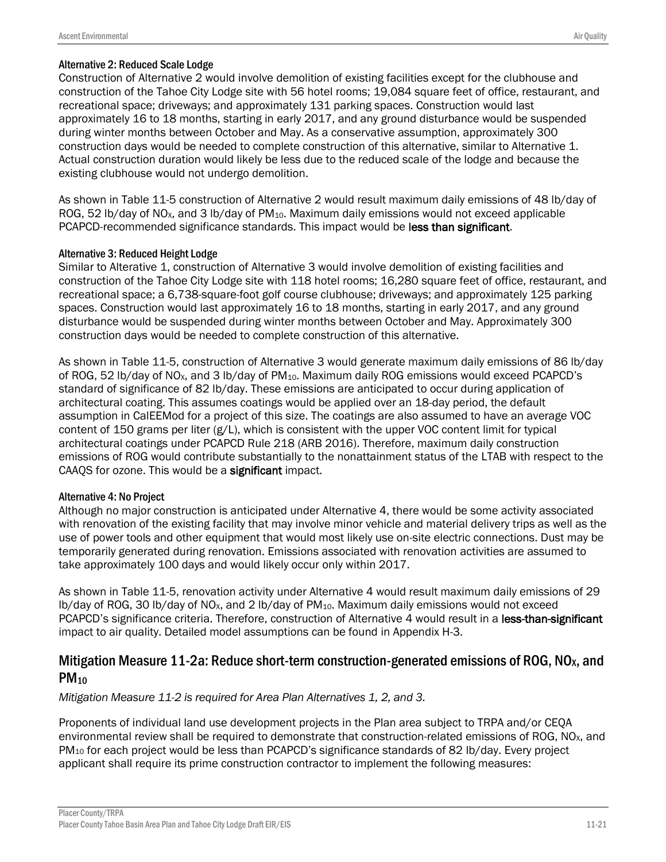### Alternative 2: Reduced Scale Lodge

Construction of Alternative 2 would involve demolition of existing facilities except for the clubhouse and construction of the Tahoe City Lodge site with 56 hotel rooms; 19,084 square feet of office, restaurant, and recreational space; driveways; and approximately 131 parking spaces. Construction would last approximately 16 to 18 months, starting in early 2017, and any ground disturbance would be suspended during winter months between October and May. As a conservative assumption, approximately 300 construction days would be needed to complete construction of this alternative, similar to Alternative 1. Actual construction duration would likely be less due to the reduced scale of the lodge and because the existing clubhouse would not undergo demolition.

As shown in Table 11-5 construction of Alternative 2 would result maximum daily emissions of 48 lb/day of ROG, 52 lb/day of NO<sub>x</sub>, and 3 lb/day of PM<sub>10</sub>. Maximum daily emissions would not exceed applicable PCAPCD-recommended significance standards. This impact would be less than significant.

### Alternative 3: Reduced Height Lodge

Similar to Alterative 1, construction of Alternative 3 would involve demolition of existing facilities and construction of the Tahoe City Lodge site with 118 hotel rooms; 16,280 square feet of office, restaurant, and recreational space; a 6,738-square-foot golf course clubhouse; driveways; and approximately 125 parking spaces. Construction would last approximately 16 to 18 months, starting in early 2017, and any ground disturbance would be suspended during winter months between October and May. Approximately 300 construction days would be needed to complete construction of this alternative.

As shown in Table 11-5, construction of Alternative 3 would generate maximum daily emissions of 86 lb/day of ROG, 52 lb/day of NO<sub>x</sub>, and 3 lb/day of PM<sub>10</sub>. Maximum daily ROG emissions would exceed PCAPCD's standard of significance of 82 lb/day. These emissions are anticipated to occur during application of architectural coating. This assumes coatings would be applied over an 18-day period, the default assumption in CalEEMod for a project of this size. The coatings are also assumed to have an average VOC content of 150 grams per liter (g/L), which is consistent with the upper VOC content limit for typical architectural coatings under PCAPCD Rule 218 (ARB 2016). Therefore, maximum daily construction emissions of ROG would contribute substantially to the nonattainment status of the LTAB with respect to the CAAQS for ozone. This would be a significant impact.

### Alternative 4: No Project

Although no major construction is anticipated under Alternative 4, there would be some activity associated with renovation of the existing facility that may involve minor vehicle and material delivery trips as well as the use of power tools and other equipment that would most likely use on-site electric connections. Dust may be temporarily generated during renovation. Emissions associated with renovation activities are assumed to take approximately 100 days and would likely occur only within 2017.

As shown in Table 11-5, renovation activity under Alternative 4 would result maximum daily emissions of 29 lb/day of ROG, 30 lb/day of NO<sub>x</sub>, and 2 lb/day of PM<sub>10</sub>. Maximum daily emissions would not exceed PCAPCD's significance criteria. Therefore, construction of Alternative 4 would result in a less-than-significant impact to air quality. Detailed model assumptions can be found in Appendix H-3.

## Mitigation Measure 11-2a: Reduce short-term construction-generated emissions of ROG, NO<sub>x</sub>, and  $PM_{10}$

*Mitigation Measure 11-2 is required for Area Plan Alternatives 1, 2, and 3.*

Proponents of individual land use development projects in the Plan area subject to TRPA and/or CEQA environmental review shall be required to demonstrate that construction-related emissions of ROG, NO<sub>x</sub>, and PM<sub>10</sub> for each project would be less than PCAPCD's significance standards of 82 lb/day. Every project applicant shall require its prime construction contractor to implement the following measures: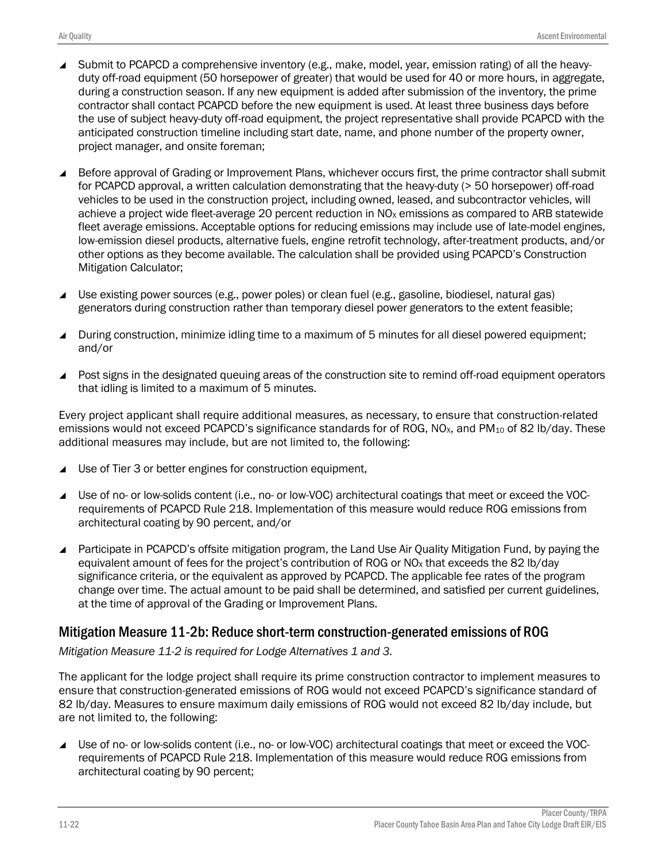- Submit to PCAPCD a comprehensive inventory (e.g., make, model, year, emission rating) of all the heavyduty off-road equipment (50 horsepower of greater) that would be used for 40 or more hours, in aggregate, during a construction season. If any new equipment is added after submission of the inventory, the prime contractor shall contact PCAPCD before the new equipment is used. At least three business days before the use of subject heavy-duty off-road equipment, the project representative shall provide PCAPCD with the anticipated construction timeline including start date, name, and phone number of the property owner, project manager, and onsite foreman;
- Before approval of Grading or Improvement Plans, whichever occurs first, the prime contractor shall submit for PCAPCD approval, a written calculation demonstrating that the heavy-duty (> 50 horsepower) off-road vehicles to be used in the construction project, including owned, leased, and subcontractor vehicles, will achieve a project wide fleet-average 20 percent reduction in  $N_{\alpha}$  emissions as compared to ARB statewide fleet average emissions. Acceptable options for reducing emissions may include use of late-model engines, low-emission diesel products, alternative fuels, engine retrofit technology, after-treatment products, and/or other options as they become available. The calculation shall be provided using PCAPCD's Construction Mitigation Calculator;
- Use existing power sources (e.g., power poles) or clean fuel (e.g., gasoline, biodiesel, natural gas) generators during construction rather than temporary diesel power generators to the extent feasible;
- During construction, minimize idling time to a maximum of 5 minutes for all diesel powered equipment; and/or
- ▲ Post signs in the designated queuing areas of the construction site to remind off-road equipment operators that idling is limited to a maximum of 5 minutes.

Every project applicant shall require additional measures, as necessary, to ensure that construction-related emissions would not exceed PCAPCD's significance standards for of ROG, NO<sub>x</sub>, and PM<sub>10</sub> of 82 lb/day. These additional measures may include, but are not limited to, the following:

- Use of Tier 3 or better engines for construction equipment,
- Use of no- or low-solids content (i.e., no- or low-VOC) architectural coatings that meet or exceed the VOCrequirements of PCAPCD Rule 218. Implementation of this measure would reduce ROG emissions from architectural coating by 90 percent, and/or
- Participate in PCAPCD's offsite mitigation program, the Land Use Air Quality Mitigation Fund, by paying the equivalent amount of fees for the project's contribution of ROG or  $NO<sub>X</sub>$  that exceeds the 82 lb/day significance criteria, or the equivalent as approved by PCAPCD. The applicable fee rates of the program change over time. The actual amount to be paid shall be determined, and satisfied per current guidelines, at the time of approval of the Grading or Improvement Plans.

## Mitigation Measure 11-2b: Reduce short-term construction-generated emissions of ROG

*Mitigation Measure 11-2 is required for Lodge Alternatives 1 and 3.*

The applicant for the lodge project shall require its prime construction contractor to implement measures to ensure that construction-generated emissions of ROG would not exceed PCAPCD's significance standard of 82 lb/day. Measures to ensure maximum daily emissions of ROG would not exceed 82 lb/day include, but are not limited to, the following:

■ Use of no- or low-solids content (i.e., no- or low-VOC) architectural coatings that meet or exceed the VOCrequirements of PCAPCD Rule 218. Implementation of this measure would reduce ROG emissions from architectural coating by 90 percent;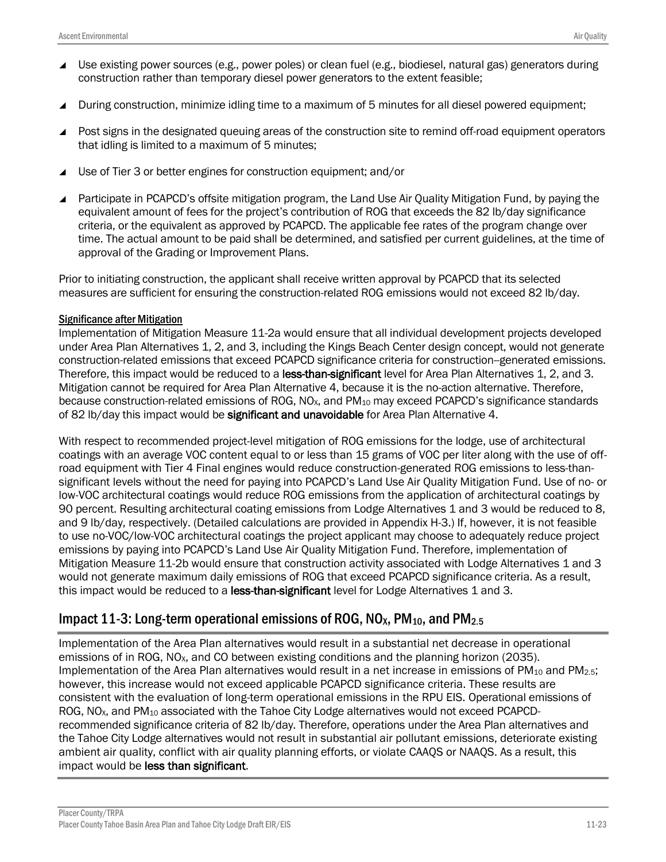- ▲ Use existing power sources (e.g., power poles) or clean fuel (e.g., biodiesel, natural gas) generators during construction rather than temporary diesel power generators to the extent feasible;
- During construction, minimize idling time to a maximum of 5 minutes for all diesel powered equipment;
- Post signs in the designated queuing areas of the construction site to remind off-road equipment operators that idling is limited to a maximum of 5 minutes;
- Use of Tier 3 or better engines for construction equipment; and/or
- Participate in PCAPCD's offsite mitigation program, the Land Use Air Quality Mitigation Fund, by paying the equivalent amount of fees for the project's contribution of ROG that exceeds the 82 lb/day significance criteria, or the equivalent as approved by PCAPCD. The applicable fee rates of the program change over time. The actual amount to be paid shall be determined, and satisfied per current guidelines, at the time of approval of the Grading or Improvement Plans.

Prior to initiating construction, the applicant shall receive written approval by PCAPCD that its selected measures are sufficient for ensuring the construction-related ROG emissions would not exceed 82 lb/day.

#### Significance after Mitigation

Implementation of Mitigation Measure 11-2a would ensure that all individual development projects developed under Area Plan Alternatives 1, 2, and 3, including the Kings Beach Center design concept, would not generate construction-related emissions that exceed PCAPCD significance criteria for construction--generated emissions. Therefore, this impact would be reduced to a less-than-significant level for Area Plan Alternatives 1, 2, and 3, Mitigation cannot be required for Area Plan Alternative 4, because it is the no-action alternative. Therefore, because construction-related emissions of ROG, NO<sub>x</sub>, and PM<sub>10</sub> may exceed PCAPCD's significance standards of 82 lb/day this impact would be significant and unavoidable for Area Plan Alternative 4.

With respect to recommended project-level mitigation of ROG emissions for the lodge, use of architectural coatings with an average VOC content equal to or less than 15 grams of VOC per liter along with the use of offroad equipment with Tier 4 Final engines would reduce construction-generated ROG emissions to less-thansignificant levels without the need for paying into PCAPCD's Land Use Air Quality Mitigation Fund. Use of no- or low-VOC architectural coatings would reduce ROG emissions from the application of architectural coatings by 90 percent. Resulting architectural coating emissions from Lodge Alternatives 1 and 3 would be reduced to 8, and 9 lb/day, respectively. (Detailed calculations are provided in Appendix H-3.) If, however, it is not feasible to use no-VOC/low-VOC architectural coatings the project applicant may choose to adequately reduce project emissions by paying into PCAPCD's Land Use Air Quality Mitigation Fund. Therefore, implementation of Mitigation Measure 11-2b would ensure that construction activity associated with Lodge Alternatives 1 and 3 would not generate maximum daily emissions of ROG that exceed PCAPCD significance criteria. As a result, this impact would be reduced to a less-than-significant level for Lodge Alternatives 1 and 3.

# Impact 11-3: Long-term operational emissions of ROG,  $NO<sub>X</sub>$ , PM<sub>10</sub>, and PM<sub>2.5</sub>

Implementation of the Area Plan alternatives would result in a substantial net decrease in operational emissions of in ROG, NO<sub>x</sub>, and CO between existing conditions and the planning horizon (2035). Implementation of the Area Plan alternatives would result in a net increase in emissions of PM<sub>10</sub> and PM<sub>2.5</sub>; however, this increase would not exceed applicable PCAPCD significance criteria. These results are consistent with the evaluation of long-term operational emissions in the RPU EIS. Operational emissions of ROG, NO<sub>x</sub>, and PM<sub>10</sub> associated with the Tahoe City Lodge alternatives would not exceed PCAPCDrecommended significance criteria of 82 lb/day. Therefore, operations under the Area Plan alternatives and the Tahoe City Lodge alternatives would not result in substantial air pollutant emissions, deteriorate existing ambient air quality, conflict with air quality planning efforts, or violate CAAQS or NAAQS. As a result, this impact would be less than significant.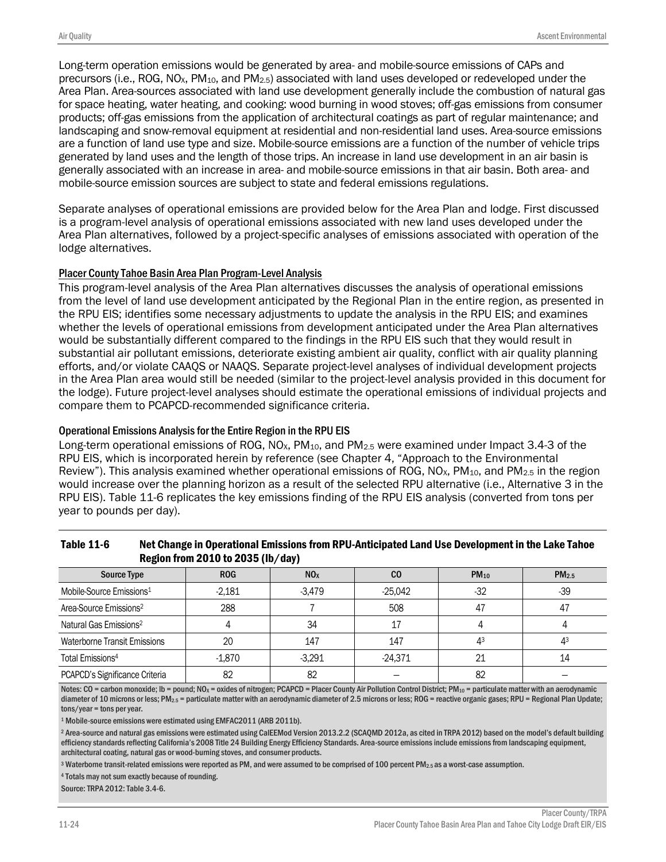Long-term operation emissions would be generated by area- and mobile-source emissions of CAPs and precursors (i.e., ROG, NOX, PM10, and PM2.5) associated with land uses developed or redeveloped under the Area Plan. Area-sources associated with land use development generally include the combustion of natural gas for space heating, water heating, and cooking: wood burning in wood stoves; off-gas emissions from consumer products; off-gas emissions from the application of architectural coatings as part of regular maintenance; and landscaping and snow-removal equipment at residential and non-residential land uses. Area-source emissions are a function of land use type and size. Mobile-source emissions are a function of the number of vehicle trips generated by land uses and the length of those trips. An increase in land use development in an air basin is generally associated with an increase in area- and mobile-source emissions in that air basin. Both area- and mobile-source emission sources are subject to state and federal emissions regulations.

Separate analyses of operational emissions are provided below for the Area Plan and lodge. First discussed is a program-level analysis of operational emissions associated with new land uses developed under the Area Plan alternatives, followed by a project-specific analyses of emissions associated with operation of the lodge alternatives.

#### Placer County Tahoe Basin Area Plan Program-Level Analysis

This program-level analysis of the Area Plan alternatives discusses the analysis of operational emissions from the level of land use development anticipated by the Regional Plan in the entire region, as presented in the RPU EIS; identifies some necessary adjustments to update the analysis in the RPU EIS; and examines whether the levels of operational emissions from development anticipated under the Area Plan alternatives would be substantially different compared to the findings in the RPU EIS such that they would result in substantial air pollutant emissions, deteriorate existing ambient air quality, conflict with air quality planning efforts, and/or violate CAAQS or NAAQS. Separate project-level analyses of individual development projects in the Area Plan area would still be needed (similar to the project-level analysis provided in this document for the lodge). Future project-level analyses should estimate the operational emissions of individual projects and compare them to PCAPCD-recommended significance criteria.

#### Operational Emissions Analysis for the Entire Region in the RPU EIS

Long-term operational emissions of ROG,  $NO<sub>X</sub>$ ,  $PM<sub>10</sub>$ , and  $PM<sub>2.5</sub>$  were examined under Impact 3.4-3 of the RPU EIS, which is incorporated herein by reference (see Chapter 4, "Approach to the Environmental Review"). This analysis examined whether operational emissions of ROG,  $NOS_{x}$ , PM<sub>10</sub>, and PM<sub>2.5</sub> in the region would increase over the planning horizon as a result of the selected RPU alternative (i.e., Alternative 3 in the RPU EIS). Table 11-6 replicates the key emissions finding of the RPU EIS analysis (converted from tons per year to pounds per day).

| <b>Source Type</b>                   | <b>ROG</b> | NO <sub>x</sub> | $_{\rm CO}$ | $PM_{10}$ | PM <sub>2.5</sub> |
|--------------------------------------|------------|-----------------|-------------|-----------|-------------------|
| Mobile-Source Emissions <sup>1</sup> | $-2,181$   | $-3,479$        | $-25,042$   | $-32$     | $-39$             |
| Area-Source Emissions <sup>2</sup>   | 288        |                 | 508         | 47        | 47                |
| Natural Gas Emissions <sup>2</sup>   |            | 34              | 17          |           |                   |
| Waterborne Transit Emissions         | 20         | 147             | 147         | 43        | Λ3                |
| Total Emissions <sup>4</sup>         | $-1,870$   | $-3.291$        | $-24,371$   | 21        | 14                |
| PCAPCD's Significance Criteria       | 82         | 82              |             | 82        |                   |

#### Table 11-6 Net Change in Operational Emissions from RPU-Anticipated Land Use Development in the Lake Tahoe Region from 2010 to 2035 (lb/day)

Notes: CO = carbon monoxide; Ib = pound; NO<sub>X</sub> = oxides of nitrogen; PCAPCD = Placer County Air Pollution Control District; PM<sub>10</sub> = particulate matter with an aerodynamic diameter of 10 microns or less; PM<sub>2.5</sub> = particulate matter with an aerodynamic diameter of 2.5 microns or less; ROG = reactive organic gases; RPU = Regional Plan Update; tons/year = tons per year.

<sup>1</sup> Mobile-source emissions were estimated using EMFAC2011 (ARB 2011b).

<sup>2</sup> Area-source and natural gas emissions were estimated using CalEEMod Version 2013.2.2 (SCAQMD 2012a, as cited in TRPA 2012) based on the model's default building efficiency standards reflecting California's 2008 Title 24 Building Energy Efficiency Standards. Area-source emissions include emissions from landscaping equipment, architectural coating, natural gas or wood-burning stoves, and consumer products.

 $3$  Waterborne transit-related emissions were reported as PM, and were assumed to be comprised of 100 percent PM<sub>2.5</sub> as a worst-case assumption.

<sup>4</sup> Totals may not sum exactly because of rounding.

Source: TRPA 2012: Table 3.4-6.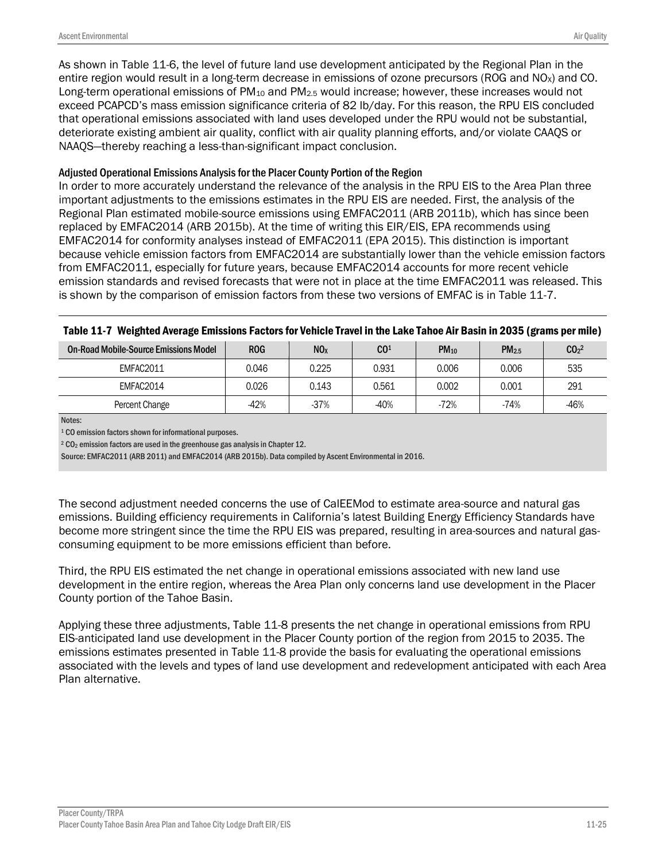As shown in Table 11-6, the level of future land use development anticipated by the Regional Plan in the entire region would result in a long-term decrease in emissions of ozone precursors (ROG and  $NO<sub>x</sub>$ ) and CO. Long-term operational emissions of  $PM_{10}$  and  $PM_{2.5}$  would increase; however, these increases would not exceed PCAPCD's mass emission significance criteria of 82 lb/day. For this reason, the RPU EIS concluded that operational emissions associated with land uses developed under the RPU would not be substantial, deteriorate existing ambient air quality, conflict with air quality planning efforts, and/or violate CAAQS or NAAQS—thereby reaching a less-than-significant impact conclusion.

### Adjusted Operational Emissions Analysis for the Placer County Portion of the Region

In order to more accurately understand the relevance of the analysis in the RPU EIS to the Area Plan three important adjustments to the emissions estimates in the RPU EIS are needed. First, the analysis of the Regional Plan estimated mobile-source emissions using EMFAC2011 (ARB 2011b), which has since been replaced by EMFAC2014 (ARB 2015b). At the time of writing this EIR/EIS, EPA recommends using EMFAC2014 for conformity analyses instead of EMFAC2011 (EPA 2015). This distinction is important because vehicle emission factors from EMFAC2014 are substantially lower than the vehicle emission factors from EMFAC2011, especially for future years, because EMFAC2014 accounts for more recent vehicle emission standards and revised forecasts that were not in place at the time EMFAC2011 was released. This is shown by the comparison of emission factors from these two versions of EMFAC is in Table 11-7.

| . .<br>-                              |            |                 |                 |             | $\ddot{\phantom{0}}$ |                              |
|---------------------------------------|------------|-----------------|-----------------|-------------|----------------------|------------------------------|
| On-Road Mobile-Source Emissions Model | <b>ROG</b> | NO <sub>x</sub> | CO <sup>1</sup> | <b>PM10</b> | PM <sub>2.5</sub>    | CO <sub>2</sub> <sup>2</sup> |
| EMFAC2011                             | 0.046      | 0.225           | 0.931           | 0.006       | 0.006                | 535                          |
| EMFAC2014                             | 0.026      | 0.143           | 0.561           | 0.002       | 0.001                | 291                          |
| Percent Change                        | $-42%$     | $-37%$          | $-40%$          | $-72%$      | $-74%$               | $-46%$                       |

#### Table 11-7 Weighted Average Emissions Factors for Vehicle Travel in the Lake Tahoe Air Basin in 2035 (grams per mile)

Notes:

<sup>1</sup> CO emission factors shown for informational purposes.

<sup>2</sup> CO<sup>2</sup> emission factors are used in the greenhouse gas analysis in Chapter 12.

Source: EMFAC2011 (ARB 2011) and EMFAC2014 (ARB 2015b). Data compiled by Ascent Environmental in 2016.

The second adjustment needed concerns the use of CalEEMod to estimate area-source and natural gas emissions. Building efficiency requirements in California's latest Building Energy Efficiency Standards have become more stringent since the time the RPU EIS was prepared, resulting in area-sources and natural gasconsuming equipment to be more emissions efficient than before.

Third, the RPU EIS estimated the net change in operational emissions associated with new land use development in the entire region, whereas the Area Plan only concerns land use development in the Placer County portion of the Tahoe Basin.

Applying these three adjustments, Table 11-8 presents the net change in operational emissions from RPU EIS-anticipated land use development in the Placer County portion of the region from 2015 to 2035. The emissions estimates presented in Table 11-8 provide the basis for evaluating the operational emissions associated with the levels and types of land use development and redevelopment anticipated with each Area Plan alternative.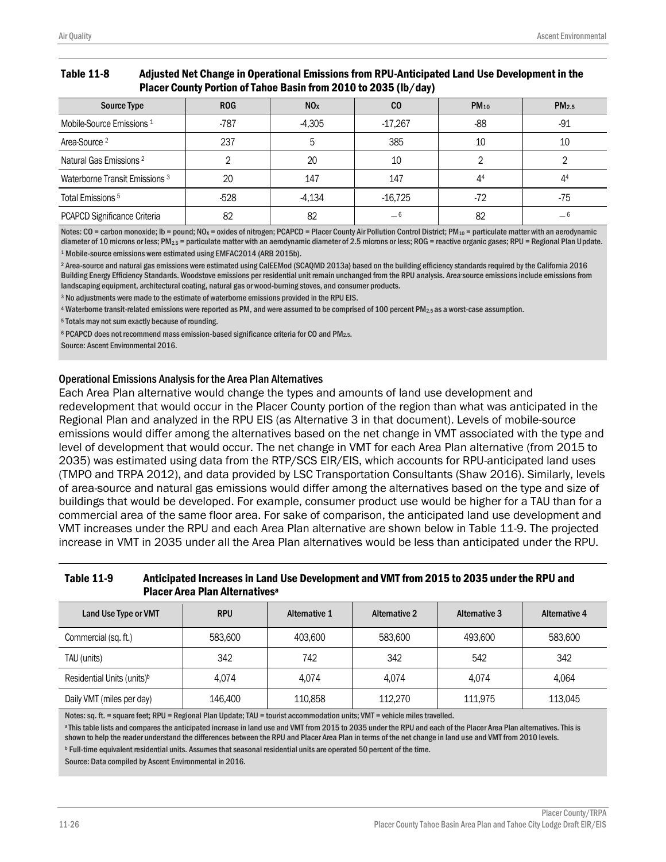#### Table 11-8 Adjusted Net Change in Operational Emissions from RPU-Anticipated Land Use Development in the Placer County Portion of Tahoe Basin from 2010 to 2035 (lb/day)

| <b>Source Type</b>                 | <b>ROG</b> | NO <sub>x</sub> | $_{\rm CO}$ | $PM_{10}$ | PM <sub>2.5</sub> |
|------------------------------------|------------|-----------------|-------------|-----------|-------------------|
| Mobile-Source Emissions 1          | $-787$     | $-4.305$        | $-17,267$   | $-88$     | -91               |
| Area-Source <sup>2</sup>           | 237        | 5               | 385         | 10        | 10                |
| Natural Gas Emissions <sup>2</sup> |            | 20              | 10          |           |                   |
| Waterborne Transit Emissions 3     | 20         | 147             | 147         | 44        | 44                |
| Total Emissions <sup>5</sup>       | $-528$     | $-4,134$        | $-16,725$   | -72       | -75               |
| PCAPCD Significance Criteria       | 82         | 82              | _ 6         | 82        |                   |

Notes:  $CO =$  carbon monoxide; Ib = pound; NO<sub>x</sub> = oxides of nitrogen; PCAPCD = Placer County Air Pollution Control District; PM<sub>10</sub> = particulate matter with an aerodynamic diameter of 10 microns or less; PM<sub>2.5</sub> = particulate matter with an aerodynamic diameter of 2.5 microns or less; ROG = reactive organic gases; RPU = Regional Plan Update. <sup>1</sup> Mobile-source emissions were estimated using EMFAC2014 (ARB 2015b).

<sup>2</sup> Area-source and natural gas emissions were estimated using CalEEMod (SCAQMD 2013a) based on the building efficiency standards required by the California 2016 Building Energy Efficiency Standards. Woodstove emissions per residential unit remain unchanged from the RPU analysis. Area-source emissions include emissions from landscaping equipment, architectural coating, natural gas or wood-burning stoves, and consumer products.

<sup>3</sup> No adjustments were made to the estimate of waterborne emissions provided in the RPU EIS.

<sup>4</sup> Waterborne transit-related emissions were reported as PM, and were assumed to be comprised of 100 percent PM2.5 as a worst-case assumption.

<sup>5</sup> Totals may not sum exactly because of rounding.

<sup>6</sup> PCAPCD does not recommend mass emission-based significance criteria for CO and PM<sub>2.5</sub>.

Source: Ascent Environmental 2016.

#### Operational Emissions Analysis for the Area Plan Alternatives

Each Area Plan alternative would change the types and amounts of land use development and redevelopment that would occur in the Placer County portion of the region than what was anticipated in the Regional Plan and analyzed in the RPU EIS (as Alternative 3 in that document). Levels of mobile-source emissions would differ among the alternatives based on the net change in VMT associated with the type and level of development that would occur. The net change in VMT for each Area Plan alternative (from 2015 to 2035) was estimated using data from the RTP/SCS EIR/EIS, which accounts for RPU-anticipated land uses (TMPO and TRPA 2012), and data provided by LSC Transportation Consultants (Shaw 2016). Similarly, levels of area-source and natural gas emissions would differ among the alternatives based on the type and size of buildings that would be developed. For example, consumer product use would be higher for a TAU than for a commercial area of the same floor area. For sake of comparison, the anticipated land use development and VMT increases under the RPU and each Area Plan alternative are shown below in Table 11-9. The projected increase in VMT in 2035 under all the Area Plan alternatives would be less than anticipated under the RPU.

### Table 11-9 Anticipated Increases in Land Use Development and VMT from 2015 to 2035 under the RPU and Placer Area Plan Alternatives<sup>a</sup>

| Land Use Type or VMT                   | <b>RPU</b> | <b>Alternative 1</b> | <b>Alternative 2</b> | <b>Alternative 3</b> | <b>Alternative 4</b> |
|----------------------------------------|------------|----------------------|----------------------|----------------------|----------------------|
| Commercial (sq. ft.)                   | 583,600    | 403,600              | 583,600              | 493,600              | 583,600              |
| TAU (units)                            | 342        | 742                  | 342                  | 542                  | 342                  |
| Residential Units (units) <sup>b</sup> | 4.074      | 4.074                | 4.074                | 4.074                | 4.064                |
| Daily VMT (miles per day)              | 146,400    | 110,858              | 112,270              | 111.975              | 113,045              |

Notes: sq. ft. = square feet; RPU = Regional Plan Update; TAU = tourist accommodation units; VMT = vehicle miles travelled.

a This table lists and compares the anticipated increase in land use and VMT from 2015 to 2035 under the RPU and each of the Placer Area Plan alternatives. This is shown to help the reader understand the differences between the RPU and Placer Area Plan in terms of the net change in land use and VMT from 2010 levels.

<sup>b</sup> Full-time equivalent residential units. Assumes that seasonal residential units are operated 50 percent of the time. Source: Data compiled by Ascent Environmental in 2016.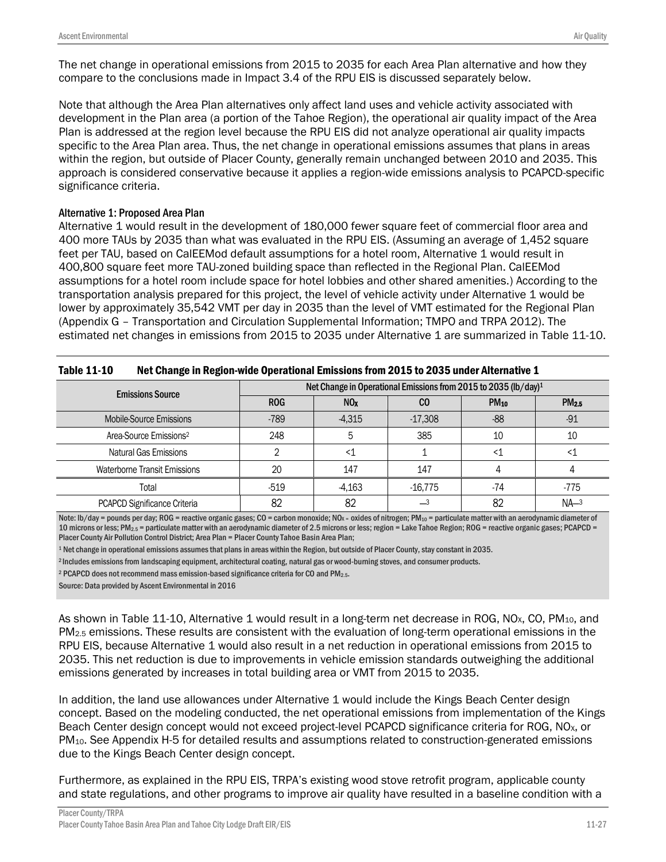The net change in operational emissions from 2015 to 2035 for each Area Plan alternative and how they compare to the conclusions made in Impact 3.4 of the RPU EIS is discussed separately below.

Note that although the Area Plan alternatives only affect land uses and vehicle activity associated with development in the Plan area (a portion of the Tahoe Region), the operational air quality impact of the Area Plan is addressed at the region level because the RPU EIS did not analyze operational air quality impacts specific to the Area Plan area. Thus, the net change in operational emissions assumes that plans in areas within the region, but outside of Placer County, generally remain unchanged between 2010 and 2035. This approach is considered conservative because it applies a region-wide emissions analysis to PCAPCD-specific significance criteria.

### Alternative 1: Proposed Area Plan

Alternative 1 would result in the development of 180,000 fewer square feet of commercial floor area and 400 more TAUs by 2035 than what was evaluated in the RPU EIS. (Assuming an average of 1,452 square feet per TAU, based on CalEEMod default assumptions for a hotel room, Alternative 1 would result in 400,800 square feet more TAU-zoned building space than reflected in the Regional Plan. CalEEMod assumptions for a hotel room include space for hotel lobbies and other shared amenities.) According to the transportation analysis prepared for this project, the level of vehicle activity under Alternative 1 would be lower by approximately 35,542 VMT per day in 2035 than the level of VMT estimated for the Regional Plan (Appendix G – Transportation and Circulation Supplemental Information; TMPO and TRPA 2012). The estimated net changes in emissions from 2015 to 2035 under Alternative 1 are summarized in Table 11-10.

| LANIC TT. TA<br><u>INCL CHAIRG III NGCIUI-WIUG UPGIALIUHAI EHHSSIUHS HUIH ZUIJ LU ZUJJ UHUGI MILGIHALIVG I</u> |            |                                                                             |           |             |                   |  |  |  |  |
|----------------------------------------------------------------------------------------------------------------|------------|-----------------------------------------------------------------------------|-----------|-------------|-------------------|--|--|--|--|
| <b>Emissions Source</b>                                                                                        |            | Net Change in Operational Emissions from 2015 to 2035 (lb/day) <sup>1</sup> |           |             |                   |  |  |  |  |
|                                                                                                                | <b>ROG</b> | NO <sub>x</sub>                                                             | CO        | <b>PM10</b> | PM <sub>2.5</sub> |  |  |  |  |
| Mobile-Source Emissions                                                                                        | $-789$     | $-4,315$                                                                    | $-17,308$ | -88         | $-91$             |  |  |  |  |
| Area-Source Emissions <sup>2</sup>                                                                             | 248        |                                                                             | 385       | 10          | 10                |  |  |  |  |
| Natural Gas Emissions                                                                                          |            |                                                                             |           |             |                   |  |  |  |  |
| <b>Waterborne Transit Emissions</b>                                                                            | 20         | 147                                                                         | 147       |             |                   |  |  |  |  |
| Total                                                                                                          | $-519$     | $-4.163$                                                                    | $-16.775$ | -74         | $-775$            |  |  |  |  |
| PCAPCD Significance Criteria                                                                                   | 82         | 82                                                                          |           | 82          | $NA-3$            |  |  |  |  |

| Net Change in Region-wide Operational Emissions from 2015 to 2035 under Alternative 1<br><b>Table 11-10</b> |
|-------------------------------------------------------------------------------------------------------------|
|-------------------------------------------------------------------------------------------------------------|

Note: lb/day = pounds per day; ROG = reactive organic gases; CO = carbon monoxide; NOx = oxides of nitrogen; PM<sub>10</sub> = particulate matter with an aerodynamic diameter of 10 microns or less; PM<sub>2.5</sub> = particulate matter with an aerodynamic diameter of 2.5 microns or less; region = Lake Tahoe Region; ROG = reactive organic gases; PCAPCD = Placer County Air Pollution Control District; Area Plan = Placer County Tahoe Basin Area Plan;

<sup>1</sup> Net change in operational emissions assumes that plans in areas within the Region, but outside of Placer County, stay constant in 2035.

<sup>2</sup>Includes emissions from landscaping equipment, architectural coating, natural gas or wood-burning stoves, and consumer products.

<sup>2</sup> PCAPCD does not recommend mass emission-based significance criteria for CO and PM2.5.

Source: Data provided by Ascent Environmental in 2016

As shown in Table 11-10, Alternative 1 would result in a long-term net decrease in ROG, NO<sub>x</sub>, CO, PM<sub>10</sub>, and PM<sub>2.5</sub> emissions. These results are consistent with the evaluation of long-term operational emissions in the RPU EIS, because Alternative 1 would also result in a net reduction in operational emissions from 2015 to 2035. This net reduction is due to improvements in vehicle emission standards outweighing the additional emissions generated by increases in total building area or VMT from 2015 to 2035.

In addition, the land use allowances under Alternative 1 would include the Kings Beach Center design concept. Based on the modeling conducted, the net operational emissions from implementation of the Kings Beach Center design concept would not exceed project-level PCAPCD significance criteria for ROG, NO<sub>x</sub>, or PM10. See Appendix H-5 for detailed results and assumptions related to construction-generated emissions due to the Kings Beach Center design concept.

Furthermore, as explained in the RPU EIS, TRPA's existing wood stove retrofit program, applicable county and state regulations, and other programs to improve air quality have resulted in a baseline condition with a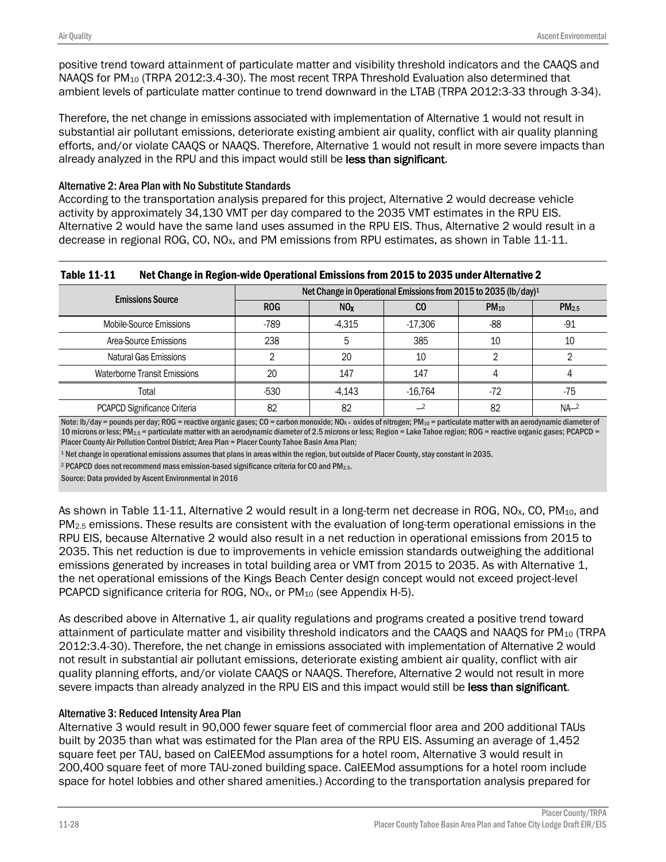positive trend toward attainment of particulate matter and visibility threshold indicators and the CAAQS and NAAQS for  $PM_{10}$  (TRPA 2012:3.4-30). The most recent TRPA Threshold Evaluation also determined that ambient levels of particulate matter continue to trend downward in the LTAB (TRPA 2012:3-33 through 3-34).

Therefore, the net change in emissions associated with implementation of Alternative 1 would not result in substantial air pollutant emissions, deteriorate existing ambient air quality, conflict with air quality planning efforts, and/or violate CAAQS or NAAQS. Therefore, Alternative 1 would not result in more severe impacts than already analyzed in the RPU and this impact would still be less than significant.

### Alternative 2: Area Plan with No Substitute Standards

According to the transportation analysis prepared for this project, Alternative 2 would decrease vehicle activity by approximately 34,130 VMT per day compared to the 2035 VMT estimates in the RPU EIS. Alternative 2 would have the same land uses assumed in the RPU EIS. Thus, Alternative 2 would result in a decrease in regional ROG, CO, NO<sub>x</sub>, and PM emissions from RPU estimates, as shown in Table 11-11.

### Table 11-11 Net Change in Region-wide Operational Emissions from 2015 to 2035 under Alternative 2

| <b>Emissions Source</b>             | Net Change in Operational Emissions from 2015 to 2035 (lb/day) <sup>1</sup> |                  |           |           |                   |  |  |
|-------------------------------------|-----------------------------------------------------------------------------|------------------|-----------|-----------|-------------------|--|--|
|                                     | <b>ROG</b>                                                                  | N <sub>0</sub> x | CO        | $PM_{10}$ | PM <sub>2.5</sub> |  |  |
| Mobile-Source Emissions             | -789                                                                        | -4.315           | $-17,306$ | -88       | $-91$             |  |  |
| Area-Source Emissions               | 238                                                                         |                  | 385       | 10        | 10                |  |  |
| Natural Gas Emissions               |                                                                             | 20               | 10        |           |                   |  |  |
| <b>Waterborne Transit Emissions</b> | 20                                                                          | 147              | 147       |           |                   |  |  |
| Total                               | $-530$                                                                      | $-4.143$         | $-16.764$ | -72       | -75               |  |  |
| PCAPCD Significance Criteria        | 82                                                                          | 82               |           | 82        | $NA-2$            |  |  |

Note: lb/day = pounds per day; ROG = reactive organic gases; CO = carbon monoxide; NOx = oxides of nitrogen; PM<sub>10</sub> = particulate matter with an aerodynamic diameter of 10 microns or less; PM2.5 = particulate matter with an aerodynamic diameter of 2.5 microns or less; Region = Lake Tahoe region; ROG = reactive organic gases; PCAPCD = Placer County Air Pollution Control District; Area Plan = Placer County Tahoe Basin Area Plan;

<sup>1</sup> Net change in operational emissions assumes that plans in areas within the region, but outside of Placer County, stay constant in 2035.

<sup>2</sup> PCAPCD does not recommend mass emission-based significance criteria for CO and PM<sub>2.5</sub>.

Source: Data provided by Ascent Environmental in 2016

As shown in Table 11-11, Alternative 2 would result in a long-term net decrease in ROG, NO<sub>x</sub>, CO, PM<sub>10</sub>, and PM2.5 emissions. These results are consistent with the evaluation of long-term operational emissions in the RPU EIS, because Alternative 2 would also result in a net reduction in operational emissions from 2015 to 2035. This net reduction is due to improvements in vehicle emission standards outweighing the additional emissions generated by increases in total building area or VMT from 2015 to 2035. As with Alternative 1, the net operational emissions of the Kings Beach Center design concept would not exceed project-level PCAPCD significance criteria for ROG, NO<sub>x</sub>, or PM<sub>10</sub> (see Appendix H-5).

As described above in Alternative 1, air quality regulations and programs created a positive trend toward attainment of particulate matter and visibility threshold indicators and the CAAQS and NAAQS for PM<sub>10</sub> (TRPA 2012:3.4-30). Therefore, the net change in emissions associated with implementation of Alternative 2 would not result in substantial air pollutant emissions, deteriorate existing ambient air quality, conflict with air quality planning efforts, and/or violate CAAQS or NAAQS. Therefore, Alternative 2 would not result in more severe impacts than already analyzed in the RPU EIS and this impact would still be less than significant.

### Alternative 3: Reduced Intensity Area Plan

Alternative 3 would result in 90,000 fewer square feet of commercial floor area and 200 additional TAUs built by 2035 than what was estimated for the Plan area of the RPU EIS. Assuming an average of 1,452 square feet per TAU, based on CalEEMod assumptions for a hotel room, Alternative 3 would result in 200,400 square feet of more TAU-zoned building space. CalEEMod assumptions for a hotel room include space for hotel lobbies and other shared amenities.) According to the transportation analysis prepared for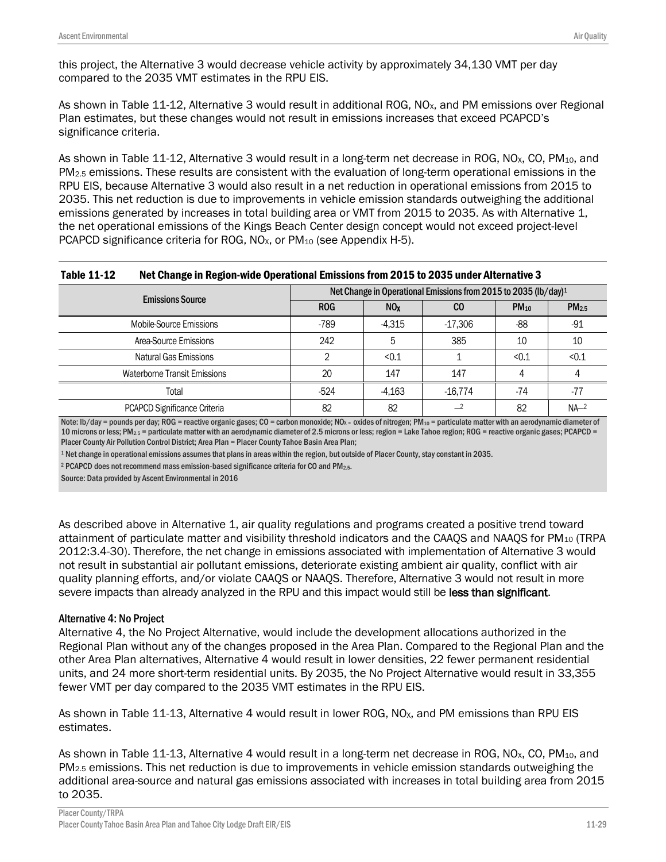As shown in Table 11-12, Alternative 3 would result in additional ROG, NO<sub>x</sub>, and PM emissions over Regional Plan estimates, but these changes would not result in emissions increases that exceed PCAPCD's significance criteria.

As shown in Table 11-12, Alternative 3 would result in a long-term net decrease in ROG, NO<sub>x</sub>, CO, PM<sub>10</sub>, and PM2.5 emissions. These results are consistent with the evaluation of long-term operational emissions in the RPU EIS, because Alternative 3 would also result in a net reduction in operational emissions from 2015 to 2035. This net reduction is due to improvements in vehicle emission standards outweighing the additional emissions generated by increases in total building area or VMT from 2015 to 2035. As with Alternative 1, the net operational emissions of the Kings Beach Center design concept would not exceed project-level PCAPCD significance criteria for ROG, NO<sub>x</sub>, or PM<sub>10</sub> (see Appendix H-5).

| <b>Table 11-12</b> | Net Change in Region-wide Operational Emissions from 2015 to 2035 under Alternative 3 |
|--------------------|---------------------------------------------------------------------------------------|
|--------------------|---------------------------------------------------------------------------------------|

| <b>Emissions Source</b>      | Net Change in Operational Emissions from 2015 to 2035 (lb/day) <sup>1</sup> |                 |           |           |                   |  |
|------------------------------|-----------------------------------------------------------------------------|-----------------|-----------|-----------|-------------------|--|
|                              | <b>ROG</b>                                                                  | NO <sub>x</sub> | CO        | $PM_{10}$ | PM <sub>2.5</sub> |  |
| Mobile-Source Emissions      | -789                                                                        | $-4.315$        | $-17,306$ | -88       | $-91$             |  |
| Area-Source Emissions        | 242                                                                         | 5               | 385       | 10        | 10                |  |
| Natural Gas Emissions        |                                                                             | < 0.1           |           | < 0.1     | < 0.1             |  |
| Waterborne Transit Emissions | 20                                                                          | 147             | 147       |           |                   |  |
| Total                        | $-524$                                                                      | $-4,163$        | $-16.774$ | -74       | $-77$             |  |
| PCAPCD Significance Criteria | 82                                                                          | 82              |           | 82        | NA <sup>2</sup>   |  |

Note: lb/day = pounds per day; ROG = reactive organic gases; CO = carbon monoxide; NOx = oxides of nitrogen; PM<sub>10</sub> = particulate matter with an aerodynamic diameter of 10 microns or less; PM<sub>2.5</sub> = particulate matter with an aerodynamic diameter of 2.5 microns or less; region = Lake Tahoe region; ROG = reactive organic gases; PCAPCD = Placer County Air Pollution Control District; Area Plan = Placer County Tahoe Basin Area Plan;

<sup>1</sup> Net change in operational emissions assumes that plans in areas within the region, but outside of Placer County, stay constant in 2035.

<sup>2</sup> PCAPCD does not recommend mass emission-based significance criteria for CO and PM<sub>2.5</sub>.

Source: Data provided by Ascent Environmental in 2016

As described above in Alternative 1, air quality regulations and programs created a positive trend toward attainment of particulate matter and visibility threshold indicators and the CAAQS and NAAQS for PM<sub>10</sub> (TRPA 2012:3.4-30). Therefore, the net change in emissions associated with implementation of Alternative 3 would not result in substantial air pollutant emissions, deteriorate existing ambient air quality, conflict with air quality planning efforts, and/or violate CAAQS or NAAQS. Therefore, Alternative 3 would not result in more severe impacts than already analyzed in the RPU and this impact would still be less than significant.

### Alternative 4: No Project

Alternative 4, the No Project Alternative, would include the development allocations authorized in the Regional Plan without any of the changes proposed in the Area Plan. Compared to the Regional Plan and the other Area Plan alternatives, Alternative 4 would result in lower densities, 22 fewer permanent residential units, and 24 more short-term residential units. By 2035, the No Project Alternative would result in 33,355 fewer VMT per day compared to the 2035 VMT estimates in the RPU EIS.

As shown in Table 11-13, Alternative 4 would result in lower ROG, NO<sub>x</sub>, and PM emissions than RPU EIS estimates.

As shown in Table 11-13, Alternative 4 would result in a long-term net decrease in ROG, NO<sub>x</sub>, CO, PM<sub>10</sub>, and PM2.5 emissions. This net reduction is due to improvements in vehicle emission standards outweighing the additional area-source and natural gas emissions associated with increases in total building area from 2015 to 2035.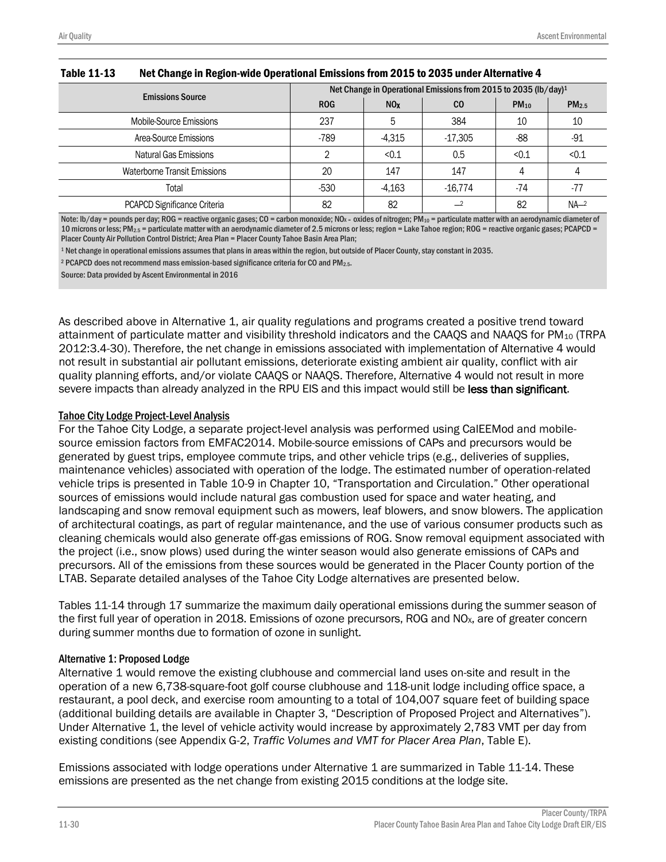| <b>Emissions Source</b>      | Net Change in Operational Emissions from 2015 to 2035 (lb/day) <sup>1</sup> |                 |           |           |                   |  |
|------------------------------|-----------------------------------------------------------------------------|-----------------|-----------|-----------|-------------------|--|
|                              | <b>ROG</b>                                                                  | NO <sub>x</sub> | CO        | $PM_{10}$ | PM <sub>2.5</sub> |  |
| Mobile-Source Emissions      | 237                                                                         |                 | 384       | 10        | 10                |  |
| Area-Source Emissions        | -789                                                                        | $-4,315$        | $-17,305$ | $-88$     | $-91$             |  |
| Natural Gas Emissions        |                                                                             | < 0.1           | 0.5       | < 0.1     | < 0.1             |  |
| Waterborne Transit Emissions | 20                                                                          | 147             | 147       |           |                   |  |
| Total                        | $-530$                                                                      | $-4,163$        | $-16,774$ | -74       | -77               |  |
| PCAPCD Significance Criteria | 82                                                                          | 82              |           | 82        | NA <sup>2</sup>   |  |

#### Table 11-13 Net Change in Region-wide Operational Emissions from 2015 to 2035 under Alternative 4

Note: lb/day = pounds per day; ROG = reactive organic gases; CO = carbon monoxide; NOx = oxides of nitrogen; PM<sub>10</sub> = particulate matter with an aerodynamic diameter of 10 microns or less; PM2.5 = particulate matter with an aerodynamic diameter of 2.5 microns or less; region = Lake Tahoe region; ROG = reactive organic gases; PCAPCD = Placer County Air Pollution Control District; Area Plan = Placer County Tahoe Basin Area Plan;

<sup>1</sup> Net change in operational emissions assumes that plans in areas within the region, but outside of Placer County, stay constant in 2035.

<sup>2</sup> PCAPCD does not recommend mass emission-based significance criteria for CO and PM2.5.

Source: Data provided by Ascent Environmental in 2016

As described above in Alternative 1, air quality regulations and programs created a positive trend toward attainment of particulate matter and visibility threshold indicators and the CAAQS and NAAQS for PM<sub>10</sub> (TRPA 2012:3.4-30). Therefore, the net change in emissions associated with implementation of Alternative 4 would not result in substantial air pollutant emissions, deteriorate existing ambient air quality, conflict with air quality planning efforts, and/or violate CAAQS or NAAQS. Therefore, Alternative 4 would not result in more severe impacts than already analyzed in the RPU EIS and this impact would still be less than significant.

#### Tahoe City Lodge Project-Level Analysis

For the Tahoe City Lodge, a separate project-level analysis was performed using CalEEMod and mobilesource emission factors from EMFAC2014. Mobile-source emissions of CAPs and precursors would be generated by guest trips, employee commute trips, and other vehicle trips (e.g., deliveries of supplies, maintenance vehicles) associated with operation of the lodge. The estimated number of operation-related vehicle trips is presented in Table 10-9 in Chapter 10, "Transportation and Circulation." Other operational sources of emissions would include natural gas combustion used for space and water heating, and landscaping and snow removal equipment such as mowers, leaf blowers, and snow blowers. The application of architectural coatings, as part of regular maintenance, and the use of various consumer products such as cleaning chemicals would also generate off-gas emissions of ROG. Snow removal equipment associated with the project (i.e., snow plows) used during the winter season would also generate emissions of CAPs and precursors. All of the emissions from these sources would be generated in the Placer County portion of the LTAB. Separate detailed analyses of the Tahoe City Lodge alternatives are presented below.

Tables 11-14 through 17 summarize the maximum daily operational emissions during the summer season of the first full year of operation in 2018. Emissions of ozone precursors, ROG and NO<sub>x</sub>, are of greater concern during summer months due to formation of ozone in sunlight.

#### Alternative 1: Proposed Lodge

Alternative 1 would remove the existing clubhouse and commercial land uses on-site and result in the operation of a new 6,738-square-foot golf course clubhouse and 118-unit lodge including office space, a restaurant, a pool deck, and exercise room amounting to a total of 104,007 square feet of building space (additional building details are available in Chapter 3, "Description of Proposed Project and Alternatives"). Under Alternative 1, the level of vehicle activity would increase by approximately 2,783 VMT per day from existing conditions (see Appendix G-2, *Traffic Volumes and VMT for Placer Area Plan*, Table E).

Emissions associated with lodge operations under Alternative 1 are summarized in Table 11-14. These emissions are presented as the net change from existing 2015 conditions at the lodge site.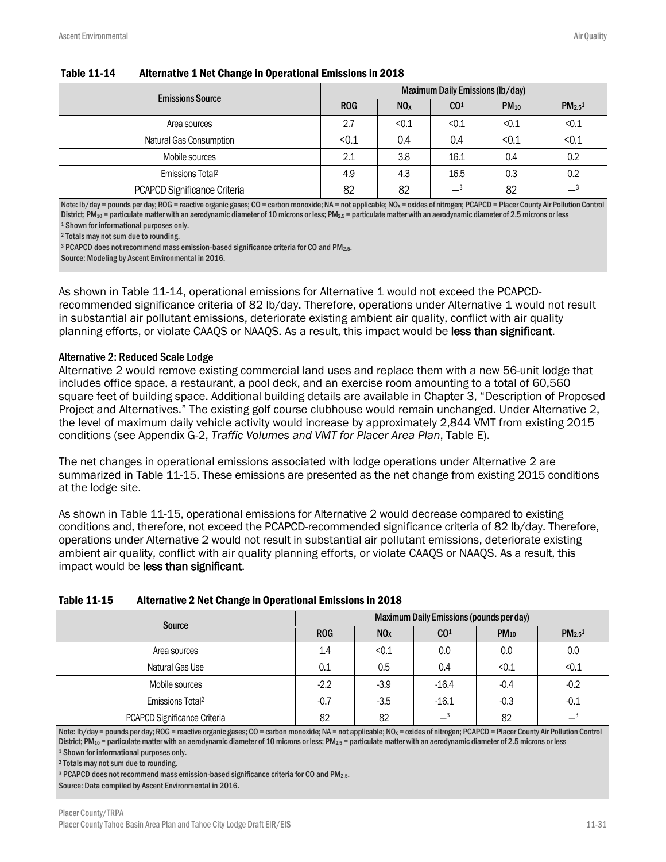| <b>Emissions Source</b>      | Maximum Daily Emissions (lb/day) |                 |                 |           |                                |  |
|------------------------------|----------------------------------|-----------------|-----------------|-----------|--------------------------------|--|
|                              | <b>ROG</b>                       | NO <sub>x</sub> | CO <sup>1</sup> | $PM_{10}$ | PM <sub>2.5</sub> <sup>1</sup> |  |
| Area sources                 | 2.7                              | < 0.1           | < 0.1           | < 0.1     | < 0.1                          |  |
| Natural Gas Consumption      | < 0.1                            | 0.4             | 0.4             | < 0.1     | < 0.1                          |  |
| Mobile sources               | 2.1                              | 3.8             | 16.1            | 0.4       | 0.2                            |  |
| Emissions Total <sup>2</sup> | 4.9                              | 4.3             | 16.5            | 0.3       | 0.2                            |  |
| PCAPCD Significance Criteria | 82                               | 82              |                 | 82        |                                |  |

#### Table 11-14 Alternative 1 Net Change in Operational Emissions in 2018

Note: lb/day = pounds per day; ROG = reactive organic gases; CO = carbon monoxide; NA = not applicable; NO<sub>x</sub> = oxides of nitrogen; PCAPCD = Placer County Air Pollution Control District; PM<sub>10</sub> = particulate matter with an aerodynamic diameter of 10 microns or less; PM<sub>2.5</sub> = particulate matter with an aerodynamic diameter of 2.5 microns or less <sup>1</sup> Shown for informational purposes only.

<sup>2</sup> Totals may not sum due to rounding.

<sup>3</sup> PCAPCD does not recommend mass emission-based significance criteria for CO and PM<sub>2.5</sub>.

Source: Modeling by Ascent Environmental in 2016.

As shown in Table 11-14, operational emissions for Alternative 1 would not exceed the PCAPCDrecommended significance criteria of 82 lb/day. Therefore, operations under Alternative 1 would not result in substantial air pollutant emissions, deteriorate existing ambient air quality, conflict with air quality planning efforts, or violate CAAQS or NAAQS. As a result, this impact would be less than significant.

#### Alternative 2: Reduced Scale Lodge

Alternative 2 would remove existing commercial land uses and replace them with a new 56-unit lodge that includes office space, a restaurant, a pool deck, and an exercise room amounting to a total of 60,560 square feet of building space. Additional building details are available in Chapter 3, "Description of Proposed Project and Alternatives." The existing golf course clubhouse would remain unchanged. Under Alternative 2, the level of maximum daily vehicle activity would increase by approximately 2,844 VMT from existing 2015 conditions (see Appendix G-2, *Traffic Volumes and VMT for Placer Area Plan*, Table E).

The net changes in operational emissions associated with lodge operations under Alternative 2 are summarized in Table 11-15. These emissions are presented as the net change from existing 2015 conditions at the lodge site.

As shown in Table 11-15, operational emissions for Alternative 2 would decrease compared to existing conditions and, therefore, not exceed the PCAPCD-recommended significance criteria of 82 lb/day. Therefore, operations under Alternative 2 would not result in substantial air pollutant emissions, deteriorate existing ambient air quality, conflict with air quality planning efforts, or violate CAAQS or NAAQS. As a result, this impact would be less than significant.

#### Table 11-15 Alternative 2 Net Change in Operational Emissions in 2018

| <b>Source</b>                | Maximum Daily Emissions (pounds per day) |                 |                 |           |                                |  |  |
|------------------------------|------------------------------------------|-----------------|-----------------|-----------|--------------------------------|--|--|
|                              | <b>ROG</b>                               | NO <sub>x</sub> | CO <sup>1</sup> | $PM_{10}$ | PM <sub>2.5</sub> <sup>1</sup> |  |  |
| Area sources                 | 1.4                                      | < 0.1           | 0.0             | 0.0       | 0.0                            |  |  |
| Natural Gas Use              | 0.1                                      | 0.5             | 0.4             | < 0.1     | < 0.1                          |  |  |
| Mobile sources               | $-2.2$                                   | $-3.9$          | $-16.4$         | $-0.4$    | $-0.2$                         |  |  |
| Emissions Total <sup>2</sup> | $-0.7$                                   | $-3.5$          | $-16.1$         | $-0.3$    | $-0.1$                         |  |  |
| PCAPCD Significance Criteria | 82                                       | 82              |                 | 82        |                                |  |  |

Note: lb/day = pounds per day; ROG = reactive organic gases; CO = carbon monoxide; NA = not applicable; NO<sub>x</sub> = oxides of nitrogen; PCAPCD = Placer County Air Pollution Control District; PM<sub>10</sub> = particulate matter with an aerodynamic diameter of 10 microns or less; PM<sub>2.5</sub> = particulate matter with an aerodynamic diameter of 2.5 microns or less

<sup>1</sup> Shown for informational purposes only.

<sup>2</sup> Totals may not sum due to rounding.

<sup>3</sup> PCAPCD does not recommend mass emission-based significance criteria for CO and PM<sub>2.5</sub>.

Source: Data compiled by Ascent Environmental in 2016.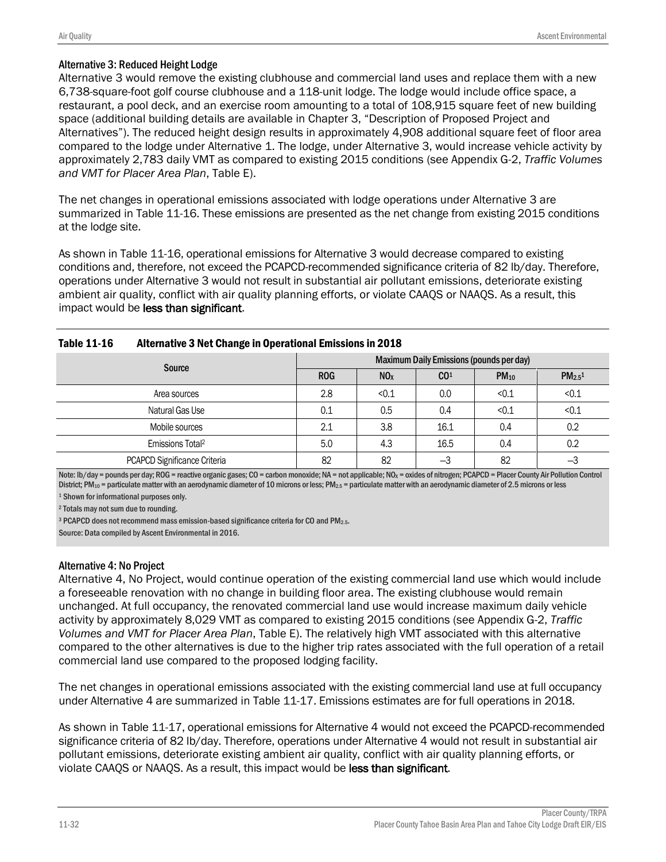#### Alternative 3: Reduced Height Lodge

Alternative 3 would remove the existing clubhouse and commercial land uses and replace them with a new 6,738-square-foot golf course clubhouse and a 118-unit lodge. The lodge would include office space, a restaurant, a pool deck, and an exercise room amounting to a total of 108,915 square feet of new building space (additional building details are available in Chapter 3, "Description of Proposed Project and Alternatives"). The reduced height design results in approximately 4,908 additional square feet of floor area compared to the lodge under Alternative 1. The lodge, under Alternative 3, would increase vehicle activity by approximately 2,783 daily VMT as compared to existing 2015 conditions (see Appendix G-2, *Traffic Volumes and VMT for Placer Area Plan*, Table E).

The net changes in operational emissions associated with lodge operations under Alternative 3 are summarized in Table 11-16. These emissions are presented as the net change from existing 2015 conditions at the lodge site.

As shown in Table 11-16, operational emissions for Alternative 3 would decrease compared to existing conditions and, therefore, not exceed the PCAPCD-recommended significance criteria of 82 lb/day. Therefore, operations under Alternative 3 would not result in substantial air pollutant emissions, deteriorate existing ambient air quality, conflict with air quality planning efforts, or violate CAAQS or NAAQS. As a result, this impact would be less than significant.

| IUNIV 11 1V<br>ARGUNGUYO O NGC ONGHAG IN OPGREGORIA ENNOSIONS IN ZOIO |                                          |                 |                 |           |                         |  |
|-----------------------------------------------------------------------|------------------------------------------|-----------------|-----------------|-----------|-------------------------|--|
| Source                                                                | Maximum Daily Emissions (pounds per day) |                 |                 |           |                         |  |
|                                                                       | <b>ROG</b>                               | NO <sub>X</sub> | CO <sup>1</sup> | $PM_{10}$ | $PM_{2.5}$ <sup>1</sup> |  |
| Area sources                                                          | 2.8                                      | < 0.1           | 0.0             | < 0.1     | < 0.1                   |  |
| Natural Gas Use                                                       | 0.1                                      | 0.5             | 0.4             | < 0.1     | < 0.1                   |  |
| Mobile sources                                                        | 2.1                                      | 3.8             | 16.1            | 0.4       | 0.2                     |  |
| Emissions Total <sup>2</sup>                                          | 5.0                                      | 4.3             | 16.5            | 0.4       | 0.2                     |  |
| PCAPCD Significance Criteria                                          | 82                                       | 82              | $-3$            | 82        | $-3$                    |  |

| <b>Table 11-16</b> | <b>Alternative 3 Net Change in Operational Emissions in 2018</b> |  |
|--------------------|------------------------------------------------------------------|--|
|                    |                                                                  |  |

Note: lb/day = pounds per day; ROG = reactive organic gases; CO = carbon monoxide; NA = not applicable; NO<sub>X</sub> = oxides of nitrogen; PCAPCD = Placer County Air Pollution Control District; PM<sub>10</sub> = particulate matter with an aerodynamic diameter of 10 microns or less; PM<sub>2.5</sub> = particulate matter with an aerodynamic diameter of 2.5 microns or less

<sup>1</sup> Shown for informational purposes only.

<sup>2</sup> Totals may not sum due to rounding.

<sup>3</sup> PCAPCD does not recommend mass emission-based significance criteria for CO and PM2.5.

Source: Data compiled by Ascent Environmental in 2016.

#### Alternative 4: No Project

Alternative 4, No Project, would continue operation of the existing commercial land use which would include a foreseeable renovation with no change in building floor area. The existing clubhouse would remain unchanged. At full occupancy, the renovated commercial land use would increase maximum daily vehicle activity by approximately 8,029 VMT as compared to existing 2015 conditions (see Appendix G-2, *Traffic Volumes and VMT for Placer Area Plan*, Table E). The relatively high VMT associated with this alternative compared to the other alternatives is due to the higher trip rates associated with the full operation of a retail commercial land use compared to the proposed lodging facility.

The net changes in operational emissions associated with the existing commercial land use at full occupancy under Alternative 4 are summarized in Table 11-17. Emissions estimates are for full operations in 2018.

As shown in Table 11-17, operational emissions for Alternative 4 would not exceed the PCAPCD-recommended significance criteria of 82 lb/day. Therefore, operations under Alternative 4 would not result in substantial air pollutant emissions, deteriorate existing ambient air quality, conflict with air quality planning efforts, or violate CAAQS or NAAQS. As a result, this impact would be less than significant.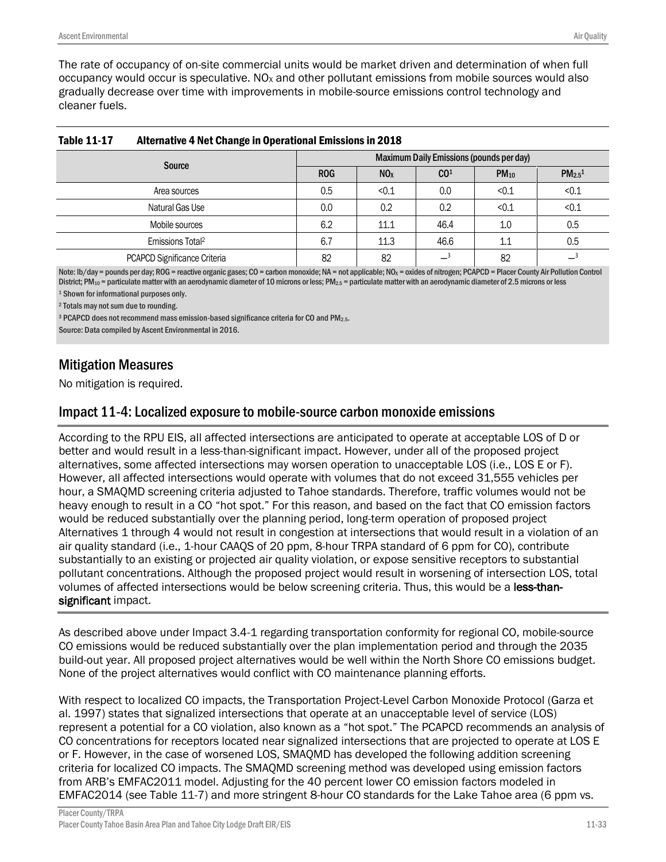The rate of occupancy of on-site commercial units would be market driven and determination of when full occupancy would occur is speculative.  $N_{\text{Ox}}$  and other pollutant emissions from mobile sources would also gradually decrease over time with improvements in mobile-source emissions control technology and cleaner fuels.

| -                            |                                          |                 |                 |           |                         |  |
|------------------------------|------------------------------------------|-----------------|-----------------|-----------|-------------------------|--|
| Source                       | Maximum Daily Emissions (pounds per day) |                 |                 |           |                         |  |
|                              | <b>ROG</b>                               | NO <sub>x</sub> | CO <sup>1</sup> | $PM_{10}$ | $PM_{2.5}$ <sup>1</sup> |  |
| Area sources                 | 0.5                                      | < 0.1           | 0.0             | < 0.1     | < 0.1                   |  |
| Natural Gas Use              | 0.0                                      | 0.2             | 0.2             | < 0.1     | < 0.1                   |  |
| Mobile sources               | 6.2                                      | 11.1            | 46.4            | 1.0       | 0.5                     |  |
| Emissions Total <sup>2</sup> | 6.7                                      | 11.3            | 46.6            | 1.1       | 0.5                     |  |
| PCAPCD Significance Criteria | 82                                       | 82              |                 | 82        |                         |  |

| <b>Table 11-17</b> | <b>Alternative 4 Net Change in Operational Emissions in 2018</b> |
|--------------------|------------------------------------------------------------------|
|                    |                                                                  |

Note: lb/day = pounds per day; ROG = reactive organic gases; CO = carbon monoxide; NA = not applicable; NO<sub>x</sub> = oxides of nitrogen; PCAPCD = Placer County Air Pollution Control District; PM<sub>10</sub> = particulate matter with an aerodynamic diameter of 10 microns or less; PM<sub>2.5</sub> = particulate matter with an aerodynamic diameter of 2.5 microns or less

<sup>1</sup> Shown for informational purposes only. <sup>2</sup> Totals may not sum due to rounding.

<sup>3</sup> PCAPCD does not recommend mass emission-based significance criteria for CO and PM<sub>2.5</sub>.

Source: Data compiled by Ascent Environmental in 2016.

# Mitigation Measures

No mitigation is required.

## Impact 11-4: Localized exposure to mobile-source carbon monoxide emissions

According to the RPU EIS, all affected intersections are anticipated to operate at acceptable LOS of D or better and would result in a less-than-significant impact. However, under all of the proposed project alternatives, some affected intersections may worsen operation to unacceptable LOS (i.e., LOS E or F). However, all affected intersections would operate with volumes that do not exceed 31,555 vehicles per hour, a SMAQMD screening criteria adjusted to Tahoe standards. Therefore, traffic volumes would not be heavy enough to result in a CO "hot spot." For this reason, and based on the fact that CO emission factors would be reduced substantially over the planning period, long-term operation of proposed project Alternatives 1 through 4 would not result in congestion at intersections that would result in a violation of an air quality standard (i.e., 1-hour CAAQS of 20 ppm, 8-hour TRPA standard of 6 ppm for CO), contribute substantially to an existing or projected air quality violation, or expose sensitive receptors to substantial pollutant concentrations. Although the proposed project would result in worsening of intersection LOS, total volumes of affected intersections would be below screening criteria. Thus, this would be a less-thansignificant impact.

As described above under Impact 3.4-1 regarding transportation conformity for regional CO, mobile-source CO emissions would be reduced substantially over the plan implementation period and through the 2035 build-out year. All proposed project alternatives would be well within the North Shore CO emissions budget. None of the project alternatives would conflict with CO maintenance planning efforts.

With respect to localized CO impacts, the Transportation Project-Level Carbon Monoxide Protocol (Garza et al. 1997) states that signalized intersections that operate at an unacceptable level of service (LOS) represent a potential for a CO violation, also known as a "hot spot." The PCAPCD recommends an analysis of CO concentrations for receptors located near signalized intersections that are projected to operate at LOS E or F. However, in the case of worsened LOS, SMAQMD has developed the following addition screening criteria for localized CO impacts. The SMAQMD screening method was developed using emission factors from ARB's EMFAC2011 model. Adjusting for the 40 percent lower CO emission factors modeled in EMFAC2014 (see Table 11-7) and more stringent 8-hour CO standards for the Lake Tahoe area (6 ppm vs.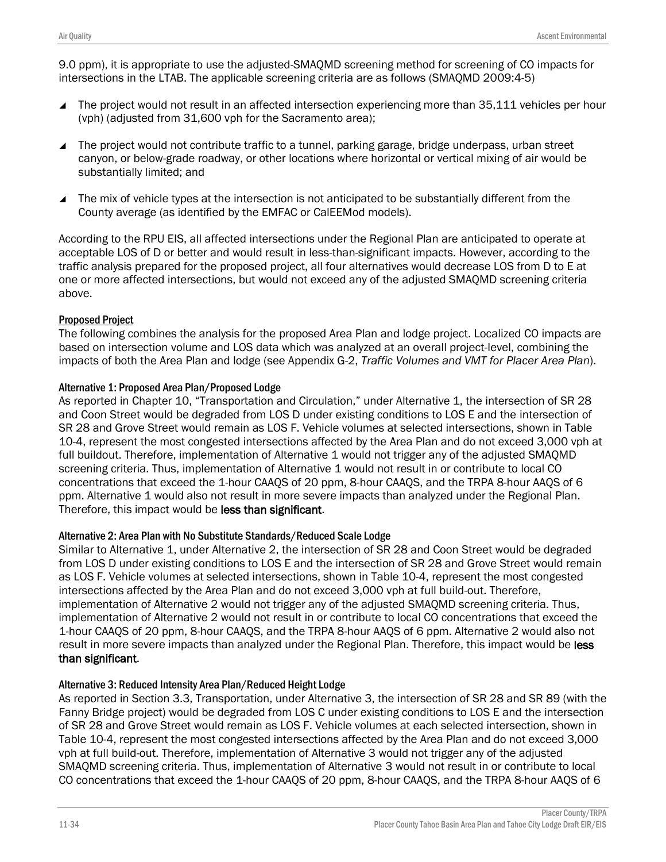9.0 ppm), it is appropriate to use the adjusted-SMAQMD screening method for screening of CO impacts for intersections in the LTAB. The applicable screening criteria are as follows (SMAQMD 2009:4-5)

- The project would not result in an affected intersection experiencing more than 35,111 vehicles per hour (vph) (adjusted from 31,600 vph for the Sacramento area);
- The project would not contribute traffic to a tunnel, parking garage, bridge underpass, urban street canyon, or below-grade roadway, or other locations where horizontal or vertical mixing of air would be substantially limited; and
- The mix of vehicle types at the intersection is not anticipated to be substantially different from the County average (as identified by the EMFAC or CalEEMod models).

According to the RPU EIS, all affected intersections under the Regional Plan are anticipated to operate at acceptable LOS of D or better and would result in less-than-significant impacts. However, according to the traffic analysis prepared for the proposed project, all four alternatives would decrease LOS from D to E at one or more affected intersections, but would not exceed any of the adjusted SMAQMD screening criteria above.

### Proposed Project

The following combines the analysis for the proposed Area Plan and lodge project. Localized CO impacts are based on intersection volume and LOS data which was analyzed at an overall project-level, combining the impacts of both the Area Plan and lodge (see Appendix G-2, *Traffic Volumes and VMT for Placer Area Plan*).

### Alternative 1: Proposed Area Plan/Proposed Lodge

As reported in Chapter 10, "Transportation and Circulation," under Alternative 1, the intersection of SR 28 and Coon Street would be degraded from LOS D under existing conditions to LOS E and the intersection of SR 28 and Grove Street would remain as LOS F. Vehicle volumes at selected intersections, shown in Table 10-4, represent the most congested intersections affected by the Area Plan and do not exceed 3,000 vph at full buildout. Therefore, implementation of Alternative 1 would not trigger any of the adjusted SMAQMD screening criteria. Thus, implementation of Alternative 1 would not result in or contribute to local CO concentrations that exceed the 1-hour CAAQS of 20 ppm, 8-hour CAAQS, and the TRPA 8-hour AAQS of 6 ppm. Alternative 1 would also not result in more severe impacts than analyzed under the Regional Plan. Therefore, this impact would be less than significant.

### Alternative 2: Area Plan with No Substitute Standards/Reduced Scale Lodge

Similar to Alternative 1, under Alternative 2, the intersection of SR 28 and Coon Street would be degraded from LOS D under existing conditions to LOS E and the intersection of SR 28 and Grove Street would remain as LOS F. Vehicle volumes at selected intersections, shown in Table 10-4, represent the most congested intersections affected by the Area Plan and do not exceed 3,000 vph at full build-out. Therefore, implementation of Alternative 2 would not trigger any of the adjusted SMAQMD screening criteria. Thus, implementation of Alternative 2 would not result in or contribute to local CO concentrations that exceed the 1-hour CAAQS of 20 ppm, 8-hour CAAQS, and the TRPA 8-hour AAQS of 6 ppm. Alternative 2 would also not result in more severe impacts than analyzed under the Regional Plan. Therefore, this impact would be less than significant.

### Alternative 3: Reduced Intensity Area Plan/Reduced Height Lodge

As reported in Section 3.3, Transportation, under Alternative 3, the intersection of SR 28 and SR 89 (with the Fanny Bridge project) would be degraded from LOS C under existing conditions to LOS E and the intersection of SR 28 and Grove Street would remain as LOS F. Vehicle volumes at each selected intersection, shown in Table 10-4, represent the most congested intersections affected by the Area Plan and do not exceed 3,000 vph at full build-out. Therefore, implementation of Alternative 3 would not trigger any of the adjusted SMAQMD screening criteria. Thus, implementation of Alternative 3 would not result in or contribute to local CO concentrations that exceed the 1-hour CAAQS of 20 ppm, 8-hour CAAQS, and the TRPA 8-hour AAQS of 6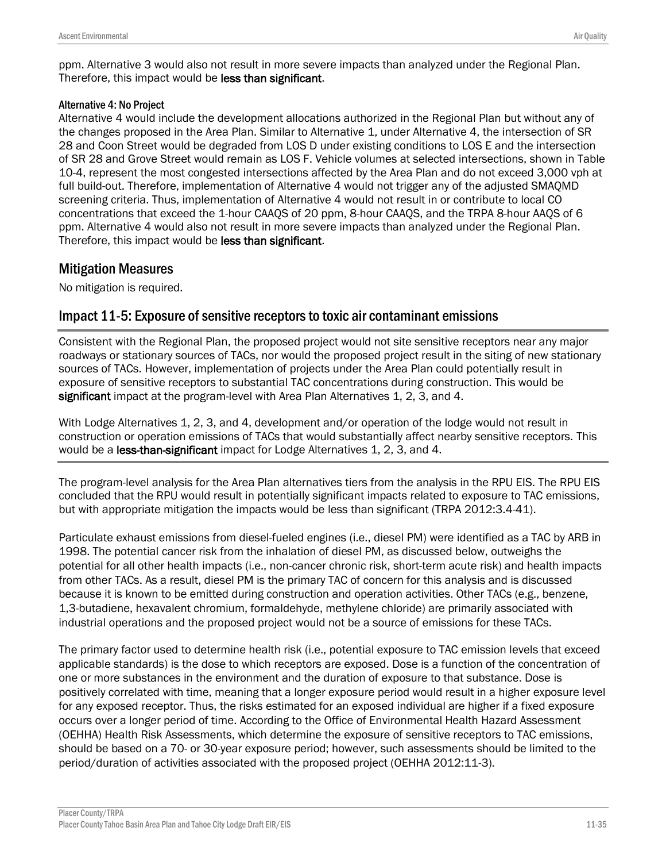ppm. Alternative 3 would also not result in more severe impacts than analyzed under the Regional Plan. Therefore, this impact would be less than significant.

### Alternative 4: No Project

Alternative 4 would include the development allocations authorized in the Regional Plan but without any of the changes proposed in the Area Plan. Similar to Alternative 1, under Alternative 4, the intersection of SR 28 and Coon Street would be degraded from LOS D under existing conditions to LOS E and the intersection of SR 28 and Grove Street would remain as LOS F. Vehicle volumes at selected intersections, shown in Table 10-4, represent the most congested intersections affected by the Area Plan and do not exceed 3,000 vph at full build-out. Therefore, implementation of Alternative 4 would not trigger any of the adjusted SMAQMD screening criteria. Thus, implementation of Alternative 4 would not result in or contribute to local CO concentrations that exceed the 1-hour CAAQS of 20 ppm, 8-hour CAAQS, and the TRPA 8-hour AAQS of 6 ppm. Alternative 4 would also not result in more severe impacts than analyzed under the Regional Plan. Therefore, this impact would be less than significant.

### Mitigation Measures

No mitigation is required.

## Impact 11-5: Exposure of sensitive receptors to toxic air contaminant emissions

Consistent with the Regional Plan, the proposed project would not site sensitive receptors near any major roadways or stationary sources of TACs, nor would the proposed project result in the siting of new stationary sources of TACs. However, implementation of projects under the Area Plan could potentially result in exposure of sensitive receptors to substantial TAC concentrations during construction. This would be significant impact at the program-level with Area Plan Alternatives 1, 2, 3, and 4.

With Lodge Alternatives 1, 2, 3, and 4, development and/or operation of the lodge would not result in construction or operation emissions of TACs that would substantially affect nearby sensitive receptors. This would be a **less-than-significant** impact for Lodge Alternatives 1, 2, 3, and 4.

The program-level analysis for the Area Plan alternatives tiers from the analysis in the RPU EIS. The RPU EIS concluded that the RPU would result in potentially significant impacts related to exposure to TAC emissions, but with appropriate mitigation the impacts would be less than significant (TRPA 2012:3.4-41).

Particulate exhaust emissions from diesel-fueled engines (i.e., diesel PM) were identified as a TAC by ARB in 1998. The potential cancer risk from the inhalation of diesel PM, as discussed below, outweighs the potential for all other health impacts (i.e., non-cancer chronic risk, short-term acute risk) and health impacts from other TACs. As a result, diesel PM is the primary TAC of concern for this analysis and is discussed because it is known to be emitted during construction and operation activities. Other TACs (e.g., benzene, 1,3-butadiene, hexavalent chromium, formaldehyde, methylene chloride) are primarily associated with industrial operations and the proposed project would not be a source of emissions for these TACs.

The primary factor used to determine health risk (i.e., potential exposure to TAC emission levels that exceed applicable standards) is the dose to which receptors are exposed. Dose is a function of the concentration of one or more substances in the environment and the duration of exposure to that substance. Dose is positively correlated with time, meaning that a longer exposure period would result in a higher exposure level for any exposed receptor. Thus, the risks estimated for an exposed individual are higher if a fixed exposure occurs over a longer period of time. According to the Office of Environmental Health Hazard Assessment (OEHHA) Health Risk Assessments, which determine the exposure of sensitive receptors to TAC emissions, should be based on a 70- or 30-year exposure period; however, such assessments should be limited to the period/duration of activities associated with the proposed project (OEHHA 2012:11-3).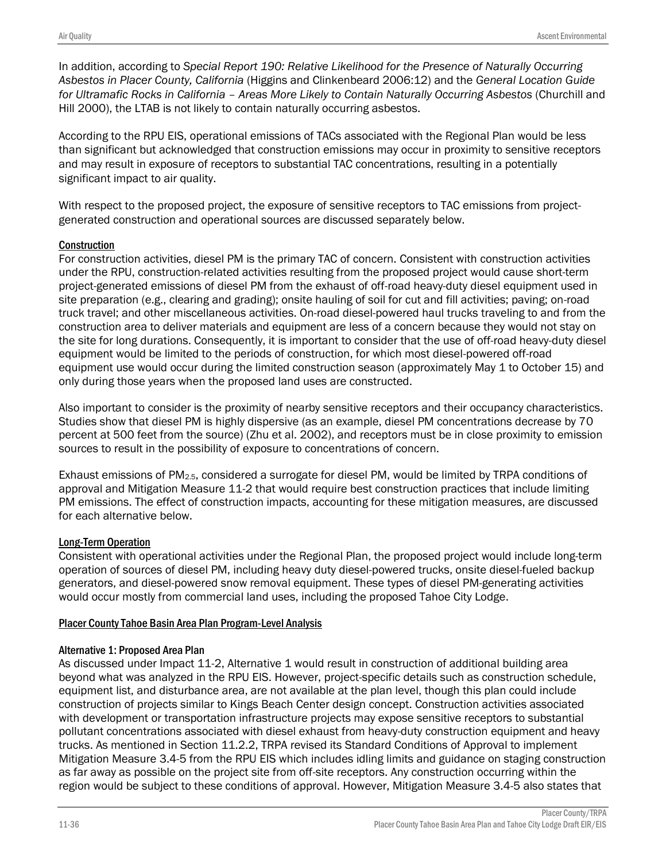In addition, according to *Special Report 190: Relative Likelihood for the Presence of Naturally Occurring Asbestos in Placer County, California* (Higgins and Clinkenbeard 2006:12) and the *General Location Guide for Ultramafic Rocks in California – Areas More Likely to Contain Naturally Occurring Asbestos* (Churchill and Hill 2000), the LTAB is not likely to contain naturally occurring asbestos.

According to the RPU EIS, operational emissions of TACs associated with the Regional Plan would be less than significant but acknowledged that construction emissions may occur in proximity to sensitive receptors and may result in exposure of receptors to substantial TAC concentrations, resulting in a potentially significant impact to air quality.

With respect to the proposed project, the exposure of sensitive receptors to TAC emissions from projectgenerated construction and operational sources are discussed separately below.

### **Construction**

For construction activities, diesel PM is the primary TAC of concern. Consistent with construction activities under the RPU, construction-related activities resulting from the proposed project would cause short-term project-generated emissions of diesel PM from the exhaust of off-road heavy-duty diesel equipment used in site preparation (e.g., clearing and grading); onsite hauling of soil for cut and fill activities; paving; on-road truck travel; and other miscellaneous activities. On-road diesel-powered haul trucks traveling to and from the construction area to deliver materials and equipment are less of a concern because they would not stay on the site for long durations. Consequently, it is important to consider that the use of off-road heavy-duty diesel equipment would be limited to the periods of construction, for which most diesel-powered off-road equipment use would occur during the limited construction season (approximately May 1 to October 15) and only during those years when the proposed land uses are constructed.

Also important to consider is the proximity of nearby sensitive receptors and their occupancy characteristics. Studies show that diesel PM is highly dispersive (as an example, diesel PM concentrations decrease by 70 percent at 500 feet from the source) (Zhu et al. 2002), and receptors must be in close proximity to emission sources to result in the possibility of exposure to concentrations of concern.

Exhaust emissions of PM2.5, considered a surrogate for diesel PM, would be limited by TRPA conditions of approval and Mitigation Measure 11-2 that would require best construction practices that include limiting PM emissions. The effect of construction impacts, accounting for these mitigation measures, are discussed for each alternative below.

### Long-Term Operation

Consistent with operational activities under the Regional Plan, the proposed project would include long-term operation of sources of diesel PM, including heavy duty diesel-powered trucks, onsite diesel-fueled backup generators, and diesel-powered snow removal equipment. These types of diesel PM-generating activities would occur mostly from commercial land uses, including the proposed Tahoe City Lodge.

### Placer County Tahoe Basin Area Plan Program-Level Analysis

### Alternative 1: Proposed Area Plan

As discussed under Impact 11-2, Alternative 1 would result in construction of additional building area beyond what was analyzed in the RPU EIS. However, project-specific details such as construction schedule, equipment list, and disturbance area, are not available at the plan level, though this plan could include construction of projects similar to Kings Beach Center design concept. Construction activities associated with development or transportation infrastructure projects may expose sensitive receptors to substantial pollutant concentrations associated with diesel exhaust from heavy-duty construction equipment and heavy trucks. As mentioned in Section 11.2.2, TRPA revised its Standard Conditions of Approval to implement Mitigation Measure 3.4-5 from the RPU EIS which includes idling limits and guidance on staging construction as far away as possible on the project site from off-site receptors. Any construction occurring within the region would be subject to these conditions of approval. However, Mitigation Measure 3.4-5 also states that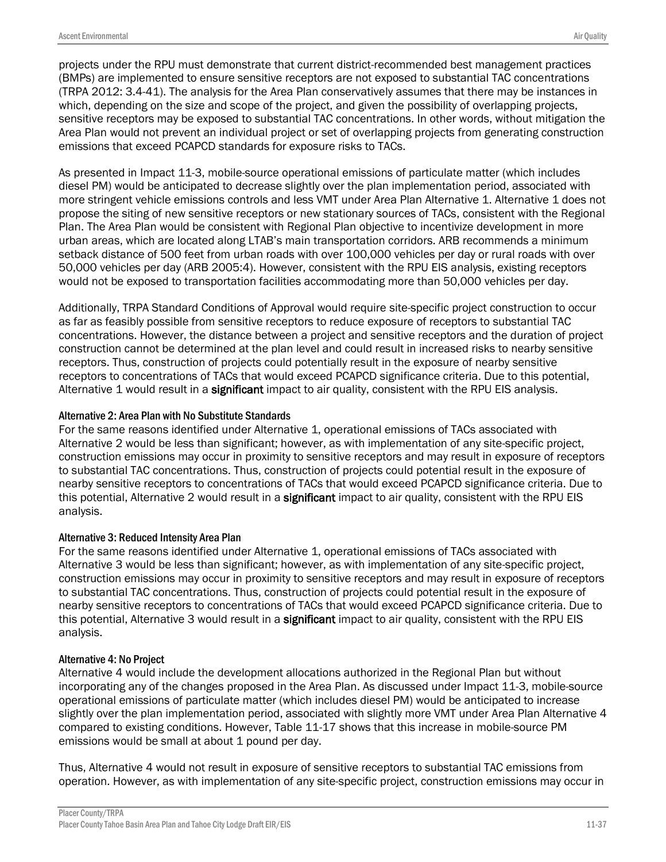projects under the RPU must demonstrate that current district-recommended best management practices (BMPs) are implemented to ensure sensitive receptors are not exposed to substantial TAC concentrations (TRPA 2012: 3.4-41). The analysis for the Area Plan conservatively assumes that there may be instances in which, depending on the size and scope of the project, and given the possibility of overlapping projects, sensitive receptors may be exposed to substantial TAC concentrations. In other words, without mitigation the Area Plan would not prevent an individual project or set of overlapping projects from generating construction emissions that exceed PCAPCD standards for exposure risks to TACs.

As presented in Impact 11-3, mobile-source operational emissions of particulate matter (which includes diesel PM) would be anticipated to decrease slightly over the plan implementation period, associated with more stringent vehicle emissions controls and less VMT under Area Plan Alternative 1. Alternative 1 does not propose the siting of new sensitive receptors or new stationary sources of TACs, consistent with the Regional Plan. The Area Plan would be consistent with Regional Plan objective to incentivize development in more urban areas, which are located along LTAB's main transportation corridors. ARB recommends a minimum setback distance of 500 feet from urban roads with over 100,000 vehicles per day or rural roads with over 50,000 vehicles per day (ARB 2005:4). However, consistent with the RPU EIS analysis, existing receptors would not be exposed to transportation facilities accommodating more than 50,000 vehicles per day.

Additionally, TRPA Standard Conditions of Approval would require site-specific project construction to occur as far as feasibly possible from sensitive receptors to reduce exposure of receptors to substantial TAC concentrations. However, the distance between a project and sensitive receptors and the duration of project construction cannot be determined at the plan level and could result in increased risks to nearby sensitive receptors. Thus, construction of projects could potentially result in the exposure of nearby sensitive receptors to concentrations of TACs that would exceed PCAPCD significance criteria. Due to this potential, Alternative 1 would result in a significant impact to air quality, consistent with the RPU EIS analysis.

### Alternative 2: Area Plan with No Substitute Standards

For the same reasons identified under Alternative 1, operational emissions of TACs associated with Alternative 2 would be less than significant; however, as with implementation of any site-specific project, construction emissions may occur in proximity to sensitive receptors and may result in exposure of receptors to substantial TAC concentrations. Thus, construction of projects could potential result in the exposure of nearby sensitive receptors to concentrations of TACs that would exceed PCAPCD significance criteria. Due to this potential, Alternative 2 would result in a significant impact to air quality, consistent with the RPU EIS analysis.

### Alternative 3: Reduced Intensity Area Plan

For the same reasons identified under Alternative 1, operational emissions of TACs associated with Alternative 3 would be less than significant; however, as with implementation of any site-specific project, construction emissions may occur in proximity to sensitive receptors and may result in exposure of receptors to substantial TAC concentrations. Thus, construction of projects could potential result in the exposure of nearby sensitive receptors to concentrations of TACs that would exceed PCAPCD significance criteria. Due to this potential, Alternative 3 would result in a significant impact to air quality, consistent with the RPU EIS analysis.

### Alternative 4: No Project

Alternative 4 would include the development allocations authorized in the Regional Plan but without incorporating any of the changes proposed in the Area Plan. As discussed under Impact 11-3, mobile-source operational emissions of particulate matter (which includes diesel PM) would be anticipated to increase slightly over the plan implementation period, associated with slightly more VMT under Area Plan Alternative 4 compared to existing conditions. However, Table 11-17 shows that this increase in mobile-source PM emissions would be small at about 1 pound per day.

Thus, Alternative 4 would not result in exposure of sensitive receptors to substantial TAC emissions from operation. However, as with implementation of any site-specific project, construction emissions may occur in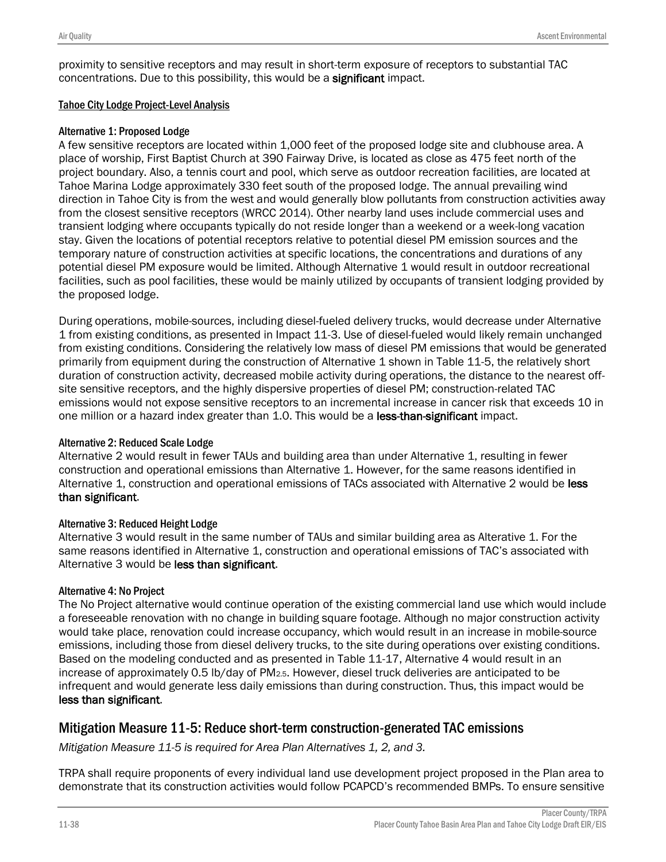proximity to sensitive receptors and may result in short-term exposure of receptors to substantial TAC concentrations. Due to this possibility, this would be a significant impact.

### Tahoe City Lodge Project-Level Analysis

### Alternative 1: Proposed Lodge

A few sensitive receptors are located within 1,000 feet of the proposed lodge site and clubhouse area. A place of worship, First Baptist Church at 390 Fairway Drive, is located as close as 475 feet north of the project boundary. Also, a tennis court and pool, which serve as outdoor recreation facilities, are located at Tahoe Marina Lodge approximately 330 feet south of the proposed lodge. The annual prevailing wind direction in Tahoe City is from the west and would generally blow pollutants from construction activities away from the closest sensitive receptors (WRCC 2014). Other nearby land uses include commercial uses and transient lodging where occupants typically do not reside longer than a weekend or a week-long vacation stay. Given the locations of potential receptors relative to potential diesel PM emission sources and the temporary nature of construction activities at specific locations, the concentrations and durations of any potential diesel PM exposure would be limited. Although Alternative 1 would result in outdoor recreational facilities, such as pool facilities, these would be mainly utilized by occupants of transient lodging provided by the proposed lodge.

During operations, mobile-sources, including diesel-fueled delivery trucks, would decrease under Alternative 1 from existing conditions, as presented in Impact 11-3. Use of diesel-fueled would likely remain unchanged from existing conditions. Considering the relatively low mass of diesel PM emissions that would be generated primarily from equipment during the construction of Alternative 1 shown in Table 11-5, the relatively short duration of construction activity, decreased mobile activity during operations, the distance to the nearest offsite sensitive receptors, and the highly dispersive properties of diesel PM; construction-related TAC emissions would not expose sensitive receptors to an incremental increase in cancer risk that exceeds 10 in one million or a hazard index greater than 1.0. This would be a less-than-significant impact.

### Alternative 2: Reduced Scale Lodge

Alternative 2 would result in fewer TAUs and building area than under Alternative 1, resulting in fewer construction and operational emissions than Alternative 1. However, for the same reasons identified in Alternative 1, construction and operational emissions of TACs associated with Alternative 2 would be less than significant.

### Alternative 3: Reduced Height Lodge

Alternative 3 would result in the same number of TAUs and similar building area as Alterative 1. For the same reasons identified in Alternative 1, construction and operational emissions of TAC's associated with Alternative 3 would be less than significant.

### Alternative 4: No Project

The No Project alternative would continue operation of the existing commercial land use which would include a foreseeable renovation with no change in building square footage. Although no major construction activity would take place, renovation could increase occupancy, which would result in an increase in mobile-source emissions, including those from diesel delivery trucks, to the site during operations over existing conditions. Based on the modeling conducted and as presented in Table 11-17, Alternative 4 would result in an increase of approximately 0.5 lb/day of  $PM_{2.5}$ . However, diesel truck deliveries are anticipated to be infrequent and would generate less daily emissions than during construction. Thus, this impact would be less than significant.

## Mitigation Measure 11-5: Reduce short-term construction-generated TAC emissions

*Mitigation Measure 11-5 is required for Area Plan Alternatives 1, 2, and 3.*

TRPA shall require proponents of every individual land use development project proposed in the Plan area to demonstrate that its construction activities would follow PCAPCD's recommended BMPs. To ensure sensitive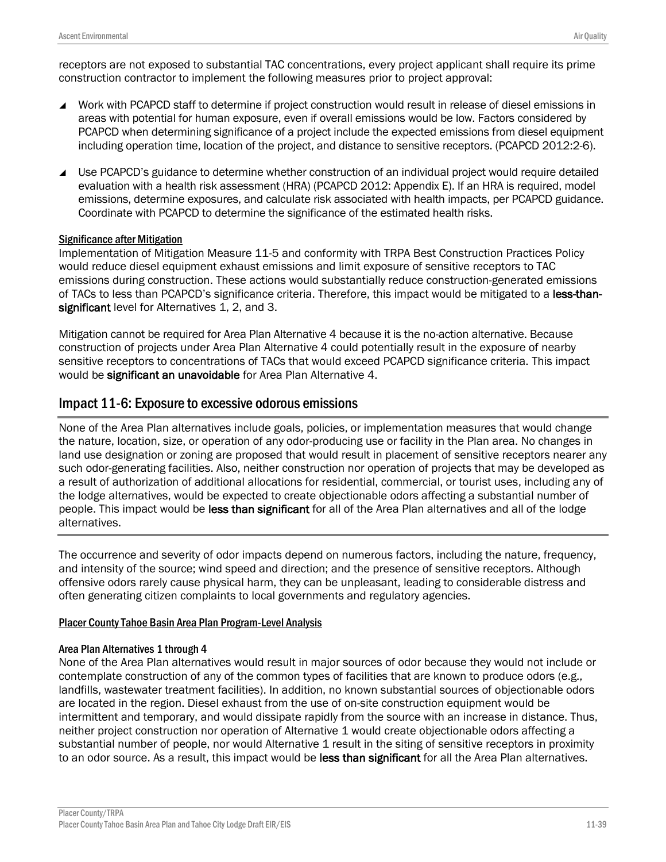receptors are not exposed to substantial TAC concentrations, every project applicant shall require its prime construction contractor to implement the following measures prior to project approval:

- Work with PCAPCD staff to determine if project construction would result in release of diesel emissions in areas with potential for human exposure, even if overall emissions would be low. Factors considered by PCAPCD when determining significance of a project include the expected emissions from diesel equipment including operation time, location of the project, and distance to sensitive receptors. (PCAPCD 2012:2-6).
- Use PCAPCD's guidance to determine whether construction of an individual project would require detailed evaluation with a health risk assessment (HRA) (PCAPCD 2012: Appendix E). If an HRA is required, model emissions, determine exposures, and calculate risk associated with health impacts, per PCAPCD guidance. Coordinate with PCAPCD to determine the significance of the estimated health risks.

#### Significance after Mitigation

Implementation of Mitigation Measure 11-5 and conformity with TRPA Best Construction Practices Policy would reduce diesel equipment exhaust emissions and limit exposure of sensitive receptors to TAC emissions during construction. These actions would substantially reduce construction-generated emissions of TACs to less than PCAPCD's significance criteria. Therefore, this impact would be mitigated to a less-thansignificant level for Alternatives 1, 2, and 3.

Mitigation cannot be required for Area Plan Alternative 4 because it is the no-action alternative. Because construction of projects under Area Plan Alternative 4 could potentially result in the exposure of nearby sensitive receptors to concentrations of TACs that would exceed PCAPCD significance criteria. This impact would be significant an unavoidable for Area Plan Alternative 4.

### Impact 11-6: Exposure to excessive odorous emissions

None of the Area Plan alternatives include goals, policies, or implementation measures that would change the nature, location, size, or operation of any odor-producing use or facility in the Plan area. No changes in land use designation or zoning are proposed that would result in placement of sensitive receptors nearer any such odor-generating facilities. Also, neither construction nor operation of projects that may be developed as a result of authorization of additional allocations for residential, commercial, or tourist uses, including any of the lodge alternatives, would be expected to create objectionable odors affecting a substantial number of people. This impact would be less than significant for all of the Area Plan alternatives and all of the lodge alternatives.

The occurrence and severity of odor impacts depend on numerous factors, including the nature, frequency, and intensity of the source; wind speed and direction; and the presence of sensitive receptors. Although offensive odors rarely cause physical harm, they can be unpleasant, leading to considerable distress and often generating citizen complaints to local governments and regulatory agencies.

#### Placer County Tahoe Basin Area Plan Program-Level Analysis

#### Area Plan Alternatives 1 through 4

None of the Area Plan alternatives would result in major sources of odor because they would not include or contemplate construction of any of the common types of facilities that are known to produce odors (e.g., landfills, wastewater treatment facilities). In addition, no known substantial sources of objectionable odors are located in the region. Diesel exhaust from the use of on-site construction equipment would be intermittent and temporary, and would dissipate rapidly from the source with an increase in distance. Thus, neither project construction nor operation of Alternative 1 would create objectionable odors affecting a substantial number of people, nor would Alternative 1 result in the siting of sensitive receptors in proximity to an odor source. As a result, this impact would be less than significant for all the Area Plan alternatives.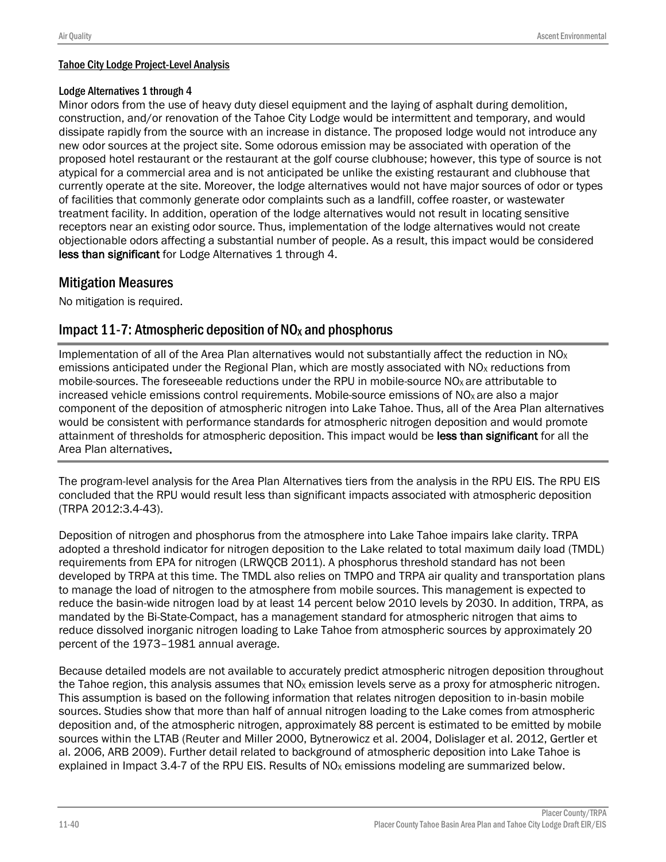### Tahoe City Lodge Project-Level Analysis

#### Lodge Alternatives 1 through 4

Minor odors from the use of heavy duty diesel equipment and the laying of asphalt during demolition, construction, and/or renovation of the Tahoe City Lodge would be intermittent and temporary, and would dissipate rapidly from the source with an increase in distance. The proposed lodge would not introduce any new odor sources at the project site. Some odorous emission may be associated with operation of the proposed hotel restaurant or the restaurant at the golf course clubhouse; however, this type of source is not atypical for a commercial area and is not anticipated be unlike the existing restaurant and clubhouse that currently operate at the site. Moreover, the lodge alternatives would not have major sources of odor or types of facilities that commonly generate odor complaints such as a landfill, coffee roaster, or wastewater treatment facility. In addition, operation of the lodge alternatives would not result in locating sensitive receptors near an existing odor source. Thus, implementation of the lodge alternatives would not create objectionable odors affecting a substantial number of people. As a result, this impact would be considered less than significant for Lodge Alternatives 1 through 4.

# Mitigation Measures

No mitigation is required.

## Impact 11-7: Atmospheric deposition of  $NO<sub>x</sub>$  and phosphorus

Implementation of all of the Area Plan alternatives would not substantially affect the reduction in  $NO<sub>X</sub>$ emissions anticipated under the Regional Plan, which are mostly associated with NO<sub>X</sub> reductions from mobile-sources. The foreseeable reductions under the RPU in mobile-source NO<sub>x</sub> are attributable to increased vehicle emissions control requirements. Mobile-source emissions of  $NO<sub>x</sub>$  are also a major component of the deposition of atmospheric nitrogen into Lake Tahoe. Thus, all of the Area Plan alternatives would be consistent with performance standards for atmospheric nitrogen deposition and would promote attainment of thresholds for atmospheric deposition. This impact would be less than significant for all the Area Plan alternatives.

The program-level analysis for the Area Plan Alternatives tiers from the analysis in the RPU EIS. The RPU EIS concluded that the RPU would result less than significant impacts associated with atmospheric deposition (TRPA 2012:3.4-43).

Deposition of nitrogen and phosphorus from the atmosphere into Lake Tahoe impairs lake clarity. TRPA adopted a threshold indicator for nitrogen deposition to the Lake related to total maximum daily load (TMDL) requirements from EPA for nitrogen (LRWQCB 2011). A phosphorus threshold standard has not been developed by TRPA at this time. The TMDL also relies on TMPO and TRPA air quality and transportation plans to manage the load of nitrogen to the atmosphere from mobile sources. This management is expected to reduce the basin-wide nitrogen load by at least 14 percent below 2010 levels by 2030. In addition, TRPA, as mandated by the Bi-State-Compact, has a management standard for atmospheric nitrogen that aims to reduce dissolved inorganic nitrogen loading to Lake Tahoe from atmospheric sources by approximately 20 percent of the 1973–1981 annual average.

Because detailed models are not available to accurately predict atmospheric nitrogen deposition throughout the Tahoe region, this analysis assumes that  $NO<sub>X</sub>$  emission levels serve as a proxy for atmospheric nitrogen. This assumption is based on the following information that relates nitrogen deposition to in-basin mobile sources. Studies show that more than half of annual nitrogen loading to the Lake comes from atmospheric deposition and, of the atmospheric nitrogen, approximately 88 percent is estimated to be emitted by mobile sources within the LTAB (Reuter and Miller 2000, Bytnerowicz et al. 2004, Dolislager et al. 2012, Gertler et al. 2006, ARB 2009). Further detail related to background of atmospheric deposition into Lake Tahoe is explained in Impact 3.4-7 of the RPU EIS. Results of NO<sub>x</sub> emissions modeling are summarized below.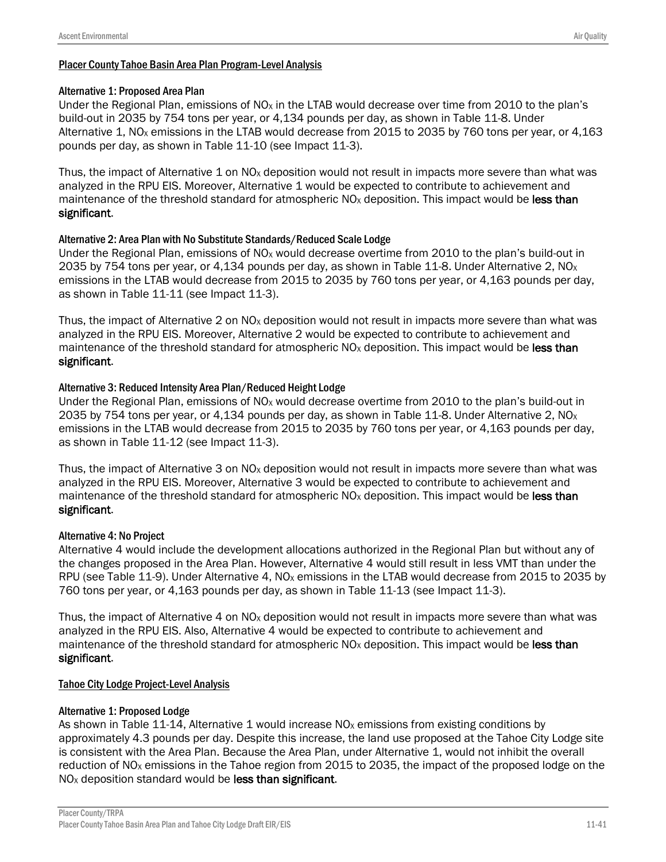### Alternative 1: Proposed Area Plan

Under the Regional Plan, emissions of  $N_{\text{Ox}}$  in the LTAB would decrease over time from 2010 to the plan's build-out in 2035 by 754 tons per year, or 4,134 pounds per day, as shown in Table 11-8. Under Alternative 1, NO<sub>x</sub> emissions in the LTAB would decrease from 2015 to 2035 by 760 tons per year, or 4,163 pounds per day, as shown in Table 11-10 (see Impact 11-3).

Thus, the impact of Alternative 1 on  $NQ<sub>X</sub>$  deposition would not result in impacts more severe than what was analyzed in the RPU EIS. Moreover, Alternative 1 would be expected to contribute to achievement and maintenance of the threshold standard for atmospheric  $NO<sub>x</sub>$  deposition. This impact would be less than significant.

### Alternative 2: Area Plan with No Substitute Standards/Reduced Scale Lodge

Under the Regional Plan, emissions of NO<sub>x</sub> would decrease overtime from 2010 to the plan's build-out in 2035 by 754 tons per year, or 4,134 pounds per day, as shown in Table 11-8. Under Alternative 2,  $NQ_X$ emissions in the LTAB would decrease from 2015 to 2035 by 760 tons per year, or 4,163 pounds per day, as shown in Table 11-11 (see Impact 11-3).

Thus, the impact of Alternative 2 on  $NQ<sub>x</sub>$  deposition would not result in impacts more severe than what was analyzed in the RPU EIS. Moreover, Alternative 2 would be expected to contribute to achievement and maintenance of the threshold standard for atmospheric  $NO<sub>x</sub>$  deposition. This impact would be less than significant.

### Alternative 3: Reduced Intensity Area Plan/Reduced Height Lodge

Under the Regional Plan, emissions of  $NO<sub>x</sub>$  would decrease overtime from 2010 to the plan's build-out in 2035 by 754 tons per year, or 4,134 pounds per day, as shown in Table 11-8. Under Alternative 2,  $NQ_X$ emissions in the LTAB would decrease from 2015 to 2035 by 760 tons per year, or 4,163 pounds per day, as shown in Table 11-12 (see Impact 11-3).

Thus, the impact of Alternative 3 on  $NQ<sub>X</sub>$  deposition would not result in impacts more severe than what was analyzed in the RPU EIS. Moreover, Alternative 3 would be expected to contribute to achievement and maintenance of the threshold standard for atmospheric  $NO<sub>x</sub>$  deposition. This impact would be less than significant.

### Alternative 4: No Project

Alternative 4 would include the development allocations authorized in the Regional Plan but without any of the changes proposed in the Area Plan. However, Alternative 4 would still result in less VMT than under the RPU (see Table 11-9). Under Alternative 4,  $NO<sub>x</sub>$  emissions in the LTAB would decrease from 2015 to 2035 by 760 tons per year, or 4,163 pounds per day, as shown in Table 11-13 (see Impact 11-3).

Thus, the impact of Alternative 4 on NO<sub>x</sub> deposition would not result in impacts more severe than what was analyzed in the RPU EIS. Also, Alternative 4 would be expected to contribute to achievement and maintenance of the threshold standard for atmospheric  $NO<sub>X</sub>$  deposition. This impact would be less than significant.

### Tahoe City Lodge Project-Level Analysis

### Alternative 1: Proposed Lodge

As shown in Table 11-14, Alternative 1 would increase  $NO<sub>x</sub>$  emissions from existing conditions by approximately 4.3 pounds per day. Despite this increase, the land use proposed at the Tahoe City Lodge site is consistent with the Area Plan. Because the Area Plan, under Alternative 1, would not inhibit the overall reduction of NO<sub>x</sub> emissions in the Tahoe region from 2015 to 2035, the impact of the proposed lodge on the  $NO<sub>X</sub>$  deposition standard would be less than significant.